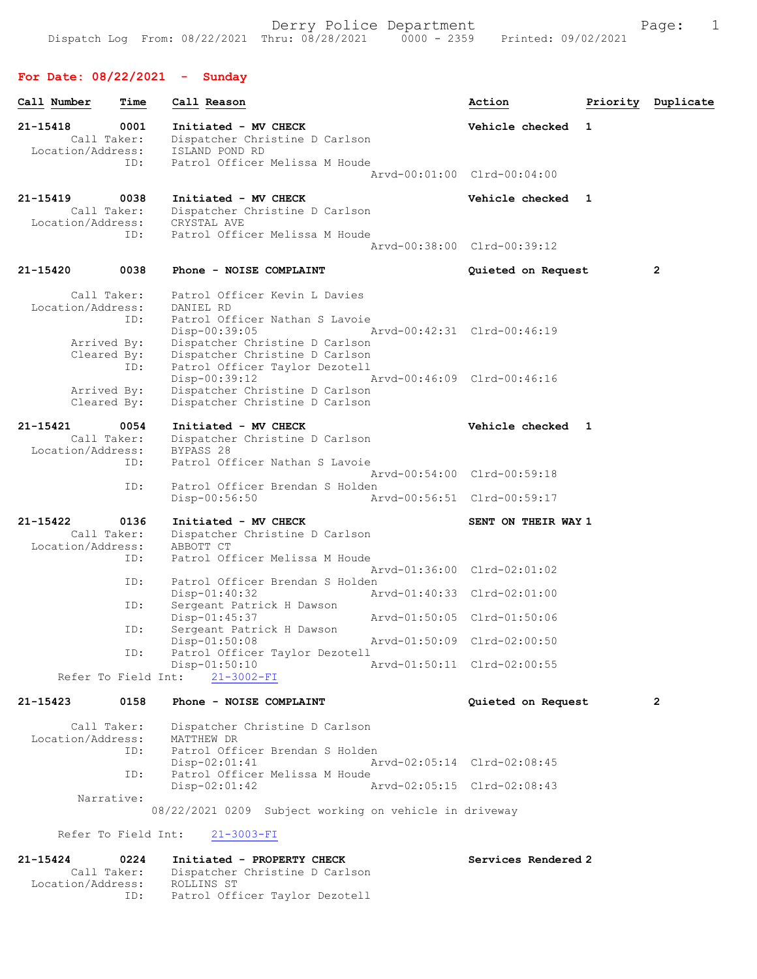# For Date: 08/22/2021 - Sunday

ID: Patrol Officer Taylor Dezotell

| 21-15418<br>0001<br>Initiated - MV CHECK<br>Vehicle checked 1<br>Call Taker:<br>Dispatcher Christine D Carlson<br>Location/Address:<br>ISLAND POND RD<br>Patrol Officer Melissa M Houde<br>ID:<br>Arvd-00:01:00 Clrd-00:04:00<br>21-15419<br>0038<br>Initiated - MV CHECK<br>Vehicle checked 1<br>Call Taker:<br>Dispatcher Christine D Carlson<br>Location/Address:<br>CRYSTAL AVE<br>Patrol Officer Melissa M Houde<br>ID:<br>Arvd-00:38:00 Clrd-00:39:12<br>21-15420<br>0038<br>Phone - NOISE COMPLAINT<br>2<br>Quieted on Request<br>Patrol Officer Kevin L Davies<br>Call Taker:<br>Location/Address:<br>DANIEL RD<br>Patrol Officer Nathan S Lavoie<br>ID:<br>Disp-00:39:05<br>Arvd-00:42:31 Clrd-00:46:19<br>Dispatcher Christine D Carlson<br>Arrived By:<br>Dispatcher Christine D Carlson<br>Cleared By:<br>ID:<br>Patrol Officer Taylor Dezotell<br>$Disp-00:39:12$<br>Arvd-00:46:09 Clrd-00:46:16<br>Dispatcher Christine D Carlson<br>Arrived By:<br>Cleared By:<br>Dispatcher Christine D Carlson<br>$21 - 15421$<br>0054<br>Initiated - MV CHECK<br>Vehicle checked 1<br>Call Taker:<br>Dispatcher Christine D Carlson<br>Location/Address:<br>BYPASS 28<br>Patrol Officer Nathan S Lavoie<br>ID:<br>Arvd-00:54:00 Clrd-00:59:18<br>ID:<br>Patrol Officer Brendan S Holden<br>Disp-00:56:50<br>Arvd-00:56:51 Clrd-00:59:17<br>21-15422<br>0136<br>Initiated - MV CHECK<br>SENT ON THEIR WAY 1<br>Call Taker:<br>Dispatcher Christine D Carlson<br>Location/Address:<br>ABBOTT CT<br>Patrol Officer Melissa M Houde<br>ID:<br>Arvd-01:36:00 Clrd-02:01:02<br>Patrol Officer Brendan S Holden<br>ID:<br>$Disp-01:40:32$<br>Arvd-01:40:33 Clrd-02:01:00<br>Sergeant Patrick H Dawson<br>ID:<br>Disp-01:45:37<br>Arvd-01:50:05 Clrd-01:50:06<br>Sergeant Patrick H Dawson<br>ID:<br>Disp-01:50:08<br>Arvd-01:50:09 Clrd-02:00:50<br>Patrol Officer Taylor Dezotell<br>ID:<br>Disp-01:50:10<br>Arvd-01:50:11 Clrd-02:00:55<br>Refer To Field Int:<br>$21 - 3002 - FI$<br>21-15423<br>0158<br>Phone - NOISE COMPLAINT<br>Quieted on Request<br>2<br>Call Taker:<br>Dispatcher Christine D Carlson<br>Location/Address:<br>MATTHEW DR<br>Patrol Officer Brendan S Holden<br>ID:<br>$Disp-02:01:41$<br>Arvd-02:05:14 Clrd-02:08:45<br>Patrol Officer Melissa M Houde<br>ID:<br>Disp-02:01:42<br>Arvd-02:05:15 Clrd-02:08:43<br>Narrative:<br>08/22/2021 0209 Subject working on vehicle in driveway<br>Refer To Field Int:<br>$21 - 3003 - FI$<br>21-15424<br>0224<br>Initiated - PROPERTY CHECK<br>Services Rendered 2<br>Call Taker:<br>Dispatcher Christine D Carlson<br>Location/Address:<br>ROLLINS ST | Call Number | Time | Call Reason | Action | Priority Duplicate |
|--------------------------------------------------------------------------------------------------------------------------------------------------------------------------------------------------------------------------------------------------------------------------------------------------------------------------------------------------------------------------------------------------------------------------------------------------------------------------------------------------------------------------------------------------------------------------------------------------------------------------------------------------------------------------------------------------------------------------------------------------------------------------------------------------------------------------------------------------------------------------------------------------------------------------------------------------------------------------------------------------------------------------------------------------------------------------------------------------------------------------------------------------------------------------------------------------------------------------------------------------------------------------------------------------------------------------------------------------------------------------------------------------------------------------------------------------------------------------------------------------------------------------------------------------------------------------------------------------------------------------------------------------------------------------------------------------------------------------------------------------------------------------------------------------------------------------------------------------------------------------------------------------------------------------------------------------------------------------------------------------------------------------------------------------------------------------------------------------------------------------------------------------------------------------------------------------------------------------------------------------------------------------------------------------------------------------------------------------------------------------------------------------------------------------------------------------------------------------------------------------------------------------------------------------------------------------------------------------------------------|-------------|------|-------------|--------|--------------------|
|                                                                                                                                                                                                                                                                                                                                                                                                                                                                                                                                                                                                                                                                                                                                                                                                                                                                                                                                                                                                                                                                                                                                                                                                                                                                                                                                                                                                                                                                                                                                                                                                                                                                                                                                                                                                                                                                                                                                                                                                                                                                                                                                                                                                                                                                                                                                                                                                                                                                                                                                                                                                                    |             |      |             |        |                    |
|                                                                                                                                                                                                                                                                                                                                                                                                                                                                                                                                                                                                                                                                                                                                                                                                                                                                                                                                                                                                                                                                                                                                                                                                                                                                                                                                                                                                                                                                                                                                                                                                                                                                                                                                                                                                                                                                                                                                                                                                                                                                                                                                                                                                                                                                                                                                                                                                                                                                                                                                                                                                                    |             |      |             |        |                    |
|                                                                                                                                                                                                                                                                                                                                                                                                                                                                                                                                                                                                                                                                                                                                                                                                                                                                                                                                                                                                                                                                                                                                                                                                                                                                                                                                                                                                                                                                                                                                                                                                                                                                                                                                                                                                                                                                                                                                                                                                                                                                                                                                                                                                                                                                                                                                                                                                                                                                                                                                                                                                                    |             |      |             |        |                    |
|                                                                                                                                                                                                                                                                                                                                                                                                                                                                                                                                                                                                                                                                                                                                                                                                                                                                                                                                                                                                                                                                                                                                                                                                                                                                                                                                                                                                                                                                                                                                                                                                                                                                                                                                                                                                                                                                                                                                                                                                                                                                                                                                                                                                                                                                                                                                                                                                                                                                                                                                                                                                                    |             |      |             |        |                    |
|                                                                                                                                                                                                                                                                                                                                                                                                                                                                                                                                                                                                                                                                                                                                                                                                                                                                                                                                                                                                                                                                                                                                                                                                                                                                                                                                                                                                                                                                                                                                                                                                                                                                                                                                                                                                                                                                                                                                                                                                                                                                                                                                                                                                                                                                                                                                                                                                                                                                                                                                                                                                                    |             |      |             |        |                    |
|                                                                                                                                                                                                                                                                                                                                                                                                                                                                                                                                                                                                                                                                                                                                                                                                                                                                                                                                                                                                                                                                                                                                                                                                                                                                                                                                                                                                                                                                                                                                                                                                                                                                                                                                                                                                                                                                                                                                                                                                                                                                                                                                                                                                                                                                                                                                                                                                                                                                                                                                                                                                                    |             |      |             |        |                    |
|                                                                                                                                                                                                                                                                                                                                                                                                                                                                                                                                                                                                                                                                                                                                                                                                                                                                                                                                                                                                                                                                                                                                                                                                                                                                                                                                                                                                                                                                                                                                                                                                                                                                                                                                                                                                                                                                                                                                                                                                                                                                                                                                                                                                                                                                                                                                                                                                                                                                                                                                                                                                                    |             |      |             |        |                    |
|                                                                                                                                                                                                                                                                                                                                                                                                                                                                                                                                                                                                                                                                                                                                                                                                                                                                                                                                                                                                                                                                                                                                                                                                                                                                                                                                                                                                                                                                                                                                                                                                                                                                                                                                                                                                                                                                                                                                                                                                                                                                                                                                                                                                                                                                                                                                                                                                                                                                                                                                                                                                                    |             |      |             |        |                    |
|                                                                                                                                                                                                                                                                                                                                                                                                                                                                                                                                                                                                                                                                                                                                                                                                                                                                                                                                                                                                                                                                                                                                                                                                                                                                                                                                                                                                                                                                                                                                                                                                                                                                                                                                                                                                                                                                                                                                                                                                                                                                                                                                                                                                                                                                                                                                                                                                                                                                                                                                                                                                                    |             |      |             |        |                    |
|                                                                                                                                                                                                                                                                                                                                                                                                                                                                                                                                                                                                                                                                                                                                                                                                                                                                                                                                                                                                                                                                                                                                                                                                                                                                                                                                                                                                                                                                                                                                                                                                                                                                                                                                                                                                                                                                                                                                                                                                                                                                                                                                                                                                                                                                                                                                                                                                                                                                                                                                                                                                                    |             |      |             |        |                    |
|                                                                                                                                                                                                                                                                                                                                                                                                                                                                                                                                                                                                                                                                                                                                                                                                                                                                                                                                                                                                                                                                                                                                                                                                                                                                                                                                                                                                                                                                                                                                                                                                                                                                                                                                                                                                                                                                                                                                                                                                                                                                                                                                                                                                                                                                                                                                                                                                                                                                                                                                                                                                                    |             |      |             |        |                    |
|                                                                                                                                                                                                                                                                                                                                                                                                                                                                                                                                                                                                                                                                                                                                                                                                                                                                                                                                                                                                                                                                                                                                                                                                                                                                                                                                                                                                                                                                                                                                                                                                                                                                                                                                                                                                                                                                                                                                                                                                                                                                                                                                                                                                                                                                                                                                                                                                                                                                                                                                                                                                                    |             |      |             |        |                    |
|                                                                                                                                                                                                                                                                                                                                                                                                                                                                                                                                                                                                                                                                                                                                                                                                                                                                                                                                                                                                                                                                                                                                                                                                                                                                                                                                                                                                                                                                                                                                                                                                                                                                                                                                                                                                                                                                                                                                                                                                                                                                                                                                                                                                                                                                                                                                                                                                                                                                                                                                                                                                                    |             |      |             |        |                    |
|                                                                                                                                                                                                                                                                                                                                                                                                                                                                                                                                                                                                                                                                                                                                                                                                                                                                                                                                                                                                                                                                                                                                                                                                                                                                                                                                                                                                                                                                                                                                                                                                                                                                                                                                                                                                                                                                                                                                                                                                                                                                                                                                                                                                                                                                                                                                                                                                                                                                                                                                                                                                                    |             |      |             |        |                    |
|                                                                                                                                                                                                                                                                                                                                                                                                                                                                                                                                                                                                                                                                                                                                                                                                                                                                                                                                                                                                                                                                                                                                                                                                                                                                                                                                                                                                                                                                                                                                                                                                                                                                                                                                                                                                                                                                                                                                                                                                                                                                                                                                                                                                                                                                                                                                                                                                                                                                                                                                                                                                                    |             |      |             |        |                    |
|                                                                                                                                                                                                                                                                                                                                                                                                                                                                                                                                                                                                                                                                                                                                                                                                                                                                                                                                                                                                                                                                                                                                                                                                                                                                                                                                                                                                                                                                                                                                                                                                                                                                                                                                                                                                                                                                                                                                                                                                                                                                                                                                                                                                                                                                                                                                                                                                                                                                                                                                                                                                                    |             |      |             |        |                    |
|                                                                                                                                                                                                                                                                                                                                                                                                                                                                                                                                                                                                                                                                                                                                                                                                                                                                                                                                                                                                                                                                                                                                                                                                                                                                                                                                                                                                                                                                                                                                                                                                                                                                                                                                                                                                                                                                                                                                                                                                                                                                                                                                                                                                                                                                                                                                                                                                                                                                                                                                                                                                                    |             |      |             |        |                    |
|                                                                                                                                                                                                                                                                                                                                                                                                                                                                                                                                                                                                                                                                                                                                                                                                                                                                                                                                                                                                                                                                                                                                                                                                                                                                                                                                                                                                                                                                                                                                                                                                                                                                                                                                                                                                                                                                                                                                                                                                                                                                                                                                                                                                                                                                                                                                                                                                                                                                                                                                                                                                                    |             |      |             |        |                    |
|                                                                                                                                                                                                                                                                                                                                                                                                                                                                                                                                                                                                                                                                                                                                                                                                                                                                                                                                                                                                                                                                                                                                                                                                                                                                                                                                                                                                                                                                                                                                                                                                                                                                                                                                                                                                                                                                                                                                                                                                                                                                                                                                                                                                                                                                                                                                                                                                                                                                                                                                                                                                                    |             |      |             |        |                    |
|                                                                                                                                                                                                                                                                                                                                                                                                                                                                                                                                                                                                                                                                                                                                                                                                                                                                                                                                                                                                                                                                                                                                                                                                                                                                                                                                                                                                                                                                                                                                                                                                                                                                                                                                                                                                                                                                                                                                                                                                                                                                                                                                                                                                                                                                                                                                                                                                                                                                                                                                                                                                                    |             |      |             |        |                    |
|                                                                                                                                                                                                                                                                                                                                                                                                                                                                                                                                                                                                                                                                                                                                                                                                                                                                                                                                                                                                                                                                                                                                                                                                                                                                                                                                                                                                                                                                                                                                                                                                                                                                                                                                                                                                                                                                                                                                                                                                                                                                                                                                                                                                                                                                                                                                                                                                                                                                                                                                                                                                                    |             |      |             |        |                    |
|                                                                                                                                                                                                                                                                                                                                                                                                                                                                                                                                                                                                                                                                                                                                                                                                                                                                                                                                                                                                                                                                                                                                                                                                                                                                                                                                                                                                                                                                                                                                                                                                                                                                                                                                                                                                                                                                                                                                                                                                                                                                                                                                                                                                                                                                                                                                                                                                                                                                                                                                                                                                                    |             |      |             |        |                    |
|                                                                                                                                                                                                                                                                                                                                                                                                                                                                                                                                                                                                                                                                                                                                                                                                                                                                                                                                                                                                                                                                                                                                                                                                                                                                                                                                                                                                                                                                                                                                                                                                                                                                                                                                                                                                                                                                                                                                                                                                                                                                                                                                                                                                                                                                                                                                                                                                                                                                                                                                                                                                                    |             |      |             |        |                    |
|                                                                                                                                                                                                                                                                                                                                                                                                                                                                                                                                                                                                                                                                                                                                                                                                                                                                                                                                                                                                                                                                                                                                                                                                                                                                                                                                                                                                                                                                                                                                                                                                                                                                                                                                                                                                                                                                                                                                                                                                                                                                                                                                                                                                                                                                                                                                                                                                                                                                                                                                                                                                                    |             |      |             |        |                    |
|                                                                                                                                                                                                                                                                                                                                                                                                                                                                                                                                                                                                                                                                                                                                                                                                                                                                                                                                                                                                                                                                                                                                                                                                                                                                                                                                                                                                                                                                                                                                                                                                                                                                                                                                                                                                                                                                                                                                                                                                                                                                                                                                                                                                                                                                                                                                                                                                                                                                                                                                                                                                                    |             |      |             |        |                    |
|                                                                                                                                                                                                                                                                                                                                                                                                                                                                                                                                                                                                                                                                                                                                                                                                                                                                                                                                                                                                                                                                                                                                                                                                                                                                                                                                                                                                                                                                                                                                                                                                                                                                                                                                                                                                                                                                                                                                                                                                                                                                                                                                                                                                                                                                                                                                                                                                                                                                                                                                                                                                                    |             |      |             |        |                    |
|                                                                                                                                                                                                                                                                                                                                                                                                                                                                                                                                                                                                                                                                                                                                                                                                                                                                                                                                                                                                                                                                                                                                                                                                                                                                                                                                                                                                                                                                                                                                                                                                                                                                                                                                                                                                                                                                                                                                                                                                                                                                                                                                                                                                                                                                                                                                                                                                                                                                                                                                                                                                                    |             |      |             |        |                    |
|                                                                                                                                                                                                                                                                                                                                                                                                                                                                                                                                                                                                                                                                                                                                                                                                                                                                                                                                                                                                                                                                                                                                                                                                                                                                                                                                                                                                                                                                                                                                                                                                                                                                                                                                                                                                                                                                                                                                                                                                                                                                                                                                                                                                                                                                                                                                                                                                                                                                                                                                                                                                                    |             |      |             |        |                    |
|                                                                                                                                                                                                                                                                                                                                                                                                                                                                                                                                                                                                                                                                                                                                                                                                                                                                                                                                                                                                                                                                                                                                                                                                                                                                                                                                                                                                                                                                                                                                                                                                                                                                                                                                                                                                                                                                                                                                                                                                                                                                                                                                                                                                                                                                                                                                                                                                                                                                                                                                                                                                                    |             |      |             |        |                    |
|                                                                                                                                                                                                                                                                                                                                                                                                                                                                                                                                                                                                                                                                                                                                                                                                                                                                                                                                                                                                                                                                                                                                                                                                                                                                                                                                                                                                                                                                                                                                                                                                                                                                                                                                                                                                                                                                                                                                                                                                                                                                                                                                                                                                                                                                                                                                                                                                                                                                                                                                                                                                                    |             |      |             |        |                    |
|                                                                                                                                                                                                                                                                                                                                                                                                                                                                                                                                                                                                                                                                                                                                                                                                                                                                                                                                                                                                                                                                                                                                                                                                                                                                                                                                                                                                                                                                                                                                                                                                                                                                                                                                                                                                                                                                                                                                                                                                                                                                                                                                                                                                                                                                                                                                                                                                                                                                                                                                                                                                                    |             |      |             |        |                    |
|                                                                                                                                                                                                                                                                                                                                                                                                                                                                                                                                                                                                                                                                                                                                                                                                                                                                                                                                                                                                                                                                                                                                                                                                                                                                                                                                                                                                                                                                                                                                                                                                                                                                                                                                                                                                                                                                                                                                                                                                                                                                                                                                                                                                                                                                                                                                                                                                                                                                                                                                                                                                                    |             |      |             |        |                    |
|                                                                                                                                                                                                                                                                                                                                                                                                                                                                                                                                                                                                                                                                                                                                                                                                                                                                                                                                                                                                                                                                                                                                                                                                                                                                                                                                                                                                                                                                                                                                                                                                                                                                                                                                                                                                                                                                                                                                                                                                                                                                                                                                                                                                                                                                                                                                                                                                                                                                                                                                                                                                                    |             |      |             |        |                    |
|                                                                                                                                                                                                                                                                                                                                                                                                                                                                                                                                                                                                                                                                                                                                                                                                                                                                                                                                                                                                                                                                                                                                                                                                                                                                                                                                                                                                                                                                                                                                                                                                                                                                                                                                                                                                                                                                                                                                                                                                                                                                                                                                                                                                                                                                                                                                                                                                                                                                                                                                                                                                                    |             |      |             |        |                    |
|                                                                                                                                                                                                                                                                                                                                                                                                                                                                                                                                                                                                                                                                                                                                                                                                                                                                                                                                                                                                                                                                                                                                                                                                                                                                                                                                                                                                                                                                                                                                                                                                                                                                                                                                                                                                                                                                                                                                                                                                                                                                                                                                                                                                                                                                                                                                                                                                                                                                                                                                                                                                                    |             |      |             |        |                    |
|                                                                                                                                                                                                                                                                                                                                                                                                                                                                                                                                                                                                                                                                                                                                                                                                                                                                                                                                                                                                                                                                                                                                                                                                                                                                                                                                                                                                                                                                                                                                                                                                                                                                                                                                                                                                                                                                                                                                                                                                                                                                                                                                                                                                                                                                                                                                                                                                                                                                                                                                                                                                                    |             |      |             |        |                    |
|                                                                                                                                                                                                                                                                                                                                                                                                                                                                                                                                                                                                                                                                                                                                                                                                                                                                                                                                                                                                                                                                                                                                                                                                                                                                                                                                                                                                                                                                                                                                                                                                                                                                                                                                                                                                                                                                                                                                                                                                                                                                                                                                                                                                                                                                                                                                                                                                                                                                                                                                                                                                                    |             |      |             |        |                    |
|                                                                                                                                                                                                                                                                                                                                                                                                                                                                                                                                                                                                                                                                                                                                                                                                                                                                                                                                                                                                                                                                                                                                                                                                                                                                                                                                                                                                                                                                                                                                                                                                                                                                                                                                                                                                                                                                                                                                                                                                                                                                                                                                                                                                                                                                                                                                                                                                                                                                                                                                                                                                                    |             |      |             |        |                    |
|                                                                                                                                                                                                                                                                                                                                                                                                                                                                                                                                                                                                                                                                                                                                                                                                                                                                                                                                                                                                                                                                                                                                                                                                                                                                                                                                                                                                                                                                                                                                                                                                                                                                                                                                                                                                                                                                                                                                                                                                                                                                                                                                                                                                                                                                                                                                                                                                                                                                                                                                                                                                                    |             |      |             |        |                    |
|                                                                                                                                                                                                                                                                                                                                                                                                                                                                                                                                                                                                                                                                                                                                                                                                                                                                                                                                                                                                                                                                                                                                                                                                                                                                                                                                                                                                                                                                                                                                                                                                                                                                                                                                                                                                                                                                                                                                                                                                                                                                                                                                                                                                                                                                                                                                                                                                                                                                                                                                                                                                                    |             |      |             |        |                    |
|                                                                                                                                                                                                                                                                                                                                                                                                                                                                                                                                                                                                                                                                                                                                                                                                                                                                                                                                                                                                                                                                                                                                                                                                                                                                                                                                                                                                                                                                                                                                                                                                                                                                                                                                                                                                                                                                                                                                                                                                                                                                                                                                                                                                                                                                                                                                                                                                                                                                                                                                                                                                                    |             |      |             |        |                    |
|                                                                                                                                                                                                                                                                                                                                                                                                                                                                                                                                                                                                                                                                                                                                                                                                                                                                                                                                                                                                                                                                                                                                                                                                                                                                                                                                                                                                                                                                                                                                                                                                                                                                                                                                                                                                                                                                                                                                                                                                                                                                                                                                                                                                                                                                                                                                                                                                                                                                                                                                                                                                                    |             |      |             |        |                    |
|                                                                                                                                                                                                                                                                                                                                                                                                                                                                                                                                                                                                                                                                                                                                                                                                                                                                                                                                                                                                                                                                                                                                                                                                                                                                                                                                                                                                                                                                                                                                                                                                                                                                                                                                                                                                                                                                                                                                                                                                                                                                                                                                                                                                                                                                                                                                                                                                                                                                                                                                                                                                                    |             |      |             |        |                    |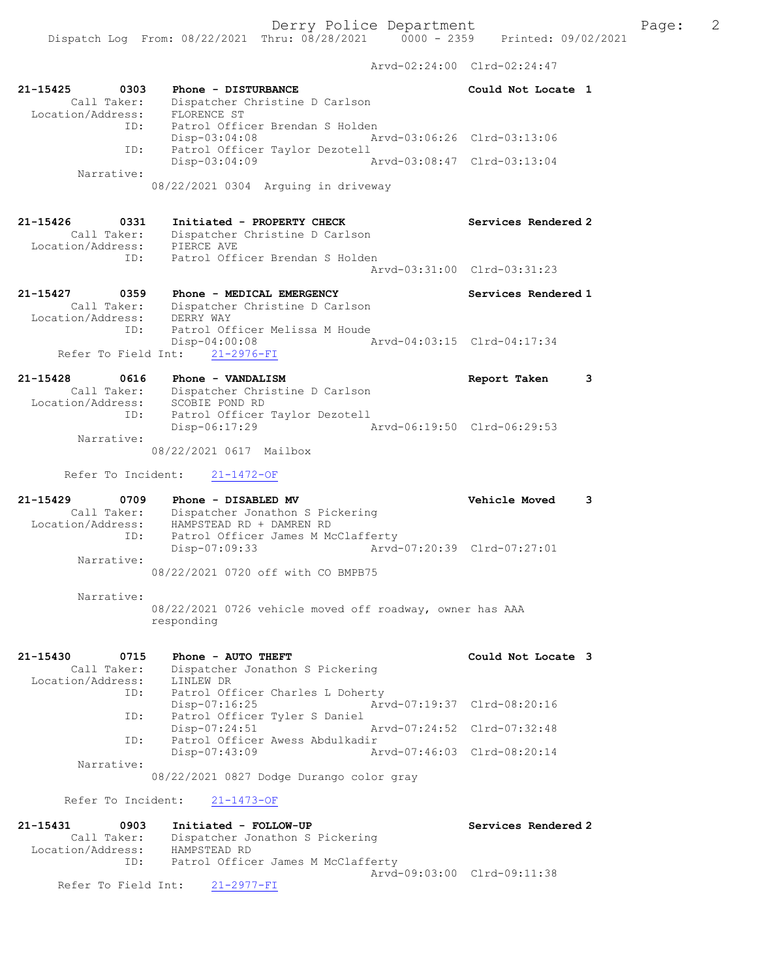Arvd-02:24:00 Clrd-02:24:47 21-15425 0303 Phone - DISTURBANCE Could Not Locate 1 Call Taker: Dispatcher Christine D Carlson Location/Address: FLORENCE ST ID: Patrol Officer Brendan S Holden Disp-03:04:08 Arvd-03:06:26 Clrd-03:13:06 ID: Patrol Officer Taylor Dezotell Disp-03:04:09 Arvd-03:08:47 Clrd-03:13:04 Narrative: 08/22/2021 0304 Arguing in driveway 21-15426 0331 Initiated - PROPERTY CHECK Services Rendered 2 Call Taker: Dispatcher Christine D Carlson Location/Address: PIERCE AVE ID: Patrol Officer Brendan S Holden Arvd-03:31:00 Clrd-03:31:23 21-15427 0359 Phone - MEDICAL EMERGENCY Services Rendered 1 Call Taker: Dispatcher Christine D Carlson Location/Address: DERRY WAY ID: Patrol Officer Melissa M Houde Disp-04:00:08 Arvd-04:03:15 Clrd-04:17:34 Refer To Field Int: 21-2976-FI 21-15428 0616 Phone - VANDALISM Report Taken 3 Call Taker: Dispatcher Christine D Carlson Location/Address: SCOBIE POND RD ID: Patrol Officer Taylor Dezotell<br>Disp-06:17:29 Arvd-06:19:50 Clrd-06:29:53 Disp-06:17:29 Narrative: 08/22/2021 0617 Mailbox Refer To Incident: 21-1472-OF 21-15429 0709 Phone - DISABLED MV Vehicle Moved 3 Call Taker: Dispatcher Jonathon S Pickering Location/Address: HAMPSTEAD RD + DAMREN RD ID: Patrol Officer James M McClafferty Disp-07:09:33 Arvd-07:20:39 Clrd-07:27:01 Narrative: 08/22/2021 0720 off with CO BMPB75 Narrative: 08/22/2021 0726 vehicle moved off roadway, owner has AAA responding 21-15430 0715 Phone - AUTO THEFT Could Not Locate 3 Call Taker: Dispatcher Jonathon S Pickering Location/Address: LINLEW DR ID: Patrol Officer Charles L Doherty Disp-07:16:25 Arvd-07:19:37 Clrd-08:20:16 ID: Patrol Officer Tyler S Daniel Disp-07:24:51 Arvd-07:24:52 Clrd-07:32:48 ID: Patrol Officer Awess Abdulkadir<br>Disp-07:43:09 Am Disp-07:43:09 Arvd-07:46:03 Clrd-08:20:14 Narrative: 08/22/2021 0827 Dodge Durango color gray Refer To Incident: 21-1473-OF 21-15431 0903 Initiated - FOLLOW-UP Services Rendered 2 Call Taker: Dispatcher Jonathon S Pickering Location/Address: HAMPSTEAD RD ID: Patrol Officer James M McClafferty Arvd-09:03:00 Clrd-09:11:38 Refer To Field Int: 21-2977-FI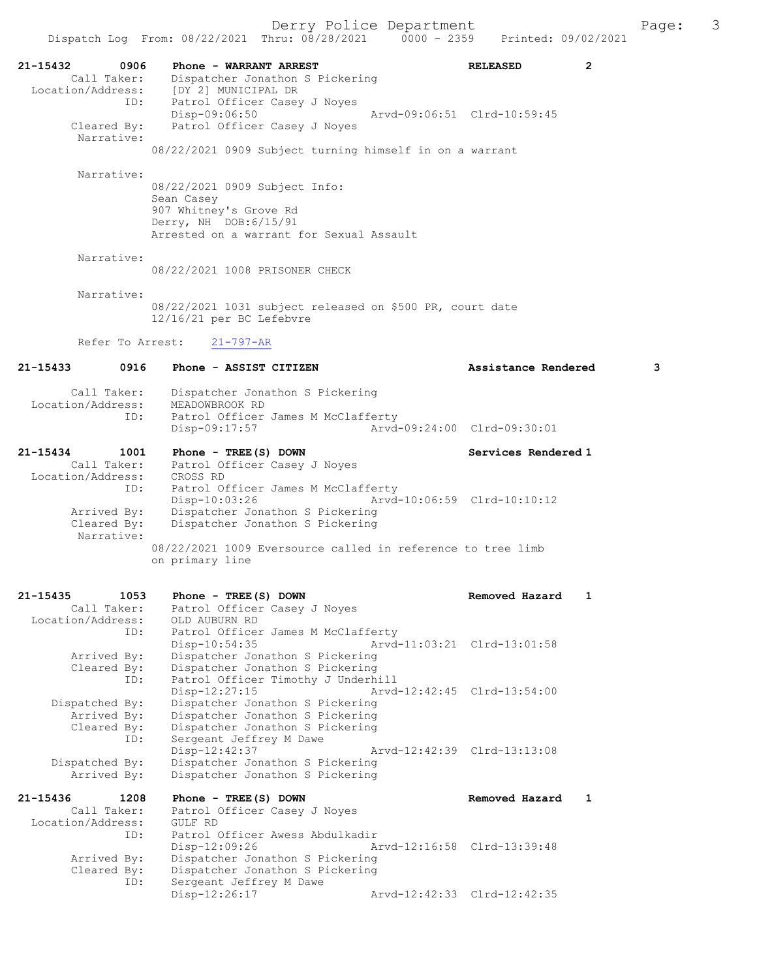Dispatch Log From: 08/22/2021 Thru: 08/28/2021 0000 - 2359 21-15432 0906 Phone - WARRANT ARREST RELEASED 2 Call Taker: Dispatcher Jonathon S Pickering Location/Address: [DY 2] MUNICIPAL DR ID: Patrol Officer Casey J Noyes<br>Disp-09:06:50 Disp-09:06:50 Arvd-09:06:51 Clrd-10:59:45 Cleared By: Patrol Officer Casey J Noyes Narrative: 08/22/2021 0909 Subject turning himself in on a warrant Narrative: 08/22/2021 0909 Subject Info: Sean Casey 907 Whitney's Grove Rd Derry, NH DOB:6/15/91 Arrested on a warrant for Sexual Assault Narrative: 08/22/2021 1008 PRISONER CHECK Narrative: 08/22/2021 1031 subject released on \$500 PR, court date 12/16/21 per BC Lefebvre Refer To Arrest: 21-797-AR 21-15433 0916 Phone - ASSIST CITIZEN Assistance Rendered 3 Call Taker: Dispatcher Jonathon S Pickering Location/Address: MEADOWBROOK RD ID: Patrol Officer James M McClafferty<br>Disp-09:17:57 Arvd Disp-09:17:57 Arvd-09:24:00 Clrd-09:30:01 21-15434 1001 Phone - TREE(S) DOWN Services Rendered 1 Call Taker: Patrol Officer Casey J Noyes Location/Address: CROSS RD ID: Patrol Officer James M McClafferty Disp-10:03:26 Arvd-10:06:59 Clrd-10:10:12<br>Arrived By: Dispatcher Jonathon S Pickering Dispatcher Jonathon S Pickering Cleared By: Dispatcher Jonathon S Pickering Narrative: 08/22/2021 1009 Eversource called in reference to tree limb on primary line 21-15435 1053 Phone - TREE(S) DOWN Removed Hazard 1 Call Taker: Patrol Officer Casey J Noyes Location/Address: OLD AUBURN RD ID: Patrol Officer James M McClafferty Disp-10:54:35 Arvd-11:03:21 Clrd-13:01:58 Arrived By: Dispatcher Jonathon S Pickering Cleared By: Dispatcher Jonathon S Pickering ID: Patrol Officer Timothy J Underhill<br>Disp-12:27:15 Arvd Disp-12:27:15 Arvd-12:42:45 Clrd-13:54:00<br>Dispatched By: Dispatcher Jonathon S Pickering Dispatcher Jonathon S Pickering Arrived By: Dispatcher Jonathon S Pickering Cleared By: Dispatcher Jonathon S Pickering<br>TD: Sergeant Jeffrey M Dawe Sergeant Jeffrey M Dawe Disp-12:42:37 Arvd-12:42:39 Clrd-13:13:08<br>Dispatched By: Dispatcher Jonathon S Pickering spatched By: Dispatcher Jonathon S Pickering<br>Arrived By: Dispatcher Jonathon S Pickering Dispatcher Jonathon S Pickering 21-15436 1208 Phone - TREE(S) DOWN Removed Hazard 1 Call Taker: Patrol Officer Casey J Noyes<br>ion/Address: GULF RD Location/Address:<br>ID: Patrol Officer Awess Abdulkadir<br>Disp-12:09:26 Al Disp-12:09:26 Arvd-12:16:58 Clrd-13:39:48 Arrived By: Dispatcher Jonathon S Pickering Cleared By: Dispatcher Jonathon S Pickering<br>ID: Sergeant Jeffrey M Dawe Sergeant Jeffrey M Dawe<br>Disp-12:26:17 Arvd-12:42:33 Clrd-12:42:35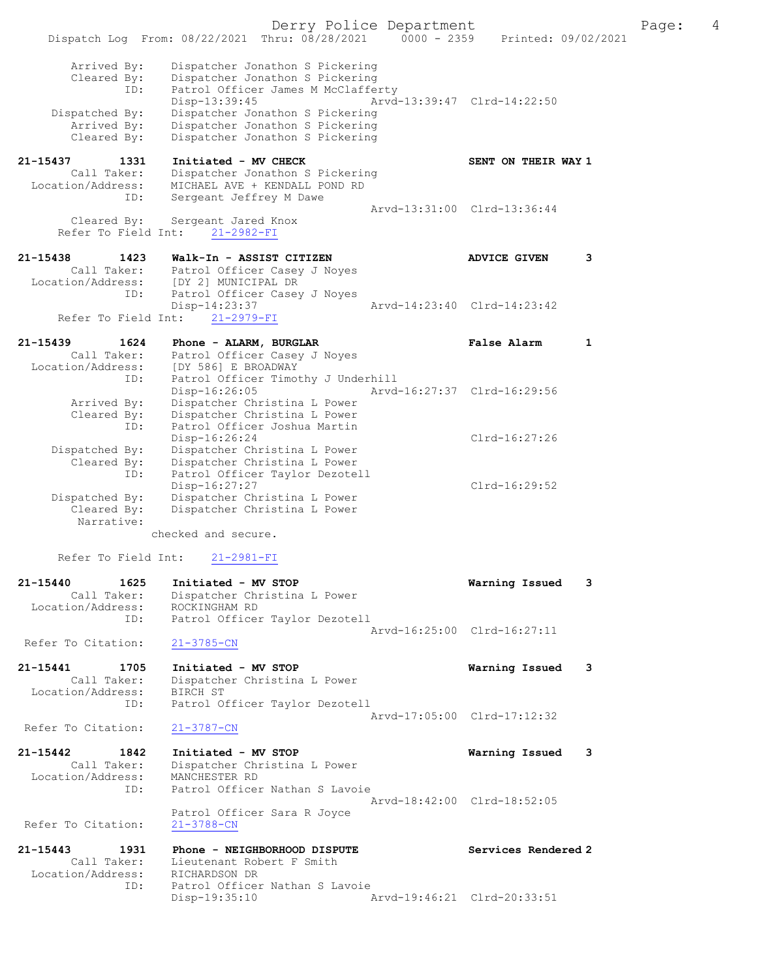Derry Police Department Fage: 4 Dispatch Log From: 08/22/2021 Thru: 08/28/2021 0000 - 2359 Printed: 09/02/2021 Arrived By: Dispatcher Jonathon S Pickering Cleared By: Dispatcher Jonathon S Pickering ID: Patrol Officer James M McClafferty Disp-13:39:45 Arvd-13:39:47 Clrd-14:22:50 Dispatched By: Dispatcher Jonathon S Pickering Arrived By: Dispatcher Jonathon S Pickering Cleared By: Dispatcher Jonathon S Pickering 21-15437 1331 Initiated - MV CHECK SENT ON THEIR WAY 1 Call Taker: Dispatcher Jonathon S Pickering Location/Address: MICHAEL AVE + KENDALL POND RD ID: Sergeant Jeffrey M Dawe Arvd-13:31:00 Clrd-13:36:44 Cleared By: Sergeant Jared Knox Refer To Field Int: 21-2982-FI 21-15438 1423 Walk-In - ASSIST CITIZEN ADVICE GIVEN 3 Call Taker: Patrol Officer Casey J Noyes Location/Address: [DY 2] MUNICIPAL DR ID: Patrol Officer Casey J Noyes Dispersion of the Casey J Noyes<br>Disp-14:23:37 Arvd-14:23:40 Clrd-14:23:42<br> $T_{\text{min}}$ Refer To Field Int: 21-2979-FI 21-15439 1624 Phone - ALARM, BURGLAR False Alarm 1 Call Taker: Patrol Officer Casey J Noyes Location/Address: [DY 586] E BROADWAY ID: Patrol Officer Timothy J Underhill Disp-16:26:05 Arvd-16:27:37 Clrd-16:29:56 Arrived By: Dispatcher Christina L Power Cleared By: Dispatcher Christina L Power ID: Patrol Officer Joshua Martin Disp-16:26:24 Clrd-16:27:26 Dispatched By: Dispatcher Christina L Power Cleared By: Dispatcher Christina L Power ID: Patrol Officer Taylor Dezotell Disp-16:27:27 Clrd-16:29:52 Dispatched By: Dispatcher Christina L Power Cleared By: Dispatcher Christina L Power Narrative: checked and secure. Refer To Field Int: 21-2981-FI 21-15440 1625 Initiated - MV STOP Warning Issued 3 Call Taker: Dispatcher Christina L Power Location/Address: ROCKINGHAM RD ID: Patrol Officer Taylor Dezotell Arvd-16:25:00 Clrd-16:27:11 Refer To Citation: 21-3785-CN 21-15441 1705 Initiated - MV STOP Warning Issued 3 Call Taker: Dispatcher Christina L Power Location/Address: BIRCH ST ID: Patrol Officer Taylor Dezotell Arvd-17:05:00 Clrd-17:12:32<br>21-3787-CN Refer To Citation: 21-15442 1842 Initiated - MV STOP Warning Issued 3 Call Taker: Dispatcher Christina L Power Location/Address: MANCHESTER RD ID: Patrol Officer Nathan S Lavoie Arvd-18:42:00 Clrd-18:52:05 Patrol Officer Sara R Joyce<br>21-3788-CN Refer To Citation: 21-15443 1931 Phone - NEIGHBORHOOD DISPUTE Services Rendered 2 Call Taker: Lieutenant Robert F Smith Location/Address: RICHARDSON DR ID: Patrol Officer Nathan S Lavoie<br>Disp-19:35:10 Arvd-19:46:21 Clrd-20:33:51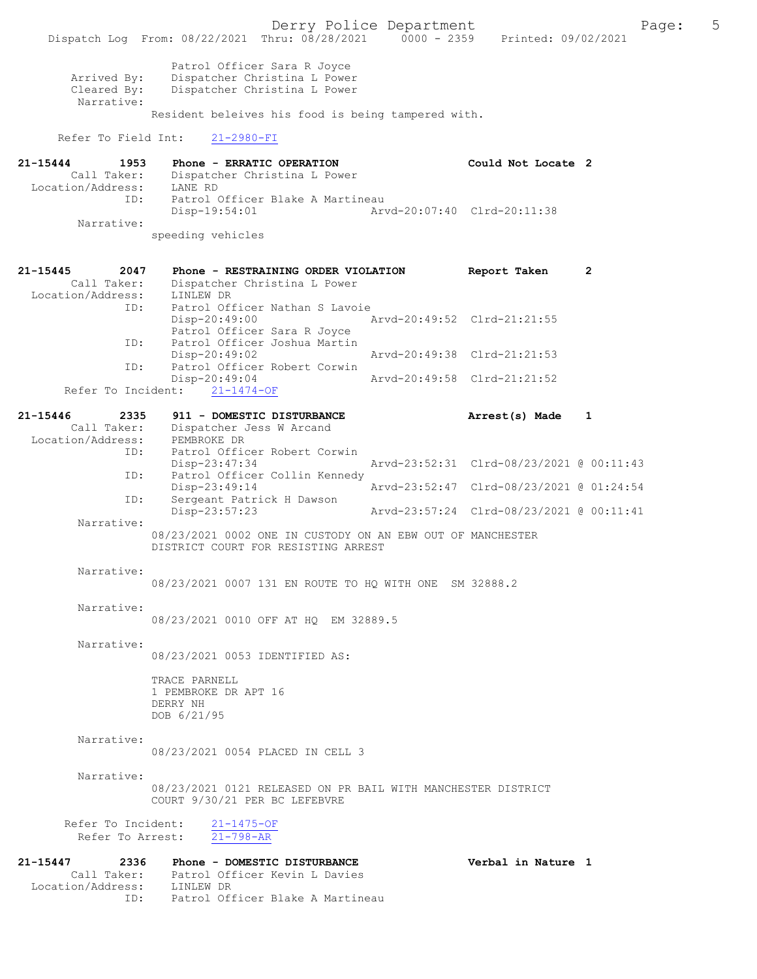Derry Police Department The Page: 5 Dispatch Log From: 08/22/2021 Thru: 08/28/2021 0000 - 2359 Printed: 09/02/2021 Patrol Officer Sara R Joyce Arrived By: Dispatcher Christina L Power<br>Cleared Bv: Dispatcher Christina L Power Dispatcher Christina L Power Narrative: Resident beleives his food is being tampered with. Refer To Field Int: 21-2980-FI 21-15444 1953 Phone - ERRATIC OPERATION Could Not Locate 2 Call Taker: Dispatcher Christina L Power Call Taker: Dispatch<br>Location/Address: LANE RD<br>ID: Patrol ( Patrol Officer Blake A Martineau<br>Disp-19:54:01 Ary Disp-19:54:01 Arvd-20:07:40 Clrd-20:11:38 Narrative: speeding vehicles 21-15445 2047 Phone - RESTRAINING ORDER VIOLATION Report Taken 2 Call Taker: Dispatcher Christina L Power<br>ion/Address: LINLEW DR Location/Address:<br>ID: Patrol Officer Nathan S Lavoie<br>Disp-20:49:00 / Arvd-20:49:52 Clrd-21:21:55 Patrol Officer Sara R Joyce ID: Patrol Officer Joshua Martin Disp-20:49:02 Arvd-20:49:38 Clrd-21:21:53 Patrol Officer Robert Corwin<br>Disp-20:49:04 20:49:04 Arvd-20:49:58 Clrd-21:21:52<br>21-1474-OF Refer To Incident: 21-15446 2335 911 - DOMESTIC DISTURBANCE Arrest(s) Made 1 Call Taker: Dispatcher Jess W Arcand<br>ion/Address: PEMBROKE DR Location/Address:<br>TD: Patrol Officer Robert Corwin<br>Disp-23:47:34 Arvd-23:52:31 Clrd-08/23/2021 @ 00:11:43 ID: Patrol Officer Collin Kennedy<br>Disp-23:49:14 Disp-23:49:14 Arvd-23:52:47 Clrd-08/23/2021 @ 01:24:54 ID: Sergeant Patrick H Dawson Disp-23:57:23 Arvd-23:57:24 Clrd-08/23/2021 @ 00:11:41 Narrative: 08/23/2021 0002 ONE IN CUSTODY ON AN EBW OUT OF MANCHESTER DISTRICT COURT FOR RESISTING ARREST Narrative: 08/23/2021 0007 131 EN ROUTE TO HQ WITH ONE SM 32888.2 Narrative: 08/23/2021 0010 OFF AT HQ EM 32889.5 Narrative: 08/23/2021 0053 IDENTIFIED AS: TRACE PARNELL 1 PEMBROKE DR APT 16 DERRY NH DOB 6/21/95 Narrative: 08/23/2021 0054 PLACED IN CELL 3 Narrative: 08/23/2021 0121 RELEASED ON PR BAIL WITH MANCHESTER DISTRICT COURT 9/30/21 PER BC LEFEBVRE Refer To Incident: 21-1475-OF<br>Refer To Arrest: 21-798-AR Refer To Arrest: 21-15447 2336 Phone - DOMESTIC DISTURBANCE Verbal in Nature 1<br>Call Taker: Patrol Officer Kevin L Davies Call Taker: Patrol Officer Kevin L Davies Location/Address: LINLEW DR ID: Patrol Officer Blake A Martineau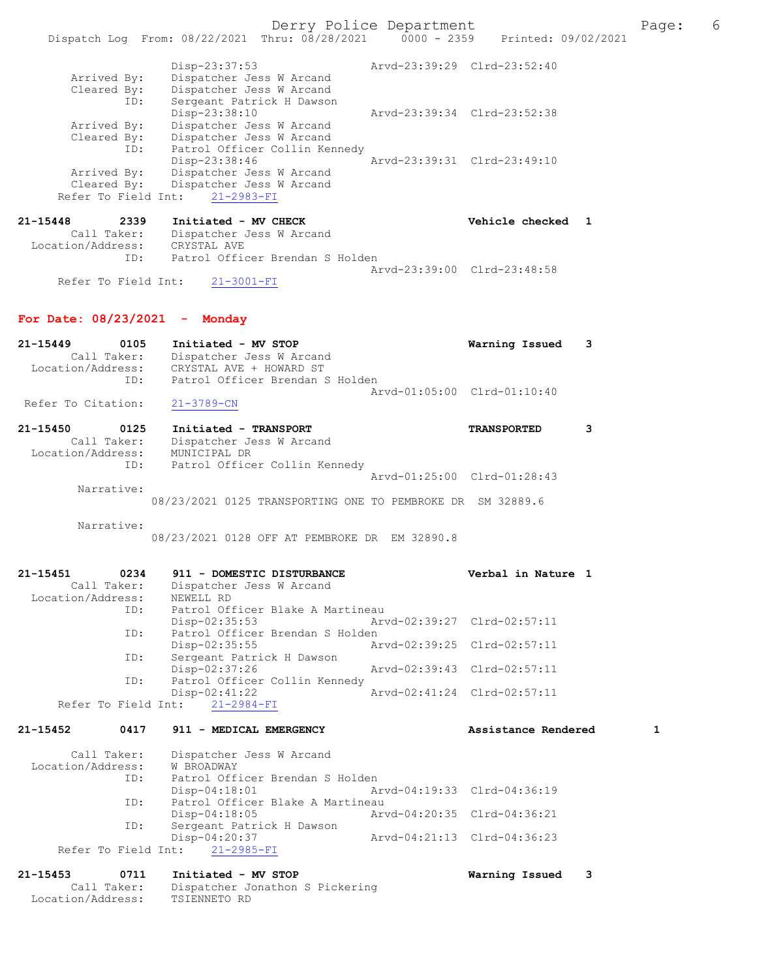Derry Police Department The Page: 6

|             | $Disp-23:37:53$               | Arvd-23:39:29 Clrd-23:52:40 |                             |
|-------------|-------------------------------|-----------------------------|-----------------------------|
| Arrived By: | Dispatcher Jess W Arcand      |                             |                             |
| Cleared By: | Dispatcher Jess W Arcand      |                             |                             |
| ID:         | Sergeant Patrick H Dawson     |                             |                             |
|             | Disp-23:38:10                 |                             | Aryd-23:39:34 Clrd-23:52:38 |
| Arrived By: | Dispatcher Jess W Arcand      |                             |                             |
| Cleared By: | Dispatcher Jess W Arcand      |                             |                             |
| ID:         | Patrol Officer Collin Kennedy |                             |                             |
|             | Disp-23:38:46                 |                             | Arvd-23:39:31 Clrd-23:49:10 |
| Arrived By: | Dispatcher Jess W Arcand      |                             |                             |
| Cleared By: | Dispatcher Jess W Arcand      |                             |                             |

| 21-15448          | 2339                | Initiated - MV CHECK            | Vehicle checked 1           |  |
|-------------------|---------------------|---------------------------------|-----------------------------|--|
|                   | Call Taker:         | Dispatcher Jess W Arcand        |                             |  |
| Location/Address: |                     | CRYSTAL AVE                     |                             |  |
|                   | TD:                 | Patrol Officer Brendan S Holden |                             |  |
|                   |                     |                                 | Arvd-23:39:00 Clrd-23:48:58 |  |
|                   | Refer To Field Int: | $21 - 3001 - FI$                |                             |  |

## For Date: 08/23/2021 - Monday

| 21-15449           | 0105        | Initiated - MV STOP             | Warning Issued 3            |  |
|--------------------|-------------|---------------------------------|-----------------------------|--|
|                    | Call Taker: | Dispatcher Jess W Arcand        |                             |  |
| Location/Address:  |             | CRYSTAL AVE + HOWARD ST         |                             |  |
|                    | TD:         | Patrol Officer Brendan S Holden |                             |  |
|                    |             |                                 | Aryd-01:05:00 Clrd-01:10:40 |  |
| Refer To Citation: |             | 21-3789-CN                      |                             |  |

| 21-15450          | 0125        | Initiated - TRANSPORT         |                             | <b>TRANSPORTED</b> |  |
|-------------------|-------------|-------------------------------|-----------------------------|--------------------|--|
|                   | Call Taker: | Dispatcher Jess W Arcand      |                             |                    |  |
| Location/Address: |             | MUNICIPAL DR                  |                             |                    |  |
|                   | ID:         | Patrol Officer Collin Kennedy |                             |                    |  |
|                   |             |                               | Arvd-01:25:00 Clrd-01:28:43 |                    |  |
|                   | Narrative:  |                               |                             |                    |  |

08/23/2021 0125 TRANSPORTING ONE TO PEMBROKE DR SM 32889.6

Narrative:

08/23/2021 0128 OFF AT PEMBROKE DR EM 32890.8

| 21-15451<br>0234  | 911 - DOMESTIC DISTURBANCE       |                             | Verbal in Nature 1          |
|-------------------|----------------------------------|-----------------------------|-----------------------------|
| Call Taker:       | Dispatcher Jess W Arcand         |                             |                             |
| Location/Address: | NEWELL RD                        |                             |                             |
| ID:               | Patrol Officer Blake A Martineau |                             |                             |
|                   | $Disp-02:35:53$                  | Arvd-02:39:27 Clrd-02:57:11 |                             |
| ID:               | Patrol Officer Brendan S Holden  |                             |                             |
|                   | Disp-02:35:55                    |                             | Arvd-02:39:25 Clrd-02:57:11 |
| ID:               | Sergeant Patrick H Dawson        |                             |                             |
|                   | Disp-02:37:26                    |                             | Arvd-02:39:43 Clrd-02:57:11 |
| ID:               | Patrol Officer Collin Kennedy    |                             |                             |
|                   | $Disp-02:41:22$                  |                             | Arvd-02:41:24 Clrd-02:57:11 |
|                   | Refer To Field Int: 21-2984-FI   |                             |                             |

# 21-15452 0417 911 - MEDICAL EMERGENCY Assistance Rendered 1

| Call Taker:       | Dispatcher Jess W Arcand         |                             |  |
|-------------------|----------------------------------|-----------------------------|--|
| Location/Address: | W BROADWAY                       |                             |  |
| ID:               | Patrol Officer Brendan S Holden  |                             |  |
|                   | Disp-04:18:01                    | Arvd-04:19:33 Clrd-04:36:19 |  |
| ID:               | Patrol Officer Blake A Martineau |                             |  |
|                   | Disp-04:18:05                    | Arvd-04:20:35 Clrd-04:36:21 |  |
| ID:               | Sergeant Patrick H Dawson        |                             |  |
|                   | Disp-04:20:37                    | Arvd-04:21:13 Clrd-04:36:23 |  |
|                   | Refer To Field Int: 21-2985-FI   |                             |  |
|                   |                                  |                             |  |

#### 21-15453 0711 Initiated - MV STOP Warning Issued 3 Call Taker: Dispatcher Jonathon S Pickering Location/Address: TSIENNETO RD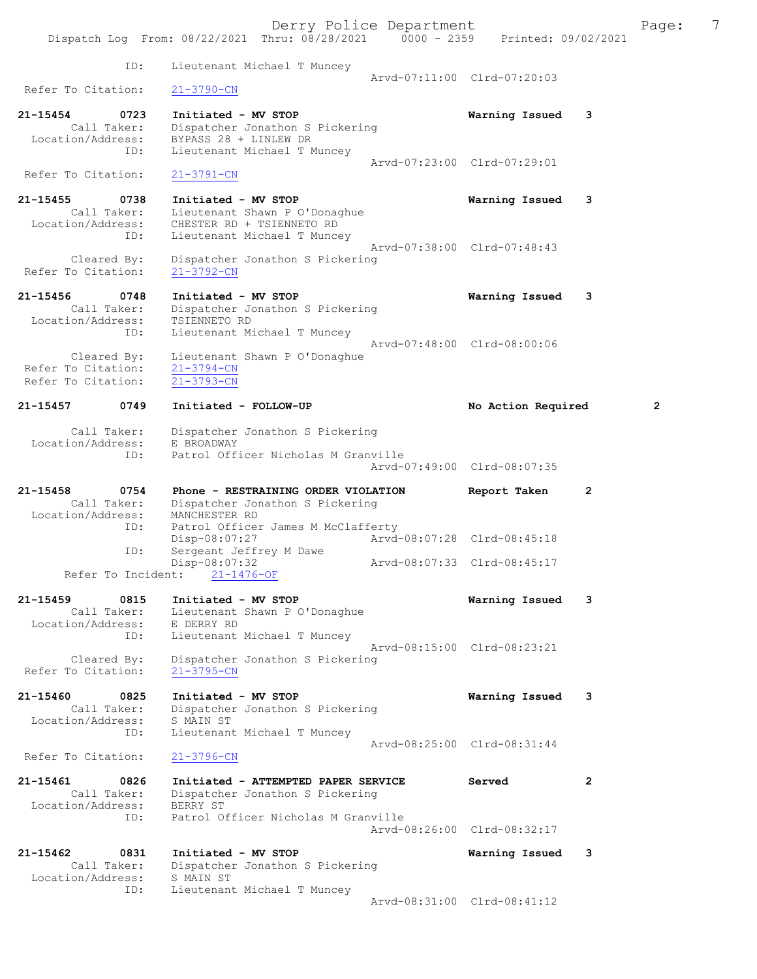Derry Police Department The Page: 7 Dispatch Log From: 08/22/2021 Thru: 08/28/2021 0000 - 2359 Printed: 09/02/2021 ID: Lieutenant Michael T Muncey Arvd-07:11:00 Clrd-07:20:03<br>21-3790-CN Refer To Citation: 21-15454 0723 Initiated - MV STOP Warning Issued 3 Call Taker: Dispatcher Jonathon S Pickering Location/Address: BYPASS 28 + LINLEW DR ID: Lieutenant Michael T Muncey Arvd-07:23:00 Clrd-07:29:01 Refer To Citation: 21-3791-CN 21-15455 0738 Initiated - MV STOP Warning Issued 3 Call Taker: Lieutenant Shawn P O'Donaghue Location/Address: CHESTER RD + TSIENNETO RD ID: Lieutenant Michael T Muncey Arvd-07:38:00 Clrd-07:48:43 Cleared By: Dispatcher Jonathon S Pickering Refer To Citation: 21-3792-CN 21-15456 0748 Initiated - MV STOP Warning Issued 3 Call Taker: Dispatcher Jonathon S Pickering Location/Address: TSIENNETO RD ID: Lieutenant Michael T Muncey Arvd-07:48:00 Clrd-08:00:06 Cleared By: Lieutenant Shawn P O'Donaghue Refer To Citation: 21-3794-CN Refer To Citation:  $\overline{21-3793-CN}$ 21-15457 0749 Initiated - FOLLOW-UP No Action Required 2 Call Taker: Dispatcher Jonathon S Pickering Location/Address: E BROADWAY ID: Patrol Officer Nicholas M Granville Arvd-07:49:00 Clrd-08:07:35 21-15458 0754 Phone - RESTRAINING ORDER VIOLATION Report Taken 2 Call Taker: Dispatcher Jonathon S Pickering Location/Address: MANCHESTER RD ID: Patrol Officer James M McClafferty Disp-08:07:27 Arvd-08:07:28 Clrd-08:45:18 ID: Sergeant Jeffrey M Dawe Disp-08:07:32 Arvd-08:07:33 Clrd-08:45:17 Refer To Incident: 21-1476-OF 21-15459 0815 Initiated - MV STOP Warning Issued 3 Call Taker: Lieutenant Shawn P O'Donaghue Location/Address: E DERRY RD ID: Lieutenant Michael T Muncey Arvd-08:15:00 Clrd-08:23:21 Cleared By: Dispatcher Jonathon S Pickering Refer To Citation: 21-3795-CN 21-15460 0825 Initiated - MV STOP Warning Issued 3 Call Taker: Dispatcher Jonathon S Pickering Location/Address: S MAIN ST ID: Lieutenant Michael T Muncey Arvd-08:25:00 Clrd-08:31:44 Refer To Citation: 21-3796-CN 21-15461 0826 Initiated - ATTEMPTED PAPER SERVICE Served 2 Call Taker: Dispatcher Jonathon S Pickering Location/Address: BERRY ST ID: Patrol Officer Nicholas M Granville Arvd-08:26:00 Clrd-08:32:17 21-15462 0831 Initiated - MV STOP Warning Issued 3 Call Taker: Dispatcher Jonathon S Pickering Location/Address: S MAIN ST ID: Lieutenant Michael T Muncey Arvd-08:31:00 Clrd-08:41:12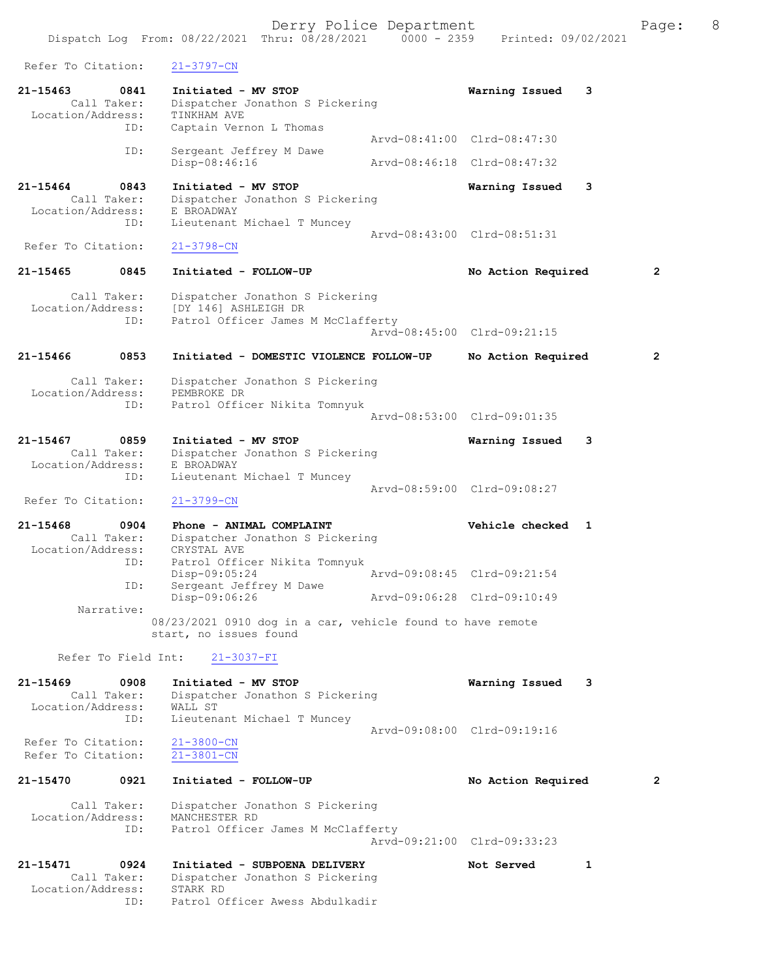Dispatch Log From: 08/22/2021 Thru: 08/28/2021 0000 - 2359 Printed: 09/02/2021

| Refer To Citation:                       |                            | 21-3797-CN                                                                                       |                             |   |   |
|------------------------------------------|----------------------------|--------------------------------------------------------------------------------------------------|-----------------------------|---|---|
| $21 - 15463$<br>Location/Address:        | 0841<br>Call Taker:        | Initiated - MV STOP<br>Dispatcher Jonathon S Pickering<br>TINKHAM AVE                            | Warning Issued              | 3 |   |
|                                          | ID:                        | Captain Vernon L Thomas                                                                          | Arvd-08:41:00 Clrd-08:47:30 |   |   |
|                                          | ID:                        | Sergeant Jeffrey M Dawe<br>Disp-08:46:16                                                         | Arvd-08:46:18 Clrd-08:47:32 |   |   |
| $21 - 15464$                             | 0843<br>Call Taker:        | Initiated - MV STOP<br>Dispatcher Jonathon S Pickering                                           | Warning Issued              | 3 |   |
| Location/Address:                        | ID:                        | E BROADWAY<br>Lieutenant Michael T Muncey                                                        |                             |   |   |
| Refer To Citation:                       |                            | $21 - 3798 - CN$                                                                                 | Arvd-08:43:00 Clrd-08:51:31 |   |   |
| 21-15465                                 | 0845                       | Initiated - FOLLOW-UP                                                                            | No Action Required          |   | 2 |
| Location/Address:                        | Call Taker:<br>ID:         | Dispatcher Jonathon S Pickering<br>[DY 146] ASHLEIGH DR<br>Patrol Officer James M McClafferty    | Arvd-08:45:00 Clrd-09:21:15 |   |   |
| 21-15466                                 | 0853                       | Initiated - DOMESTIC VIOLENCE FOLLOW-UP                                                          | No Action Required          |   | 2 |
| Location/Address:                        | Call Taker:<br>ID:         | Dispatcher Jonathon S Pickering<br>PEMBROKE DR<br>Patrol Officer Nikita Tomnyuk                  |                             |   |   |
|                                          |                            |                                                                                                  | Arvd-08:53:00 Clrd-09:01:35 |   |   |
| 21-15467<br>Location/Address:            | 0859<br>Call Taker:        | Initiated - MV STOP<br>Dispatcher Jonathon S Pickering<br>E BROADWAY                             | Warning Issued              | 3 |   |
| Refer To Citation:                       | ID:                        | Lieutenant Michael T Muncey<br>$21 - 3799 - CN$                                                  | Arvd-08:59:00 Clrd-09:08:27 |   |   |
| $21 - 15468$                             | 0904<br>Call Taker:        | Phone - ANIMAL COMPLAINT                                                                         | Vehicle checked             | 1 |   |
| Location/Address:                        | ID:                        | Dispatcher Jonathon S Pickering<br>CRYSTAL AVE<br>Patrol Officer Nikita Tomnyuk<br>Disp-09:05:24 | Arvd-09:08:45 Clrd-09:21:54 |   |   |
|                                          | ID:                        | Sergeant Jeffrey M Dawe<br>Disp-09:06:26                                                         | Arvd-09:06:28 Clrd-09:10:49 |   |   |
|                                          | Narrative:                 | 08/23/2021 0910 dog in a car, vehicle found to have remote<br>start, no issues found             |                             |   |   |
|                                          | Refer To Field Int:        | $21 - 3037 - FI$                                                                                 |                             |   |   |
| $21 - 15469$<br>Location/Address:        | 0908<br>Call Taker:<br>ID: | Initiated - MV STOP<br>Dispatcher Jonathon S Pickering<br>WALL ST<br>Lieutenant Michael T Muncey | Warning Issued              | 3 |   |
| Refer To Citation:<br>Refer To Citation: |                            | $21 - 3800 - CN$<br>$21 - 3801 - CN$                                                             | Arvd-09:08:00 Clrd-09:19:16 |   |   |
| 21-15470                                 | 0921                       | Initiated - FOLLOW-UP                                                                            | No Action Required          |   | 2 |
|                                          | Call Taker:                | Dispatcher Jonathon S Pickering                                                                  |                             |   |   |
| Location/Address:                        | ID:                        | MANCHESTER RD<br>Patrol Officer James M McClafferty                                              | Arvd-09:21:00 Clrd-09:33:23 |   |   |
| 21-15471                                 | 0924<br>Call Taker:        | Initiated - SUBPOENA DELIVERY<br>Dispatcher Jonathon S Pickering                                 | Not Served                  | 1 |   |

 Location/Address: STARK RD ID: Patrol Officer Awess Abdulkadir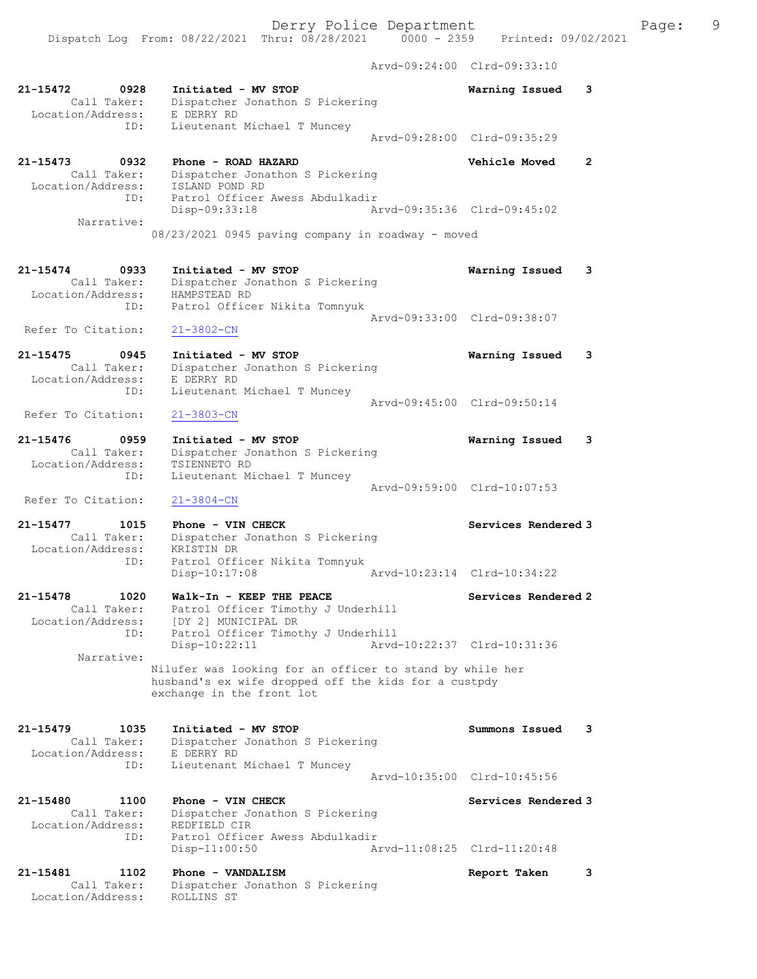Dispatch Log From: 08/22/2021 Thru: 08/28/2021 0000 - 2359 Printed: 09/02/2021

Arvd-09:24:00 Clrd-09:33:10

| 21-15472<br>0928<br>Call Taker:<br>Location/Address:            | Initiated - MV STOP<br>Dispatcher Jonathon S Pickering<br>E DERRY RD                                                                          | 3<br>Warning Issued         |              |
|-----------------------------------------------------------------|-----------------------------------------------------------------------------------------------------------------------------------------------|-----------------------------|--------------|
| ID:                                                             | Lieutenant Michael T Muncey                                                                                                                   | Arvd-09:28:00 Clrd-09:35:29 |              |
| 21-15473<br>0932<br>Call Taker:<br>Location/Address:            | Phone - ROAD HAZARD<br>Dispatcher Jonathon S Pickering<br>ISLAND POND RD                                                                      | <b>Vehicle Moved</b>        | $\mathbf{2}$ |
| ID:<br>Narrative:                                               | Patrol Officer Awess Abdulkadir<br>Disp-09:33:18<br>08/23/2021 0945 paving company in roadway - moved                                         | Arvd-09:35:36 Clrd-09:45:02 |              |
|                                                                 |                                                                                                                                               |                             |              |
| 21-15474<br>0933<br>Call Taker:<br>Location/Address:<br>ID:     | Initiated - MV STOP<br>Dispatcher Jonathon S Pickering<br>HAMPSTEAD RD<br>Patrol Officer Nikita Tomnyuk                                       | 3<br>Warning Issued         |              |
| Refer To Citation:                                              | $21 - 3802 - CN$                                                                                                                              | Arvd-09:33:00 Clrd-09:38:07 |              |
| 21-15475<br>0945<br>Call Taker:<br>Location/Address:            | Initiated - MV STOP<br>Dispatcher Jonathon S Pickering<br>E DERRY RD                                                                          | Warning Issued<br>3         |              |
| ID:<br>Refer To Citation:                                       | Lieutenant Michael T Muncey<br>$21 - 3803 - CN$                                                                                               | Arvd-09:45:00 Clrd-09:50:14 |              |
| $21 - 15476$<br>0959<br>Call Taker:<br>Location/Address:<br>ID: | Initiated - MV STOP<br>Dispatcher Jonathon S Pickering<br>TSIENNETO RD<br>Lieutenant Michael T Muncey                                         | Warning Issued<br>3         |              |
| Refer To Citation:                                              | $21 - 3804 - CN$                                                                                                                              | Arvd-09:59:00 Clrd-10:07:53 |              |
| 21-15477<br>1015<br>Call Taker:<br>Location/Address:            | Phone - VIN CHECK<br>Dispatcher Jonathon S Pickering<br>KRISTIN DR                                                                            | Services Rendered 3         |              |
| ID:                                                             | Patrol Officer Nikita Tomnyuk<br>Disp-10:17:08                                                                                                | Arvd-10:23:14 Clrd-10:34:22 |              |
| 21-15478<br>1020<br>Call Taker:<br>Location/Address:            | Walk-In - KEEP THE PEACE<br>Patrol Officer Timothy J Underhill<br>[DY 2] MUNICIPAL DR                                                         | Services Rendered 2         |              |
| ID:<br>Narrative:                                               | Patrol Officer Timothy J Underhill<br>$Disp-10:22:11$                                                                                         | Arvd-10:22:37 Clrd-10:31:36 |              |
|                                                                 | Nilufer was looking for an officer to stand by while her<br>husband's ex wife dropped off the kids for a custpdy<br>exchange in the front lot |                             |              |
| 21-15479<br>1035<br>Call Taker:<br>Location/Address:            | Initiated - MV STOP<br>Dispatcher Jonathon S Pickering<br>E DERRY RD                                                                          | Summons Issued<br>3         |              |
| ID:                                                             | Lieutenant Michael T Muncey                                                                                                                   | Arvd-10:35:00 Clrd-10:45:56 |              |
| 21-15480<br>1100<br>Call Taker:<br>Location/Address:            | Phone - VIN CHECK<br>Dispatcher Jonathon S Pickering<br>REDFIELD CIR                                                                          | Services Rendered 3         |              |
| ID:                                                             | Patrol Officer Awess Abdulkadir<br>$Disp-11:00:50$                                                                                            | Arvd-11:08:25 Clrd-11:20:48 |              |
| 21-15481<br>1102<br>Call Taker:<br>Location/Address:            | Phone - VANDALISM<br>Dispatcher Jonathon S Pickering<br>ROLLINS ST                                                                            | Report Taken<br>3           |              |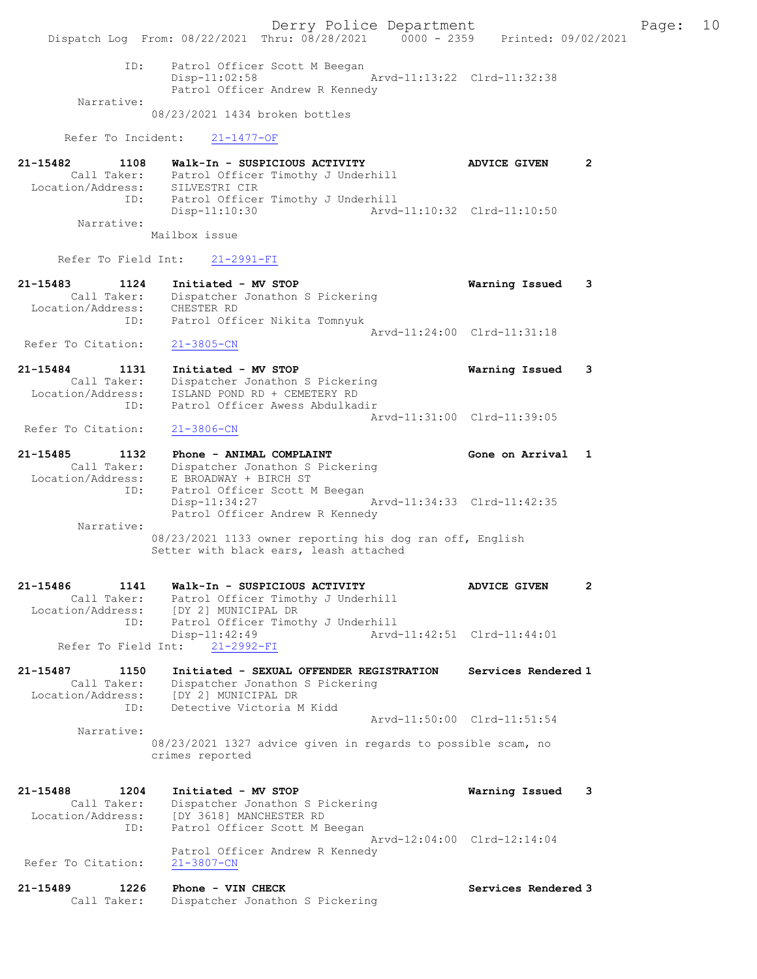Derry Police Department Fage: 10 Dispatch Log From: 08/22/2021 Thru: 08/28/2021 0000 - 2359 Printed: 09/02/2021 ID: Patrol Officer Scott M Beegan Disp-11:02:58 Arvd-11:13:22 Clrd-11:32:38 Patrol Officer Andrew R Kennedy Narrative: 08/23/2021 1434 broken bottles Refer To Incident: 21-1477-OF 21-15482 1108 Walk-In - SUSPICIOUS ACTIVITY ADVICE GIVEN 2 Call Taker: Patrol Officer Timothy J Underhill Location/Address: SILVESTRI CIR ID: Patrol Officer Timothy J Underhill Disp-11:10:30 Arvd-11:10:32 Clrd-11:10:50 Narrative: Mailbox issue Refer To Field Int: 21-2991-FI 21-15483 1124 Initiated - MV STOP Warning Issued 3 Call Taker: Dispatcher Jonathon S Pickering Location/Address: CHESTER RD ID: Patrol Officer Nikita Tomnyuk Arvd-11:24:00 Clrd-11:31:18 Refer To Citation: 21-3805-CN 21-15484 1131 Initiated - MV STOP Warning Issued 3 Call Taker: Dispatcher Jonathon S Pickering Location/Address: ISLAND POND RD + CEMETERY RD ID: Patrol Officer Awess Abdulkadir Arvd-11:31:00 Clrd-11:39:05<br>21-3806-CN Refer To Citation: 21-15485 1132 Phone - ANIMAL COMPLAINT COMERCITY Cone on Arrival 1 Call Taker: Dispatcher Jonathon S Pickering Location/Address: E BROADWAY + BIRCH ST ID: Patrol Officer Scott M Beegan Disp-11:34:27 Arvd-11:34:33 Clrd-11:42:35 Patrol Officer Andrew R Kennedy Narrative: 08/23/2021 1133 owner reporting his dog ran off, English Setter with black ears, leash attached 21-15486 1141 Walk-In - SUSPICIOUS ACTIVITY ADVICE GIVEN 2 Call Taker: Patrol Officer Timothy J Underhill Location/Address: [DY 2] MUNICIPAL DR ID: Patrol Officer Timothy J Underhill<br>Disp-11:42:49 Arvd- Disp-11:42:49 Arvd-11:42:51 Clrd-11:44:01 Refer To Field Int: 21-2992-FI 21-15487 1150 Initiated - SEXUAL OFFENDER REGISTRATION Services Rendered 1 Call Taker: Dispatcher Jonathon S Pickering Location/Address: [DY 2] MUNICIPAL DR ID: Detective Victoria M Kidd Arvd-11:50:00 Clrd-11:51:54 Narrative: 08/23/2021 1327 advice given in regards to possible scam, no crimes reported 21-15488 1204 Initiated - MV STOP Warning Issued 3 Call Taker: Dispatcher Jonathon S Pickering Location/Address: [DY 3618] MANCHESTER RD ID: Patrol Officer Scott M Beegan Arvd-12:04:00 Clrd-12:14:04 Patrol Officer Andrew R Kennedy<br>21-3807-CN Refer To Citation: 21-15489 1226 Phone - VIN CHECK Services Rendered 3 Call Taker: Dispatcher Jonathon S Pickering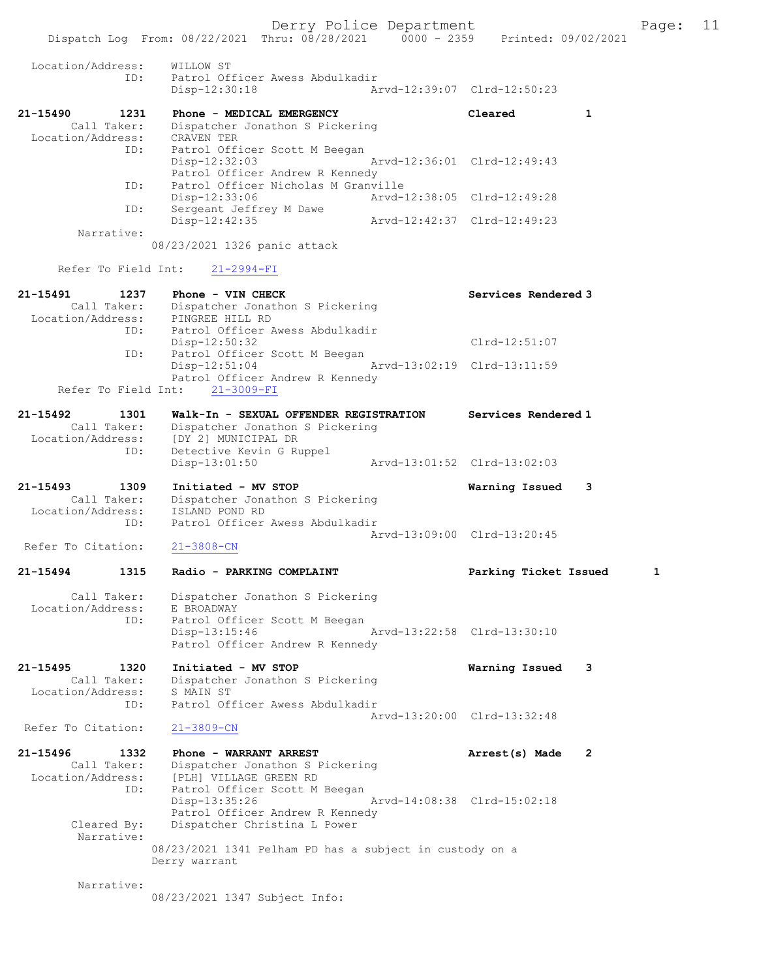|                                                             | Dispatch Log From: 08/22/2021 Thru: 08/28/2021 0000 - 2359                                                           | Printed: 09/02/2021            |
|-------------------------------------------------------------|----------------------------------------------------------------------------------------------------------------------|--------------------------------|
| Location/Address:<br>ID:                                    | WILLOW ST<br>Patrol Officer Awess Abdulkadir<br>Disp-12:30:18                                                        | Arvd-12:39:07 Clrd-12:50:23    |
| 21-15490<br>1231                                            | Phone - MEDICAL EMERGENCY                                                                                            | $\mathbf{1}$<br>Cleared        |
| Call Taker:<br>Location/Address:<br>ID:                     | Dispatcher Jonathon S Pickering<br>CRAVEN TER<br>Patrol Officer Scott M Beegan                                       |                                |
| ID:                                                         | Disp-12:32:03<br>Patrol Officer Andrew R Kennedy<br>Patrol Officer Nicholas M Granville                              | Arvd-12:36:01 Clrd-12:49:43    |
| ID:                                                         | Disp-12:33:06<br>Arvd-12:38:05 Clrd-12:49:28<br>Sergeant Jeffrey M Dawe                                              |                                |
| Narrative:                                                  | Disp-12:42:35<br>Arvd-12:42:37 Clrd-12:49:23                                                                         |                                |
|                                                             | 08/23/2021 1326 panic attack                                                                                         |                                |
| Refer To Field Int:                                         | $21 - 2994 - FI$                                                                                                     |                                |
| 21-15491<br>1237                                            | Phone - VIN CHECK<br>Call Taker: Dispatcher Jonathon S Pickering<br>Location/Address: PINGREE HILL RD                | Services Rendered 3            |
| ID:                                                         | Patrol Officer Awess Abdulkadir<br>$Disp-12:50:32$                                                                   | $Clrd-12:51:07$                |
| ID:                                                         | Patrol Officer Scott M Beegan<br>Disp-12:51:04                                                                       | Arvd-13:02:19 Clrd-13:11:59    |
| Refer To Field Int:                                         | Patrol Officer Andrew R Kennedy<br>$21 - 3009 - FI$                                                                  |                                |
| 21-15492<br>1301<br>Call Taker:                             | Walk-In - SEXUAL OFFENDER REGISTRATION<br>Dispatcher Jonathon S Pickering                                            | Services Rendered 1            |
| Location/Address:                                           | [DY 2] MUNICIPAL DR                                                                                                  |                                |
| ID:                                                         | Detective Kevin G Ruppel<br>$Disp-13:01:50$                                                                          | Arvd-13:01:52 Clrd-13:02:03    |
| 21-15493<br>1309<br>Call Taker:                             | Initiated - MV STOP<br>Dispatcher Jonathon S Pickering                                                               | Warning Issued<br>3            |
| Location/Address:                                           | ISLAND POND RD                                                                                                       |                                |
| ID:                                                         | Patrol Officer Awess Abdulkadir                                                                                      | Arvd-13:09:00 Clrd-13:20:45    |
| Refer To Citation:                                          | $21 - 3808 - CN$                                                                                                     |                                |
| 1315<br>21-15494                                            | Radio - PARKING COMPLAINT                                                                                            | 1<br>Parking Ticket Issued     |
| Call Taker:<br>Location/Address:                            | Dispatcher Jonathon S Pickering<br>E BROADWAY                                                                        |                                |
| ID:                                                         | Patrol Officer Scott M Beegan<br>Disp-13:15:46<br>Patrol Officer Andrew R Kennedy                                    | Arvd-13:22:58 Clrd-13:30:10    |
| $21 - 15495$<br>1320<br>Call Taker:<br>Location/Address:    | Initiated - MV STOP<br>Dispatcher Jonathon S Pickering<br>S MAIN ST                                                  | 3<br>Warning Issued            |
| ID:                                                         | Patrol Officer Awess Abdulkadir                                                                                      |                                |
| Refer To Citation:                                          | $21 - 3809 - CN$                                                                                                     | Arvd-13:20:00 Clrd-13:32:48    |
| 21-15496<br>1332<br>Call Taker:<br>Location/Address:<br>ID: | Phone - WARRANT ARREST<br>Dispatcher Jonathon S Pickering<br>[PLH] VILLAGE GREEN RD<br>Patrol Officer Scott M Beegan | $\mathbf{2}$<br>Arrest(s) Made |
| Cleared By:                                                 | Disp-13:35:26<br>Patrol Officer Andrew R Kennedy<br>Dispatcher Christina L Power                                     | Arvd-14:08:38 Clrd-15:02:18    |
| Narrative:                                                  | 08/23/2021 1341 Pelham PD has a subject in custody on a<br>Derry warrant                                             |                                |
| Narrative:                                                  |                                                                                                                      |                                |
|                                                             | 08/23/2021 1347 Subject Info:                                                                                        |                                |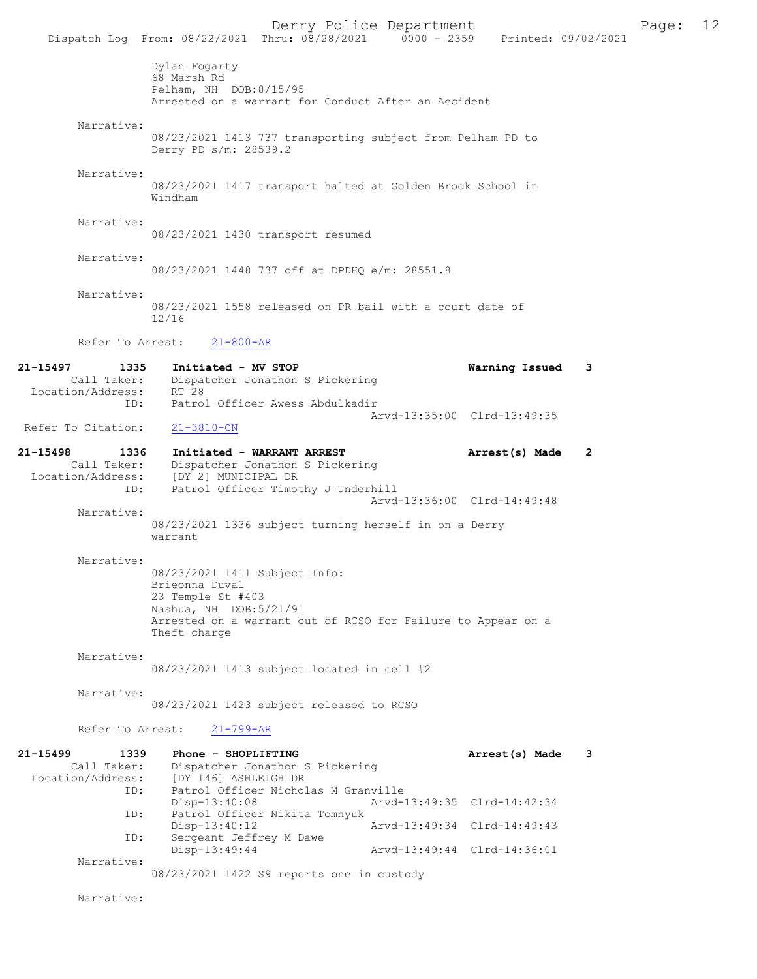Dispatch Log From: 08/22/2021 Thru: 08/28/2021 0000 - 2359 Printed: 09/02/2021 Dylan Fogarty 68 Marsh Rd Pelham, NH DOB:8/15/95 Arrested on a warrant for Conduct After an Accident Narrative: 08/23/2021 1413 737 transporting subject from Pelham PD to Derry PD s/m: 28539.2 Narrative: 08/23/2021 1417 transport halted at Golden Brook School in Windham Narrative: 08/23/2021 1430 transport resumed Narrative: 08/23/2021 1448 737 off at DPDHQ e/m: 28551.8 Narrative: 08/23/2021 1558 released on PR bail with a court date of 12/16 Refer To Arrest: 21-800-AR 21-15497 1335 Initiated - MV STOP Warning Issued 3 Call Taker: Dispatcher Jonathon S Pickering<br>ion/Address: RT 28 Location/Address: ID: Patrol Officer Awess Abdulkadir Arvd-13:35:00 Clrd-13:49:35<br>21-3810-CN Refer To Citation: 21-15498 1336 Initiated - WARRANT ARREST Arrest(s) Made 2 Call Taker: Dispatcher Jonathon S Pickering<br>Location/Address: [DY 2] MUNICIPAL DR Location/Address: [DY 2] MUNICIPAL DR ID: Patrol Officer Timothy J Underhill Arvd-13:36:00 Clrd-14:49:48 Narrative: 08/23/2021 1336 subject turning herself in on a Derry warrant Narrative: 08/23/2021 1411 Subject Info: Brieonna Duval 23 Temple St #403 Nashua, NH DOB:5/21/91 Arrested on a warrant out of RCSO for Failure to Appear on a Theft charge Narrative: 08/23/2021 1413 subject located in cell #2 Narrative: 08/23/2021 1423 subject released to RCSO Refer To Arrest: 21-799-AR 21-15499 1339 Phone - SHOPLIFTING **12000** Arrest(s) Made 3 Call Taker: Dispatcher Jonathon S Pickering Location/Address: [DY 146] ASHLEIGH DR<br>ID: Patrol Officer Nichola Patrol Officer Nicholas M Granville<br>Disp-13:40:08 Arvd-1 Disp-13:40:08 Arvd-13:49:35 Clrd-14:42:34<br>TD: Patrol Officer Nikita Tompyuk Patrol Officer Nikita Tomnyuk Disp-13:40:12 Arvd-13:49:34 Clrd-14:49:43 ID: Sergeant Jeffrey M Dawe<br>Disp-13:49:44 Disp-13:49:44 Arvd-13:49:44 Clrd-14:36:01 Narrative: 08/23/2021 1422 S9 reports one in custody Narrative:

Derry Police Department Fage: 12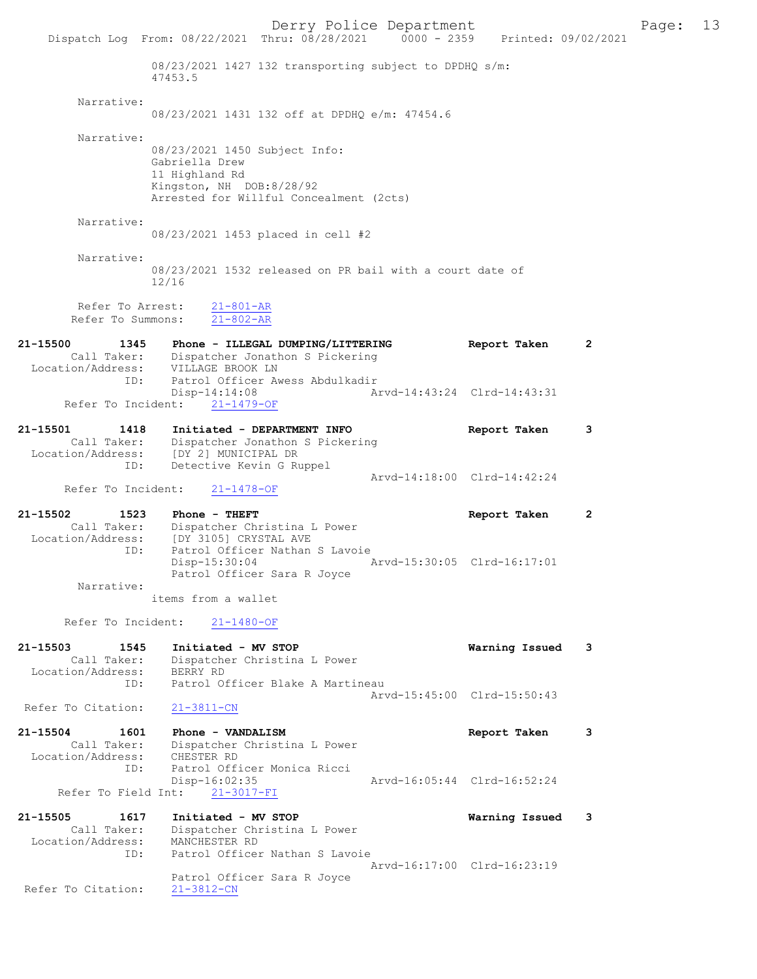Derry Police Department Fage: 13 Dispatch Log From: 08/22/2021 Thru: 08/28/2021 0000 - 2359 Printed: 09/02/2021 08/23/2021 1427 132 transporting subject to DPDHQ s/m: 47453.5 Narrative: 08/23/2021 1431 132 off at DPDHQ e/m: 47454.6 Narrative: 08/23/2021 1450 Subject Info: Gabriella Drew 11 Highland Rd Kingston, NH DOB:8/28/92 Arrested for Willful Concealment (2cts) Narrative: 08/23/2021 1453 placed in cell #2 Narrative: 08/23/2021 1532 released on PR bail with a court date of 12/16 Refer To Arrest: 21-801-AR Refer To Summons: 21-802-AR 21-15500 1345 Phone - ILLEGAL DUMPING/LITTERING Report Taken 2 Call Taker: Dispatcher Jonathon S Pickering Location/Address: VILLAGE BROOK LN ID: Patrol Officer Awess Abdulkadir Disp-14:14:08 Arvd-14:43:24 Clrd-14:43:31 Refer To Incident: 21-1479-OF 21-15501 1418 Initiated - DEPARTMENT INFO Report Taken 3 Call Taker: Dispatcher Jonathon S Pickering Location/Address: [DY 2] MUNICIPAL DR ID: Detective Kevin G Ruppel Arvd-14:18:00 Clrd-14:42:24 Refer To Incident: 21-1478-OF 21-15502 1523 Phone - THEFT Report Taken 2 Call Taker: Dispatcher Christina L Power Location/Address: [DY 3105] CRYSTAL AVE ID: Patrol Officer Nathan S Lavoie<br>Disp-15:30:04 Disp-15:30:04 Arvd-15:30:05 Clrd-16:17:01 Patrol Officer Sara R Joyce Narrative: items from a wallet Refer To Incident: 21-1480-OF 21-15503 1545 Initiated - MV STOP Warning Issued 3 Call Taker: Dispatcher Christina L Power Location/Address: BERRY RD ID: Patrol Officer Blake A Martineau Arvd-15:45:00 Clrd-15:50:43 Refer To Citation: 21-3811-CN 21-15504 1601 Phone - VANDALISM Report Taken 3 Call Taker: Dispatcher Christina L Power Location/Address: CHESTER RD ID: Patrol Officer Monica Ricci Disp-16:02:35 Arvd-16:05:44 Clrd-16:52:24 Refer To Field Int: 21-3017-FI 21-15505 1617 Initiated - MV STOP Warning Issued 3 Call Taker: Dispatcher Christina L Power Location/Address: MANCHESTER RD ID: Patrol Officer Nathan S Lavoie Arvd-16:17:00 Clrd-16:23:19 Patrol Officer Sara R Joyce Refer To Citation: 21-3812-CN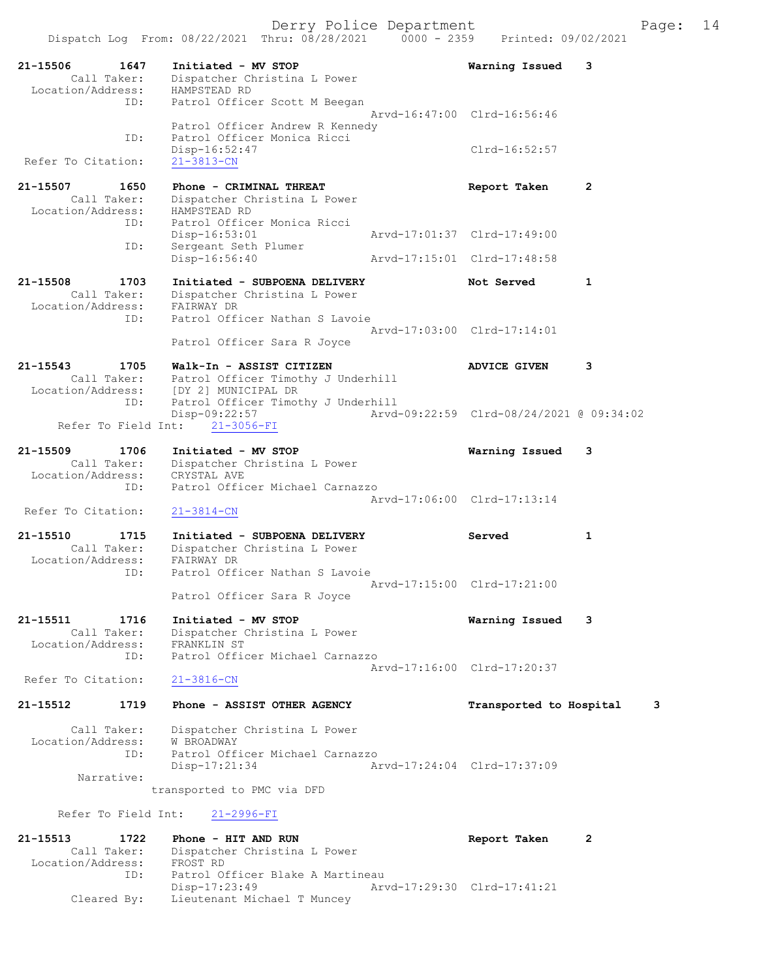Derry Police Department Fage: 14

21-15506 1647 Initiated - MV STOP Warning Issued 3 Call Taker: Dispatcher Christina L Power Location/Address: HAMPSTEAD RD ID: Patrol Officer Scott M Beegan Arvd-16:47:00 Clrd-16:56:46 Patrol Officer Andrew R Kennedy ID: Patrol Officer Monica Ricci Disp-16:52:47 Clrd-16:52:57<br>21-3813-CN Refer To Citation: 21-15507 1650 Phone - CRIMINAL THREAT CONTROLLER Report Taken 2 Call Taker: Dispatcher Christina L Power Location/Address: HAMPSTEAD RD ID: Patrol Officer Monica Ricci Arvd-17:01:37 Clrd-17:49:00 ID: Sergeant Seth Plumer<br>Disp-16:56:40 Disp-16:000:12<br>Sergeant Seth Plumer<br>- 16:56:40 Arvd-17:15:01 Clrd-17:48:58 21-15508 1703 Initiated - SUBPOENA DELIVERY Not Served 1 Call Taker: Dispatcher Christina L Power Location/Address: FAIRWAY DR ID: Patrol Officer Nathan S Lavoie Arvd-17:03:00 Clrd-17:14:01 Patrol Officer Sara R Joyce 21-15543 1705 Walk-In - ASSIST CITIZEN ADVICE GIVEN 3 Call Taker: Patrol Officer Timothy J Underhill Location/Address: [DY 2] MUNICIPAL DR ID: Patrol Officer Timothy J Underhill Disp-09:22:57 Arvd-09:22:59 Clrd-08/24/2021 @ 09:34:02 Refer To Field Int: 21-3056-FI 21-15509 1706 Initiated - MV STOP Warning Issued 3 Call Taker: Dispatcher Christina L Power Location/Address: CRYSTAL AVE ID: Patrol Officer Michael Carnazzo Arvd-17:06:00 Clrd-17:13:14 Refer To Citation: 21-3814-CN 21-15510 1715 Initiated - SUBPOENA DELIVERY Served 1 Call Taker: Dispatcher Christina L Power Location/Address: FAIRWAY DR ID: Patrol Officer Nathan S Lavoie Arvd-17:15:00 Clrd-17:21:00 Patrol Officer Sara R Joyce 21-15511 1716 Initiated - MV STOP Warning Issued 3 Call Taker: Dispatcher Christina L Power Location/Address: FRANKLIN ST ID: Patrol Officer Michael Carnazzo Arvd-17:16:00 Clrd-17:20:37<br>21-3816-CN Refer To Citation: 21-15512 1719 Phone - ASSIST OTHER AGENCY Transported to Hospital 3 Call Taker: Dispatcher Christina L Power Location/Address: W BROADWAY ID: Patrol Officer Michael Carnazzo Disp-17:21:34 Arvd-17:24:04 Clrd-17:37:09 Narrative: transported to PMC via DFD Refer To Field Int: 21-2996-FI 21-15513 1722 Phone - HIT AND RUN Report Taken 2 Call Taker: Dispatcher Christina L Power Location/Address: FROST RD ID: Patrol Officer Blake A Martineau

 Disp-17:23:49 Arvd-17:29:30 Clrd-17:41:21 Cleared By: Lieutenant Michael T Muncey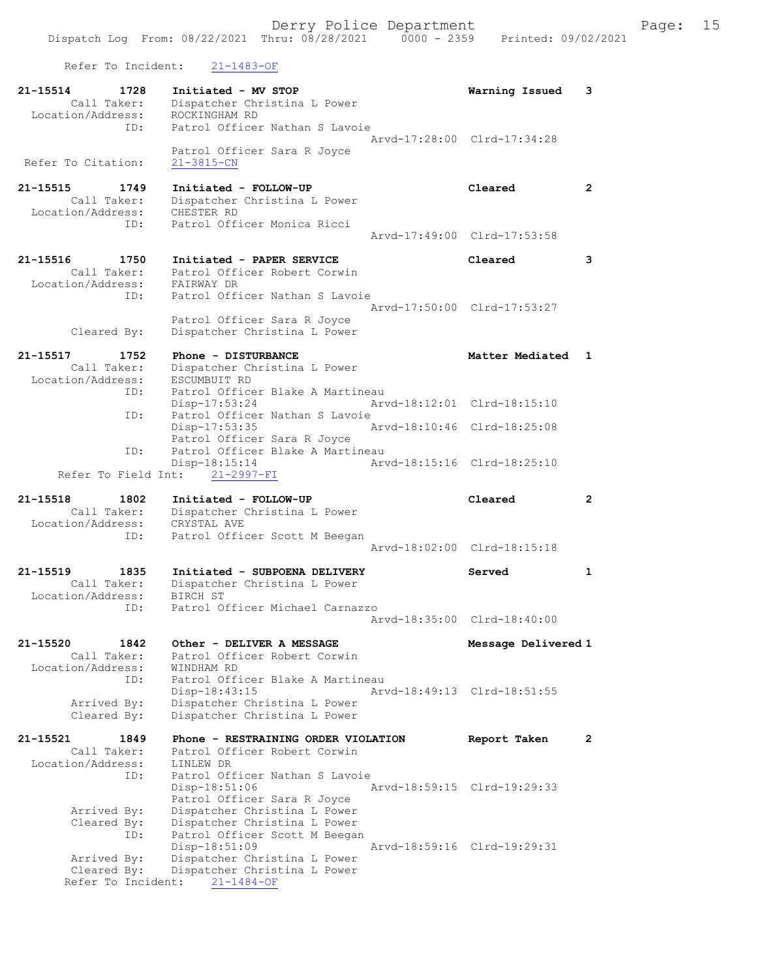Refer To Incident: 21-1483-OF

| 21-15514<br>1728<br>Call Taker:<br>Location/Address:        | Initiated - MV STOP<br>Dispatcher Christina L Power<br>ROCKINGHAM RD                               | Warning Issued              | 3              |
|-------------------------------------------------------------|----------------------------------------------------------------------------------------------------|-----------------------------|----------------|
| ID:<br>Refer To Citation:                                   | Patrol Officer Nathan S Lavoie<br>Patrol Officer Sara R Joyce<br>$21 - 3815 - CN$                  | Arvd-17:28:00 Clrd-17:34:28 |                |
|                                                             |                                                                                                    |                             |                |
| 1749<br>21-15515<br>Call Taker:<br>Location/Address:<br>ID: | Initiated - FOLLOW-UP<br>Dispatcher Christina L Power<br>CHESTER RD<br>Patrol Officer Monica Ricci | Cleared                     | $\overline{2}$ |
|                                                             |                                                                                                    | Arvd-17:49:00 Clrd-17:53:58 |                |
| 21-15516<br>1750                                            | Initiated - PAPER SERVICE                                                                          | Cleared                     | 3              |
| Call Taker:<br>Location/Address:                            | Patrol Officer Robert Corwin<br>FAIRWAY DR                                                         |                             |                |
| ID:                                                         | Patrol Officer Nathan S Lavoie                                                                     |                             |                |
|                                                             |                                                                                                    | Arvd-17:50:00 Clrd-17:53:27 |                |
| Cleared By:                                                 | Patrol Officer Sara R Joyce<br>Dispatcher Christina L Power                                        |                             |                |
| 21-15517<br>1752                                            | Phone - DISTURBANCE                                                                                | Matter Mediated             | 1              |
| Call Taker:                                                 | Dispatcher Christina L Power                                                                       |                             |                |
| Location/Address:<br>ID:                                    | ESCUMBUIT RD<br>Patrol Officer Blake A Martineau                                                   |                             |                |
|                                                             | Disp-17:53:24                                                                                      | Arvd-18:12:01 Clrd-18:15:10 |                |
| ID:                                                         | Patrol Officer Nathan S Lavoie<br>Disp-17:53:35                                                    | Arvd-18:10:46 Clrd-18:25:08 |                |
|                                                             | Patrol Officer Sara R Joyce                                                                        |                             |                |
| ID:                                                         | Patrol Officer Blake A Martineau                                                                   |                             |                |
| Refer To Field Int:                                         | Disp-18:15:14<br>21-2997-FI                                                                        | Arvd-18:15:16 Clrd-18:25:10 |                |
|                                                             |                                                                                                    |                             |                |
| 21-15518<br>1802                                            | Initiated - FOLLOW-UP                                                                              | Cleared                     | $\overline{2}$ |
| Call Taker:                                                 | Dispatcher Christina L Power                                                                       |                             |                |
| Location/Address:                                           | CRYSTAL AVE                                                                                        |                             |                |
| ID:                                                         | Patrol Officer Scott M Beegan                                                                      | Arvd-18:02:00 Clrd-18:15:18 |                |
| 21-15519<br>1835                                            | Initiated - SUBPOENA DELIVERY                                                                      | Served                      | 1              |
| Call Taker:                                                 | Dispatcher Christina L Power                                                                       |                             |                |
| Location/Address:<br>ID:                                    | BIRCH ST<br>Patrol Officer Michael Carnazzo                                                        |                             |                |
|                                                             |                                                                                                    | Arvd-18:35:00 Clrd-18:40:00 |                |
| 21-15520<br>1842                                            | Other - DELIVER A MESSAGE                                                                          | Message Delivered 1         |                |
| Call Taker:                                                 | Patrol Officer Robert Corwin                                                                       |                             |                |
| Location/Address:                                           | WINDHAM RD                                                                                         |                             |                |
| ID:                                                         | Patrol Officer Blake A Martineau<br>Disp-18:43:15                                                  | Arvd-18:49:13 Clrd-18:51:55 |                |
| Arrived By:<br>Cleared By:                                  | Dispatcher Christina L Power<br>Dispatcher Christina L Power                                       |                             |                |
|                                                             |                                                                                                    |                             |                |
| 21-15521<br>1849<br>Call Taker:                             | Phone - RESTRAINING ORDER VIOLATION<br>Patrol Officer Robert Corwin                                | Report Taken                | $\mathbf{2}$   |
| Location/Address:                                           | LINLEW DR                                                                                          |                             |                |
| ID:                                                         | Patrol Officer Nathan S Lavoie<br>Disp-18:51:06                                                    | Arvd-18:59:15 Clrd-19:29:33 |                |
| Arrived By:                                                 | Patrol Officer Sara R Joyce<br>Dispatcher Christina L Power                                        |                             |                |
| Cleared By:                                                 | Dispatcher Christina L Power                                                                       |                             |                |
| ID:                                                         | Patrol Officer Scott M Beegan                                                                      | Arvd-18:59:16 Clrd-19:29:31 |                |
| Arrived By:                                                 | Disp-18:51:09<br>Dispatcher Christina L Power                                                      |                             |                |
| Cleared By:<br>Refer To Incident:                           | Dispatcher Christina L Power<br>$21 - 1484 - OF$                                                   |                             |                |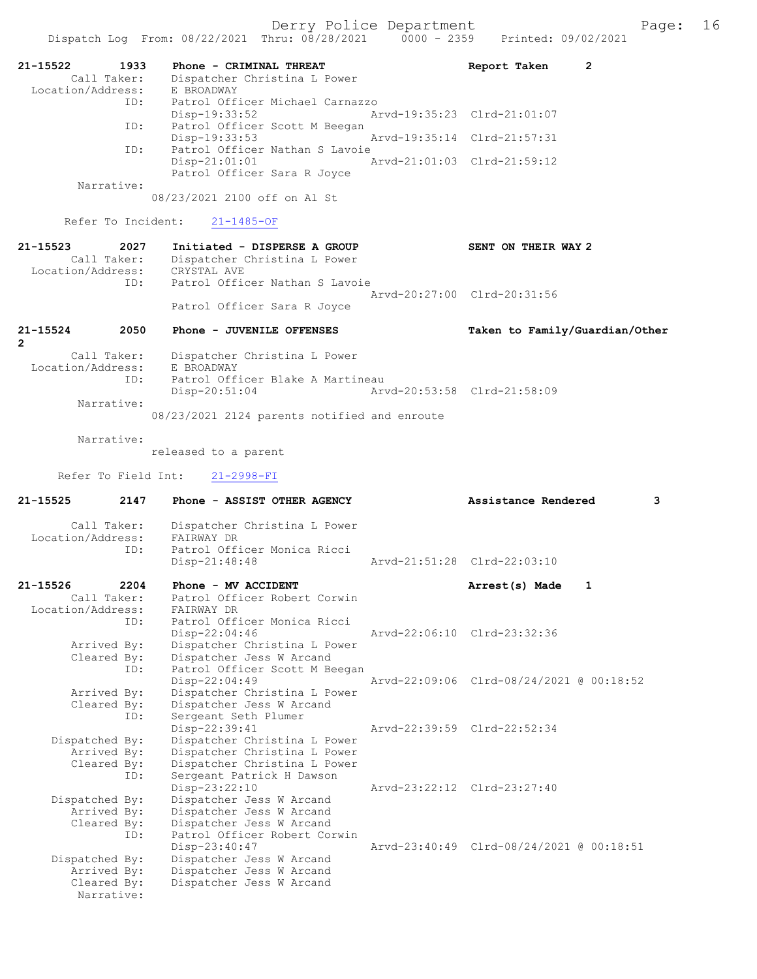| 21-15522<br>Location/Address: | 1933<br>Call Taker:        | Phone - CRIMINAL THREAT<br>Dispatcher Christina L Power<br>E BROADWAY            | $\mathbf{2}$<br>Report Taken             |
|-------------------------------|----------------------------|----------------------------------------------------------------------------------|------------------------------------------|
|                               | ID:                        | Patrol Officer Michael Carnazzo<br>Disp-19:33:52                                 | Arvd-19:35:23 Clrd-21:01:07              |
|                               | ID:                        | Patrol Officer Scott M Beegan<br>$Disp-19:33:53$                                 | Arvd-19:35:14 Clrd-21:57:31              |
|                               | ID:                        | Patrol Officer Nathan S Lavoie<br>$Disp-21:01:01$<br>Patrol Officer Sara R Joyce | Arvd-21:01:03 Clrd-21:59:12              |
|                               | Narrative:                 | 08/23/2021 2100 off on Al St                                                     |                                          |
|                               | Refer To Incident:         | $21 - 1485 - OF$                                                                 |                                          |
| $21 - 15523$                  | 2027                       | Initiated - DISPERSE A GROUP                                                     | SENT ON THEIR WAY 2                      |
|                               | Call Taker:                | Dispatcher Christina L Power                                                     |                                          |
| Location/Address:             | ID:                        | CRYSTAL AVE<br>Patrol Officer Nathan S Lavoie                                    |                                          |
|                               |                            | Patrol Officer Sara R Joyce                                                      | Arvd-20:27:00 Clrd-20:31:56              |
| 21-15524<br>$\overline{2}$    | 2050                       | Phone - JUVENILE OFFENSES                                                        | Taken to Family/Guardian/Other           |
| Location/Address:             | Call Taker:                | Dispatcher Christina L Power<br>E BROADWAY                                       |                                          |
|                               | ID:                        | Patrol Officer Blake A Martineau<br>$Disp-20:51:04$                              | Arvd-20:53:58 Clrd-21:58:09              |
|                               | Narrative:                 | 08/23/2021 2124 parents notified and enroute                                     |                                          |
|                               | Narrative:                 |                                                                                  |                                          |
|                               |                            | released to a parent                                                             |                                          |
|                               | Refer To Field Int:        | $21 - 2998 - FI$                                                                 |                                          |
|                               |                            |                                                                                  |                                          |
| 21-15525                      | 2147                       | Phone - ASSIST OTHER AGENCY                                                      | Assistance Rendered<br>3                 |
|                               | Call Taker:                | Dispatcher Christina L Power                                                     |                                          |
| Location/Address:             | ID:                        | FAIRWAY DR<br>Patrol Officer Monica Ricci                                        |                                          |
|                               |                            | Disp-21:48:48                                                                    | Arvd-21:51:28 Clrd-22:03:10              |
| 21-15526                      | 2204                       | Phone - MV ACCIDENT                                                              | Arrest(s) Made<br>1                      |
| Location/Address:             | Call Taker:                | Patrol Officer Robert Corwin<br>FAIRWAY DR                                       |                                          |
|                               | ID:                        | Patrol Officer Monica Ricci                                                      |                                          |
|                               |                            | $Disp-22:04:46$                                                                  | Arvd-22:06:10 Clrd-23:32:36              |
|                               | Arrived By:<br>Cleared By: | Dispatcher Christina L Power<br>Dispatcher Jess W Arcand                         |                                          |
|                               | ID:                        | Patrol Officer Scott M Beegan                                                    |                                          |
|                               | Arrived By:                | Disp-22:04:49<br>Dispatcher Christina L Power                                    | Arvd-22:09:06 Clrd-08/24/2021 @ 00:18:52 |
|                               | Cleared By:                | Dispatcher Jess W Arcand                                                         |                                          |
|                               | ID:                        | Sergeant Seth Plumer<br>Disp-22:39:41                                            | Aryd-22:39:59 Clrd-22:52:34              |
| Dispatched By:                |                            | Dispatcher Christina L Power                                                     |                                          |
|                               | Arrived By:                | Dispatcher Christina L Power                                                     |                                          |
|                               | Cleared By:<br>ID:         | Dispatcher Christina L Power<br>Sergeant Patrick H Dawson                        |                                          |
|                               |                            | Disp-23:22:10                                                                    | Arvd-23:22:12 Clrd-23:27:40              |
| Dispatched By:                | Arrived By:                | Dispatcher Jess W Arcand                                                         |                                          |
|                               | Cleared By:                | Dispatcher Jess W Arcand<br>Dispatcher Jess W Arcand                             |                                          |
|                               | ID:                        | Patrol Officer Robert Corwin                                                     |                                          |
| Dispatched By:                |                            | Disp-23:40:47<br>Dispatcher Jess W Arcand                                        | Arvd-23:40:49 Clrd-08/24/2021 @ 00:18:51 |
|                               | Arrived By:<br>Cleared By: | Dispatcher Jess W Arcand<br>Dispatcher Jess W Arcand                             |                                          |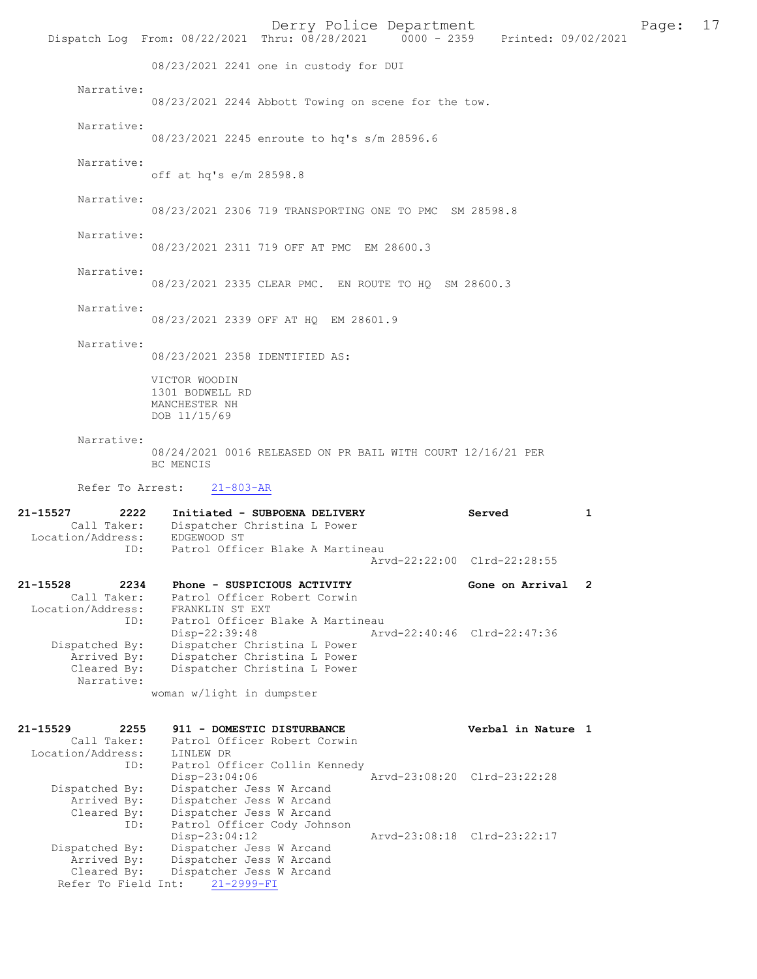Derry Police Department<br>
Page: 17<br>
Printed: 09/02/2021<br>
Printed: 09/02/2021 Dispatch Log From: 08/22/2021 Thru: 08/28/2021 08/23/2021 2241 one in custody for DUI Narrative: 08/23/2021 2244 Abbott Towing on scene for the tow. Narrative: 08/23/2021 2245 enroute to hq's s/m 28596.6 Narrative: off at hq's e/m 28598.8 Narrative: 08/23/2021 2306 719 TRANSPORTING ONE TO PMC SM 28598.8 Narrative: 08/23/2021 2311 719 OFF AT PMC EM 28600.3 Narrative: 08/23/2021 2335 CLEAR PMC. EN ROUTE TO HQ SM 28600.3 Narrative: 08/23/2021 2339 OFF AT HQ EM 28601.9 Narrative: 08/23/2021 2358 IDENTIFIED AS: VICTOR WOODIN 1301 BODWELL RD MANCHESTER NH DOB 11/15/69 Narrative: 08/24/2021 0016 RELEASED ON PR BAIL WITH COURT 12/16/21 PER BC MENCIS Refer To Arrest: 21-803-AR 21-15527 2222 Initiated - SUBPOENA DELIVERY Served 1 Call Taker: Dispatcher Christina L Power<br>ion/Address: EDGEWOOD ST Location/Address:<br>ID: Patrol Officer Blake A Martineau Arvd-22:22:00 Clrd-22:28:55 21-15528 2234 Phone - SUSPICIOUS ACTIVITY Gone on Arrival 2 Call Taker: Patrol Officer Robert Corwin Location/Address: FRANKLIN ST EXT ID: Patrol Officer Blake A Martineau<br>Disp-22:39:48 Ary Disp-22:39:48 Arvd-22:40:46 Clrd-22:47:36 Dispatched By: Dispatcher Christina L Power Arrived By: Dispatcher Christina L Power Cleared By: Dispatcher Christina L Power Narrative: woman w/light in dumpster 21-15529 2255 911 - DOMESTIC DISTURBANCE Verbal in Nature 1 Call Taker: Patrol Officer Robert Corwin Location/Address: LINLEW DR<br>ID: Patrol Of: Patrol Officer Collin Kennedy<br>Disp-23:04:06 Mrvd-23:08:20 Clrd-23:22:28 Disp-23:04:06 Arvd-23:08:20 Clrd-23:22:28 Dispatched By: Dispatcher Jess W Arcand Arrived By: Dispatcher Jess W Arcand Cleared By: Dispatcher Jess W Arcand ID: Patrol Officer Cody Johnson Disp-23:04:12 Arvd-23:08:18 Clrd-23:22:17 Dispatched By: Dispatcher Jess W Arcand Arrived By: Dispatcher Jess W Arcand Cleared By: Dispatcher Jess W Arcand Refer To Field Int: 21-2999-FI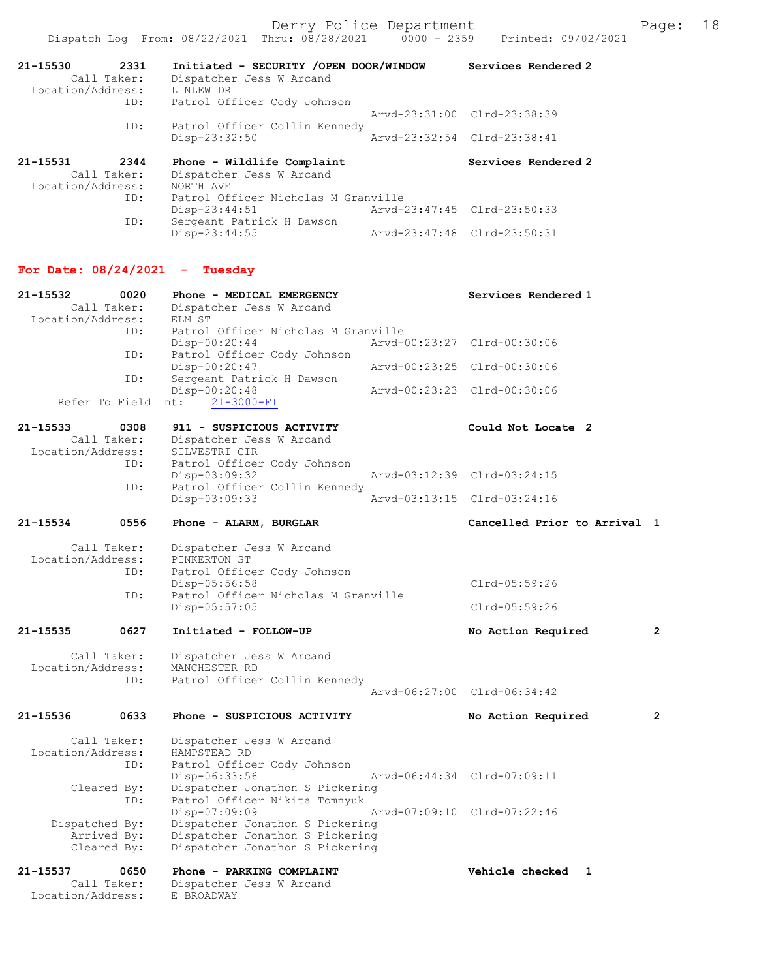| 21-15530<br>2331<br>Call Taker:<br>Location/Address:<br>ID: | Initiated - SECURITY / OPEN DOOR/WINDOW<br>Dispatcher Jess W Arcand<br>LINLEW DR<br>Patrol Officer Cody Johnson | Services Rendered 2         |
|-------------------------------------------------------------|-----------------------------------------------------------------------------------------------------------------|-----------------------------|
|                                                             |                                                                                                                 | Arvd-23:31:00 Clrd-23:38:39 |
| ID:                                                         | Patrol Officer Collin Kennedy                                                                                   |                             |
|                                                             | Disp-23:32:50                                                                                                   | Arvd-23:32:54 Clrd-23:38:41 |
|                                                             |                                                                                                                 |                             |
| 21-15531<br>2344                                            | Phone - Wildlife Complaint                                                                                      | Services Rendered 2         |
| Call Taker:                                                 | Dispatcher Jess W Arcand                                                                                        |                             |
| Location/Address:                                           | NORTH AVE                                                                                                       |                             |
| ID:                                                         | Patrol Officer Nicholas M Granville                                                                             |                             |
|                                                             | Disp-23:44:51                                                                                                   | Arvd-23:47:45 Clrd-23:50:33 |
| ID:                                                         | Sergeant Patrick H Dawson                                                                                       |                             |

# For Date: 08/24/2021 - Tuesday

| 21-15532          | 0020                | Phone - MEDICAL EMERGENCY           | Services Rendered 1          |                |
|-------------------|---------------------|-------------------------------------|------------------------------|----------------|
|                   | Call Taker:         | Dispatcher Jess W Arcand            |                              |                |
| Location/Address: |                     | ELM ST                              |                              |                |
|                   | ID:                 | Patrol Officer Nicholas M Granville |                              |                |
|                   |                     | $Disp-00:20:44$                     | Arvd-00:23:27 Clrd-00:30:06  |                |
|                   | ID:                 | Patrol Officer Cody Johnson         |                              |                |
|                   |                     | Disp-00:20:47                       | Arvd-00:23:25 Clrd-00:30:06  |                |
|                   | ID:                 | Sergeant Patrick H Dawson           |                              |                |
|                   |                     | Disp-00:20:48                       | Arvd-00:23:23 Clrd-00:30:06  |                |
|                   | Refer To Field Int: | $21 - 3000 - FI$                    |                              |                |
|                   |                     |                                     |                              |                |
| $21 - 15533$      | 0308                | 911 - SUSPICIOUS ACTIVITY           | Could Not Locate 2           |                |
|                   | Call Taker:         | Dispatcher Jess W Arcand            |                              |                |
| Location/Address: |                     | SILVESTRI CIR                       |                              |                |
|                   | ID:                 | Patrol Officer Cody Johnson         |                              |                |
|                   |                     | $Disp-03:09:32$                     | Arvd-03:12:39 Clrd-03:24:15  |                |
|                   | ID:                 | Patrol Officer Collin Kennedy       |                              |                |
|                   |                     |                                     |                              |                |
|                   |                     | Disp-03:09:33                       | Arvd-03:13:15 Clrd-03:24:16  |                |
| 21-15534          | 0556                |                                     | Cancelled Prior to Arrival 1 |                |
|                   |                     | Phone - ALARM, BURGLAR              |                              |                |
|                   |                     |                                     |                              |                |
|                   | Call Taker:         | Dispatcher Jess W Arcand            |                              |                |
| Location/Address: |                     | PINKERTON ST                        |                              |                |
|                   | ID:                 | Patrol Officer Cody Johnson         |                              |                |
|                   |                     | $Disp-05:56:58$                     | Clrd-05:59:26                |                |
|                   | ID:                 | Patrol Officer Nicholas M Granville |                              |                |
|                   |                     | $Disp-05:57:05$                     | Clrd-05:59:26                |                |
| 21-15535          | 0627                | Initiated - FOLLOW-UP               | No Action Required           | $\overline{2}$ |
|                   |                     |                                     |                              |                |
|                   | Call Taker:         | Dispatcher Jess W Arcand            |                              |                |
| Location/Address: |                     | MANCHESTER RD                       |                              |                |
|                   | ID:                 | Patrol Officer Collin Kennedy       |                              |                |
|                   |                     |                                     | Arvd-06:27:00 Clrd-06:34:42  |                |
|                   |                     |                                     |                              |                |
| 21-15536          | 0633                | Phone - SUSPICIOUS ACTIVITY         | No Action Required           | $\overline{2}$ |
|                   |                     |                                     |                              |                |
|                   | Call Taker:         | Dispatcher Jess W Arcand            |                              |                |
| Location/Address: |                     | HAMPSTEAD RD                        |                              |                |
|                   | ID:                 | Patrol Officer Cody Johnson         |                              |                |
|                   |                     | Disp-06:33:56                       | Arvd-06:44:34 Clrd-07:09:11  |                |
|                   | Cleared By:         | Dispatcher Jonathon S Pickering     |                              |                |
|                   | ID:                 | Patrol Officer Nikita Tomnyuk       |                              |                |
|                   |                     | Disp-07:09:09                       | Arvd-07:09:10 Clrd-07:22:46  |                |
|                   | Dispatched By:      | Dispatcher Jonathon S Pickering     |                              |                |
|                   | Arrived By:         | Dispatcher Jonathon S Pickering     |                              |                |
|                   | Cleared By:         | Dispatcher Jonathon S Pickering     |                              |                |
|                   |                     |                                     |                              |                |
| 21-15537          | 0650                | Phone - PARKING COMPLAINT           | Vehicle checked<br>1         |                |
|                   | Call Taker:         | Dispatcher Jess W Arcand            |                              |                |
| Location/Address: |                     | E BROADWAY                          |                              |                |
|                   |                     |                                     |                              |                |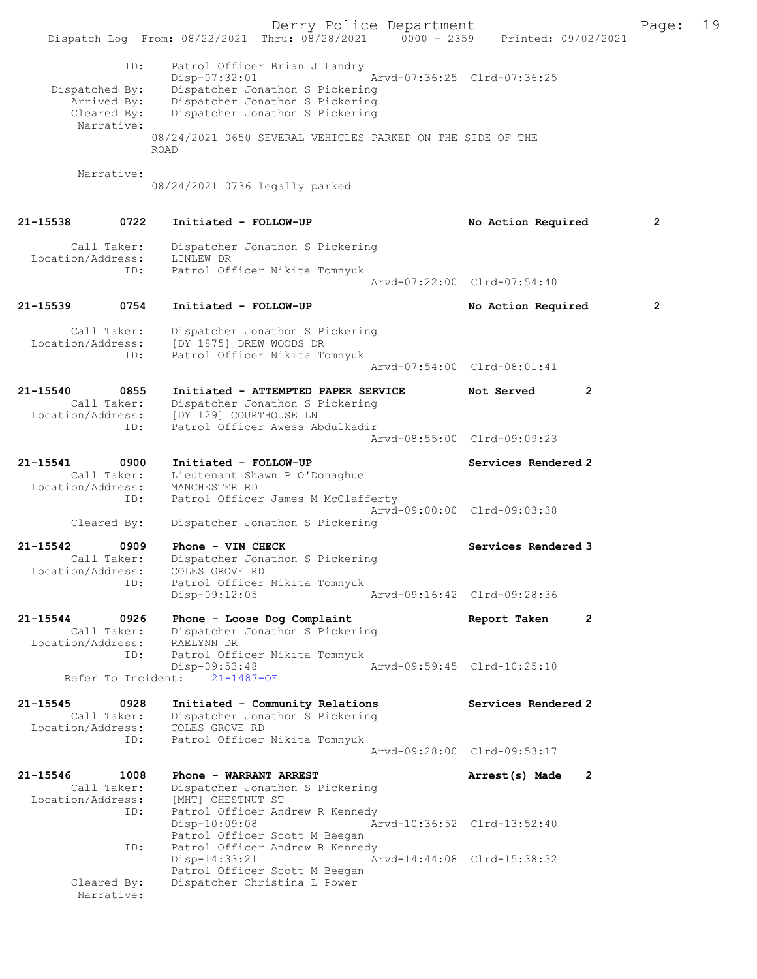|                                                            |                            | Dispatch Log From: 08/22/2021 Thru: 08/28/2021 0000 - 2359 Printed: 09/02/2021                                                                          | Derry Police Department |                             |                | Page:          | 19 |
|------------------------------------------------------------|----------------------------|---------------------------------------------------------------------------------------------------------------------------------------------------------|-------------------------|-----------------------------|----------------|----------------|----|
| Dispatched By:<br>Arrived By:<br>Cleared By:<br>Narrative: | ID:                        | Patrol Officer Brian J Landry<br>Disp-07:32:01<br>Dispatcher Jonathon S Pickering<br>Dispatcher Jonathon S Pickering<br>Dispatcher Jonathon S Pickering |                         | Arvd-07:36:25 Clrd-07:36:25 |                |                |    |
|                                                            | <b>ROAD</b>                | 08/24/2021 0650 SEVERAL VEHICLES PARKED ON THE SIDE OF THE                                                                                              |                         |                             |                |                |    |
| Narrative:                                                 |                            | 08/24/2021 0736 legally parked                                                                                                                          |                         |                             |                |                |    |
| 21-15538                                                   | 0722                       | Initiated - FOLLOW-UP                                                                                                                                   |                         | No Action Required          |                | $\overline{2}$ |    |
| Call Taker:<br>Location/Address:                           | ID:                        | Dispatcher Jonathon S Pickering<br>LINLEW DR<br>Patrol Officer Nikita Tomnyuk                                                                           |                         | Arvd-07:22:00 Clrd-07:54:40 |                |                |    |
| 21-15539                                                   | 0754                       | Initiated - FOLLOW-UP                                                                                                                                   |                         | No Action Required          |                | $\overline{2}$ |    |
| Call Taker:<br>Location/Address:                           | ID:                        | Dispatcher Jonathon S Pickering<br>[DY 1875] DREW WOODS DR<br>Patrol Officer Nikita Tomnyuk                                                             |                         | Arvd-07:54:00 Clrd-08:01:41 |                |                |    |
| 21-15540                                                   | 0855                       | Initiated - ATTEMPTED PAPER SERVICE                                                                                                                     |                         | Not Served                  | $\overline{2}$ |                |    |
|                                                            | Call Taker:<br>ID:         | Dispatcher Jonathon S Pickering<br>Location/Address: [DY 129] COURTHOUSE LN<br>Patrol Officer Awess Abdulkadir                                          |                         |                             |                |                |    |
|                                                            |                            |                                                                                                                                                         |                         | Arvd-08:55:00 Clrd-09:09:23 |                |                |    |
| 21-15541<br>Location/Address:                              | 0900<br>Call Taker:<br>ID: | Initiated - FOLLOW-UP<br>Lieutenant Shawn P O'Donaghue<br>MANCHESTER RD<br>Patrol Officer James M McClafferty                                           |                         | Services Rendered 2         |                |                |    |
| Cleared By:                                                |                            | Dispatcher Jonathon S Pickering                                                                                                                         |                         | Arvd-09:00:00 Clrd-09:03:38 |                |                |    |
| 21-15542<br>Call Taker:<br>Location/Address:               | 0909<br>ID:                | Phone - VIN CHECK<br>Dispatcher Jonathon S Pickering<br>COLES GROVE RD<br>Patrol Officer Nikita Tomnyuk                                                 |                         | Services Rendered 3         |                |                |    |
|                                                            |                            | $Disp-09:12:05$                                                                                                                                         |                         | Arvd-09:16:42 Clrd-09:28:36 |                |                |    |
| 21-15544<br>Call Taker:<br>Location/Address:               | 0926<br>ID:                | Phone - Loose Dog Complaint<br>Dispatcher Jonathon S Pickering<br>RAELYNN DR<br>Patrol Officer Nikita Tomnyuk                                           |                         | Report Taken                | $\mathbf{2}$   |                |    |
|                                                            |                            | $Disp-09:53:48$<br>Refer To Incident: 21-1487-OF                                                                                                        |                         | Arvd-09:59:45 Clrd-10:25:10 |                |                |    |
| 21-15545<br>Call Taker:<br>Location/Address:               | 0928                       | Initiated - Community Relations<br>Dispatcher Jonathon S Pickering<br>COLES GROVE RD                                                                    |                         | Services Rendered 2         |                |                |    |
|                                                            | ID:                        | Patrol Officer Nikita Tomnyuk                                                                                                                           |                         | Arvd-09:28:00 Clrd-09:53:17 |                |                |    |
| 21-15546<br>Call Taker:<br>Location/Address:               | 1008<br>ID:                | Phone - WARRANT ARREST<br>Dispatcher Jonathon S Pickering<br>[MHT] CHESTNUT ST<br>Patrol Officer Andrew R Kennedy                                       |                         | Arrest(s) Made 2            |                |                |    |
|                                                            | ID:                        | $Disp-10:09:08$<br>Patrol Officer Scott M Beegan<br>Patrol Officer Andrew R Kennedy                                                                     |                         | Arvd-10:36:52 Clrd-13:52:40 |                |                |    |
|                                                            |                            | $Disp-14:33:21$<br>Patrol Officer Scott M Beegan                                                                                                        |                         | Arvd-14:44:08 Clrd-15:38:32 |                |                |    |
| Cleared By:<br>Narrative:                                  |                            | Dispatcher Christina L Power                                                                                                                            |                         |                             |                |                |    |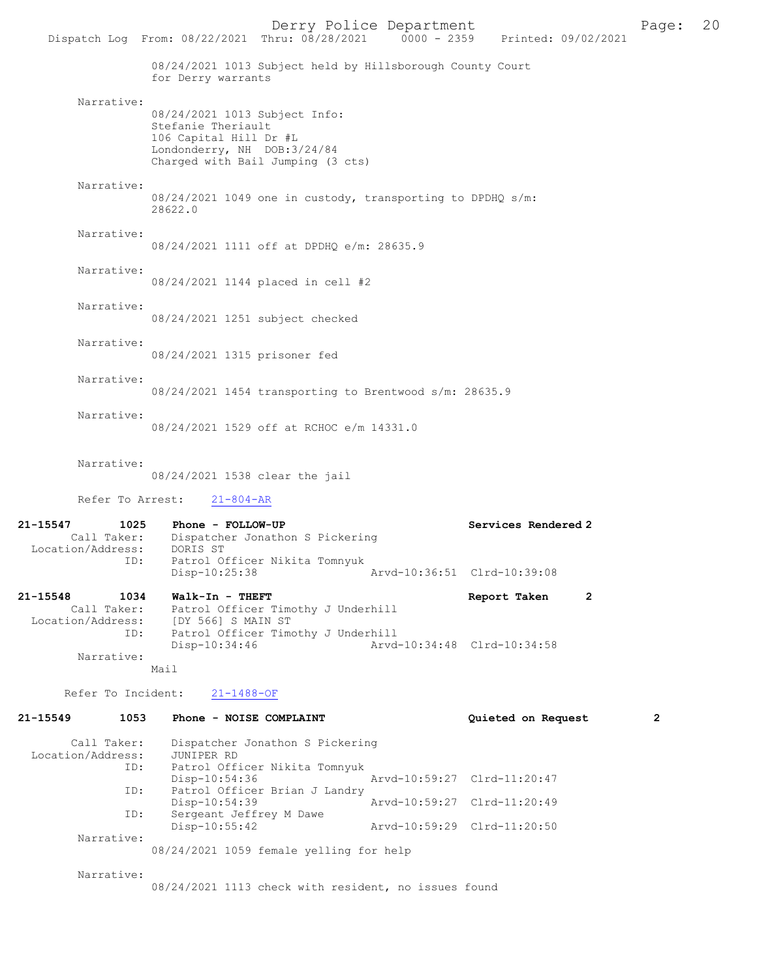|                                              |                                                                                                               | Derry Police Department<br>Dispatch Log From: 08/22/2021 Thru: 08/28/2021 0000 - 2359 Printed: 09/02/2021 |                             |                     |   | Page: | 20 |
|----------------------------------------------|---------------------------------------------------------------------------------------------------------------|-----------------------------------------------------------------------------------------------------------|-----------------------------|---------------------|---|-------|----|
|                                              | for Derry warrants                                                                                            | 08/24/2021 1013 Subject held by Hillsborough County Court                                                 |                             |                     |   |       |    |
| Narrative:                                   | 08/24/2021 1013 Subject Info:<br>Stefanie Theriault<br>106 Capital Hill Dr #L<br>Londonderry, NH DOB: 3/24/84 | Charged with Bail Jumping (3 cts)                                                                         |                             |                     |   |       |    |
| Narrative:                                   | 28622.0                                                                                                       | 08/24/2021 1049 one in custody, transporting to DPDHQ s/m:                                                |                             |                     |   |       |    |
| Narrative:                                   |                                                                                                               | 08/24/2021 1111 off at DPDHQ e/m: 28635.9                                                                 |                             |                     |   |       |    |
| Narrative:                                   |                                                                                                               | 08/24/2021 1144 placed in cell #2                                                                         |                             |                     |   |       |    |
| Narrative:                                   |                                                                                                               | 08/24/2021 1251 subject checked                                                                           |                             |                     |   |       |    |
| Narrative:                                   | 08/24/2021 1315 prisoner fed                                                                                  |                                                                                                           |                             |                     |   |       |    |
| Narrative:                                   |                                                                                                               | 08/24/2021 1454 transporting to Brentwood s/m: 28635.9                                                    |                             |                     |   |       |    |
| Narrative:                                   |                                                                                                               | 08/24/2021 1529 off at RCHOC e/m 14331.0                                                                  |                             |                     |   |       |    |
| Narrative:                                   |                                                                                                               | 08/24/2021 1538 clear the jail                                                                            |                             |                     |   |       |    |
|                                              | Refer To Arrest:<br>$21 - 804 - AR$                                                                           |                                                                                                           |                             |                     |   |       |    |
| 21-15547<br>Call Taker:<br>Location/Address: | 1025<br>Phone - FOLLOW-UP<br>DORIS ST<br>ID:                                                                  | Dispatcher Jonathon S Pickering<br>Patrol Officer Nikita Tomnyuk                                          |                             | Services Rendered 2 |   |       |    |
|                                              | Disp-10:25:38                                                                                                 |                                                                                                           | Arvd-10:36:51 Clrd-10:39:08 |                     |   |       |    |
| 21-15548<br>Call Taker:<br>Location/Address: | 1034<br>Walk-In - THEFT<br>[DY 566] S MAIN ST<br>ID:                                                          | Patrol Officer Timothy J Underhill<br>Patrol Officer Timothy J Underhill                                  |                             | Report Taken        | 2 |       |    |
| Narrative:                                   | Disp-10:34:46<br>Mail                                                                                         |                                                                                                           | Arvd-10:34:48 Clrd-10:34:58 |                     |   |       |    |
| Refer To Incident:                           | $21 - 1488 - OF$                                                                                              |                                                                                                           |                             |                     |   |       |    |
| 21-15549                                     | 1053                                                                                                          | Phone - NOISE COMPLAINT                                                                                   |                             | Quieted on Request  |   | 2     |    |
| Call Taker:<br>Location/Address:             | JUNIPER RD<br>ID:                                                                                             | Dispatcher Jonathon S Pickering<br>Patrol Officer Nikita Tomnyuk                                          |                             |                     |   |       |    |
|                                              | Disp-10:54:36<br>ID:                                                                                          | Patrol Officer Brian J Landry                                                                             | Arvd-10:59:27 Clrd-11:20:47 |                     |   |       |    |

 Disp-10:54:39 Arvd-10:59:27 Clrd-11:20:49 ID: Sergeant Jeffrey M Dawe<br>Disp-10:55:42 Disp-10:55:42 Arvd-10:59:29 Clrd-11:20:50 Narrative: 08/24/2021 1059 female yelling for help

Narrative:

ID: Patrol Officer Brian J Landry

08/24/2021 1113 check with resident, no issues found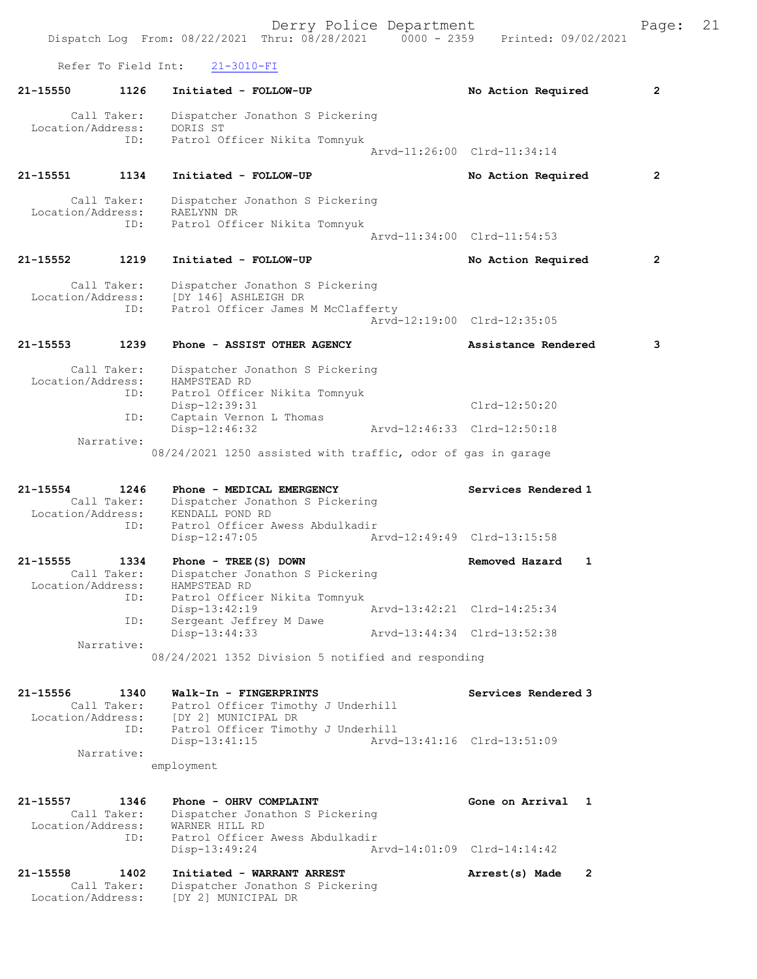Refer To Field Int: 21-3010-FI 21-15550 1126 Initiated - FOLLOW-UP No Action Required 2 Call Taker: Dispatcher Jonathon S Pickering Location/Address: DORIS ST ID: Patrol Officer Nikita Tomnyuk Arvd-11:26:00 Clrd-11:34:14 21-15551 1134 Initiated - FOLLOW-UP No Action Required 2 Call Taker: Dispatcher Jonathon S Pickering Location/Address: RAELYNN DR ID: Patrol Officer Nikita Tomnyuk Arvd-11:34:00 Clrd-11:54:53 21-15552 1219 Initiated - FOLLOW-UP No Action Required 2 Call Taker: Dispatcher Jonathon S Pickering Location/Address: [DY 146] ASHLEIGH DR ID: Patrol Officer James M McClafferty Arvd-12:19:00 Clrd-12:35:05 21-15553 1239 Phone - ASSIST OTHER AGENCY Assistance Rendered 3 Call Taker: Dispatcher Jonathon S Pickering Location/Address: HAMPSTEAD RD ID: Patrol Officer Nikita Tomnyuk Disp-12:39:31 Clrd-12:50:20 ID: Captain Vernon L Thomas Disp-12:46:32 Arvd-12:46:33 Clrd-12:50:18 ID: Captain ..<br>Disp-12:46:32<br>Narrative: 08/24/2021 1250 assisted with traffic, odor of gas in garage 21-15554 1246 Phone - MEDICAL EMERGENCY Services Rendered 1 Call Taker: Dispatcher Jonathon S Pickering Location/Address: KENDALL POND RD ID: Patrol Officer Awess Abdulkadir<br>Disp-12:47:05 Ar Arvd-12:49:49 Clrd-13:15:58 21-15555 1334 Phone - TREE(S) DOWN Removed Hazard 1 Call Taker: Dispatcher Jonathon S Pickering Location/Address: HAMPSTEAD RD ID: Patrol Officer Nikita Tomnyuk Disp-13:42:19 Arvd-13:42:21 Clrd-14:25:34 ID: Sergeant Jeffrey M Dawe<br>Disp-13:44:33 Disp-13:44:33 Arvd-13:44:34 Clrd-13:52:38 Narrative: 08/24/2021 1352 Division 5 notified and responding 21-15556 1340 Walk-In - FINGERPRINTS Services Rendered 3 Call Taker: Patrol Officer Timothy J Underhill Location/Address: [DY 2] MUNICIPAL DR ID: Patrol Officer Timothy J Underhill Disp-13:41:15 Arvd-13:41:16 Clrd-13:51:09 Narrative: employment 21-15557 1346 Phone - OHRV COMPLAINT Gone on Arrival 1 Call Taker: Dispatcher Jonathon S Pickering Location/Address: WARNER HILL RD ID: Patrol Officer Awess Abdulkadir<br>Disp-13:49:24 A Disp-13:49:24 Arvd-14:01:09 Clrd-14:14:42 21-15558 1402 Initiated - WARRANT ARREST Arrest(s) Made 2 Call Taker: Dispatcher Jonathon S Pickering Location/Address: [DY 2] MUNICIPAL DR

Dispatch Log From: 08/22/2021 Thru: 08/28/2021 0000 - 2359 Printed: 09/02/2021

Derry Police Department The Page: 21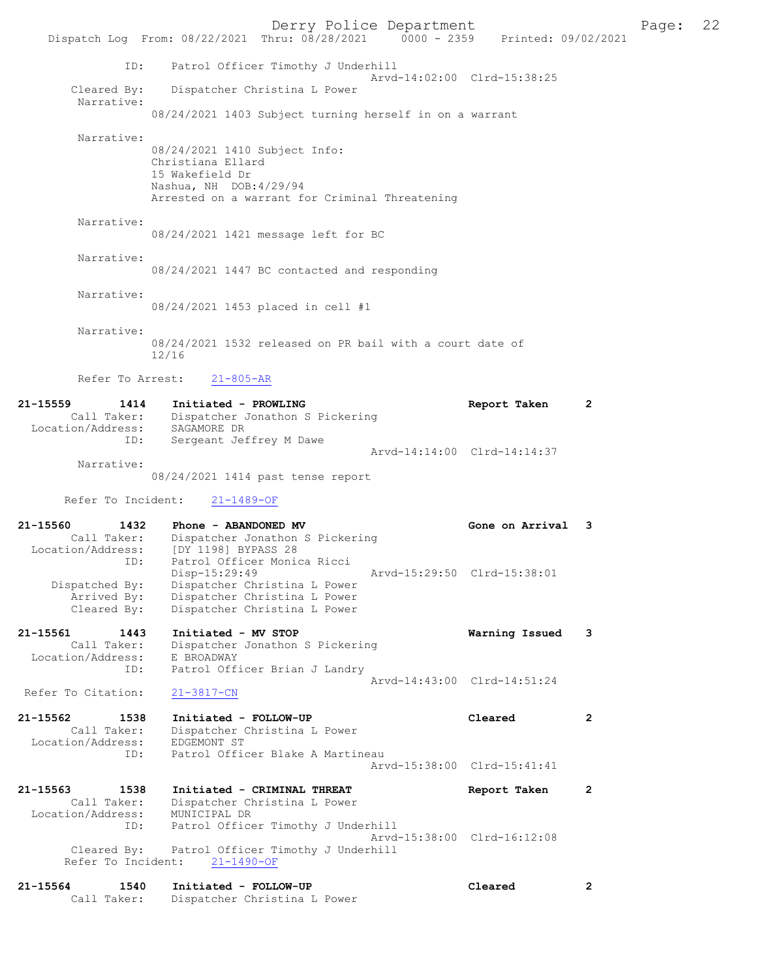Derry Police Department Fage: 22 Dispatch Log From: 08/22/2021 Thru: 08/28/2021 0000 - 2359 Printed: 09/02/2021 ID: Patrol Officer Timothy J Underhill Arvd-14:02:00 Clrd-15:38:25<br>Cleared By: Dispatcher Christina L Power Dispatcher Christina L Power Narrative: 08/24/2021 1403 Subject turning herself in on a warrant Narrative: 08/24/2021 1410 Subject Info: Christiana Ellard 15 Wakefield Dr Nashua, NH DOB:4/29/94 Arrested on a warrant for Criminal Threatening Narrative: 08/24/2021 1421 message left for BC Narrative: 08/24/2021 1447 BC contacted and responding Narrative: 08/24/2021 1453 placed in cell #1 Narrative: 08/24/2021 1532 released on PR bail with a court date of 12/16 Refer To Arrest: 21-805-AR 21-15559 1414 Initiated - PROWLING Report Taken 2 Call Taker: Dispatcher Jonathon S Pickering Location/Address: SAGAMORE DR ID: Sergeant Jeffrey M Dawe Arvd-14:14:00 Clrd-14:14:37 Narrative: 08/24/2021 1414 past tense report Refer To Incident: 21-1489-OF 21-15560 1432 Phone - ABANDONED MV Gone on Arrival 3 Call Taker: Dispatcher Jonathon S Pickering Location/Address: [DY 1198] BYPASS 28 ID: Patrol Officer Monica Ricci Disp-15:29:49 Arvd-15:29:50 Clrd-15:38:01 Dispatched By: Dispatcher Christina L Power Arrived By: Dispatcher Christina L Power Cleared By: Dispatcher Christina L Power 21-15561 1443 Initiated - MV STOP Warning Issued 3 Call Taker: Dispatcher Jonathon S Pickering Location/Address: E BROADWAY ID: Patrol Officer Brian J Landry Arvd-14:43:00 Clrd-14:51:24 Refer To Citation: 21-3817-CN 21-15562 1538 Initiated - FOLLOW-UP Cleared 2 Call Taker: Dispatcher Christina L Power Location/Address: EDGEMONT ST ID: Patrol Officer Blake A Martineau Arvd-15:38:00 Clrd-15:41:41 21-15563 1538 Initiated - CRIMINAL THREAT Report Taken 2 Call Taker: Dispatcher Christina L Power Location/Address: MUNICIPAL DR ID: Patrol Officer Timothy J Underhill Arvd-15:38:00 Clrd-16:12:08 Cleared By: Patrol Officer Timothy J Underhill Refer To Incident: 21-1490-OF 21-15564 1540 Initiated - FOLLOW-UP Cleared 2 Call Taker: Dispatcher Christina L Power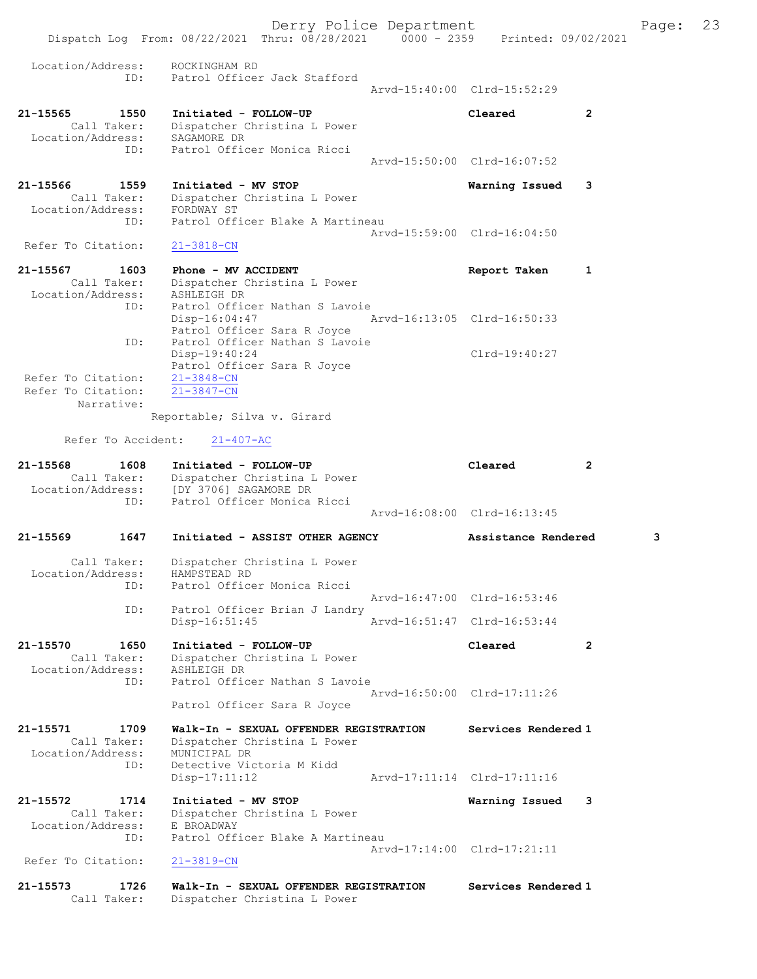Derry Police Department Fage: 23 Dispatch Log From: 08/22/2021 Thru: 08/28/2021 0000 - 2359 Printed: 09/02/2021 Location/Address: ROCKINGHAM RD<br>TD: Patrol Officer ID: Patrol Officer Jack Stafford Arvd-15:40:00 Clrd-15:52:29 21-15565 1550 Initiated - FOLLOW-UP Cleared 2 Call Taker: Dispatcher Christina L Power Location/Address: SAGAMORE DR ID: Patrol Officer Monica Ricci Arvd-15:50:00 Clrd-16:07:52 21-15566 1559 Initiated - MV STOP Warning Issued 3 Call Taker: Dispatcher Christina L Power Location/Address: FORDWAY ST ID: Patrol Officer Blake A Martineau Arvd-15:59:00 Clrd-16:04:50<br>
21-3818-CN Refer To Citation: 21-15567 1603 Phone - MV ACCIDENT 1 21-15567 Report Taken 1 Call Taker: Dispatcher Christina L Power Location/Address: ASHLEIGH DR ID: Patrol Officer Nathan S Lavoie Disp-16:04:47 Arvd-16:13:05 Clrd-16:50:33 Patrol Officer Sara R Joyce ID: Patrol Officer Nathan S Lavoie Disp-19:40:24 Clrd-19:40:27 Patrol Officer Sara R Joyce<br>21-3848-CN Refer To Citation: Refer To Citation:  $21-3847-CN$  Narrative: Reportable; Silva v. Girard Refer To Accident: 21-407-AC 21-15568 1608 Initiated - FOLLOW-UP Cleared 2 Call Taker: Dispatcher Christina L Power Location/Address: [DY 3706] SAGAMORE DR ID: Patrol Officer Monica Ricci Arvd-16:08:00 Clrd-16:13:45 21-15569 1647 Initiated - ASSIST OTHER AGENCY Assistance Rendered 3 Call Taker: Dispatcher Christina L Power Location/Address: HAMPSTEAD RD ID: Patrol Officer Monica Ricci Arvd-16:47:00 Clrd-16:53:46 ID: Patrol Officer Brian J Landry<br>Disp-16:51:45 Disp-16:51:45 Arvd-16:51:47 Clrd-16:53:44 21-15570 1650 Initiated - FOLLOW-UP Cleared 2 Call Taker: Dispatcher Christina L Power Location/Address: ASHLEIGH DR ID: Patrol Officer Nathan S Lavoie Arvd-16:50:00 Clrd-17:11:26 Patrol Officer Sara R Joyce 21-15571 1709 Walk-In - SEXUAL OFFENDER REGISTRATION Services Rendered 1 Call Taker: Dispatcher Christina L Power Location/Address: MUNICIPAL DR ID: Detective Victoria M Kidd Disp-17:11:12 Arvd-17:11:14 Clrd-17:11:16 21-15572 1714 Initiated - MV STOP Warning Issued 3 Call Taker: Dispatcher Christina L Power Location/Address: E BROADWAY ID: Patrol Officer Blake A Martineau Arvd-17:14:00 Clrd-17:21:11 Refer To Citation: 21-3819-CN 21-15573 1726 Walk-In - SEXUAL OFFENDER REGISTRATION Services Rendered 1<br>Call Taker: Dispatcher Christina L Power Dispatcher Christina L Power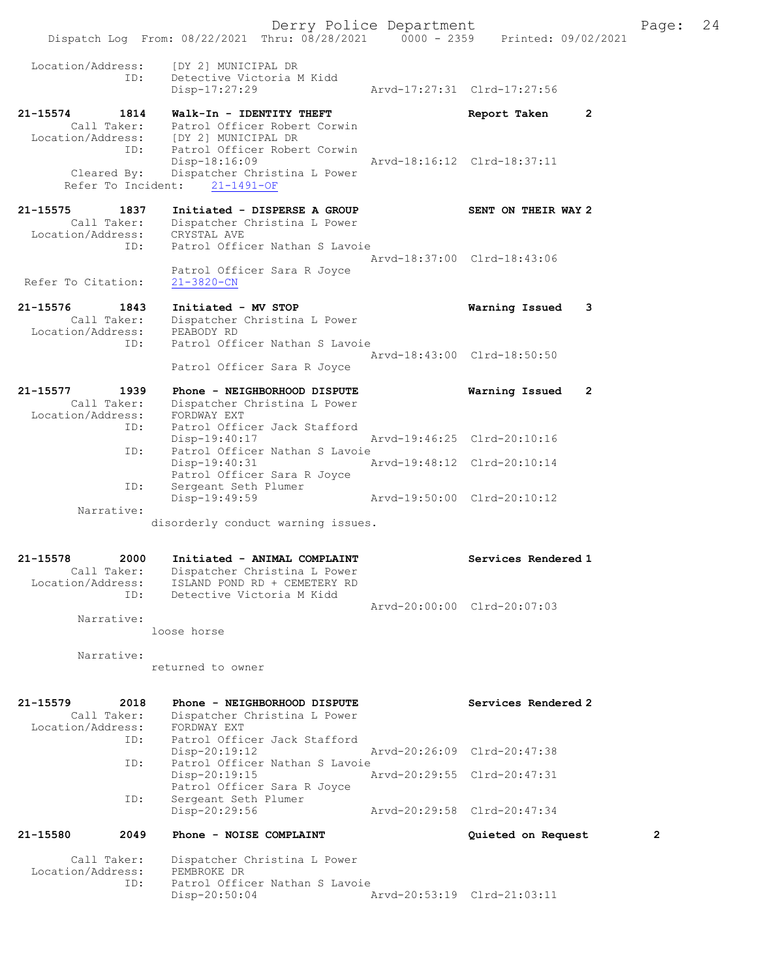Derry Police Department Fage: 24 Dispatch Log From: 08/22/2021 Thru: 08/28/2021 0000 - 2359 Printed: 09/02/2021 Location/Address: [DY 2] MUNICIPAL DR<br>ID: Detective Victoria M<br>Disp-17:27:29 Detective Victoria M Kidd Disp-17:27:29 Arvd-17:27:31 Clrd-17:27:56 21-15574 1814 Walk-In - IDENTITY THEFT Report Taken 2 Call Taker: Patrol Officer Robert Corwin Location/Address: [DY 2] MUNICIPAL DR ID: Patrol Officer Robert Corwin Disp-18:16:09 Arvd-18:16:12 Clrd-18:37:11 Cleared By: Dispatcher Christina L Power Refer To Incident: 21-1491-OF 21-15575 1837 Initiated - DISPERSE A GROUP SENT ON THEIR WAY 2 Call Taker: Dispatcher Christina L Power Location/Address: CRYSTAL AVE ID: Patrol Officer Nathan S Lavoie Arvd-18:37:00 Clrd-18:43:06 Patrol Officer Sara R Joyce Refer To Citation: 21-3820-CN 21-15576 1843 Initiated - MV STOP Warning Issued 3 Call Taker: Dispatcher Christina L Power Location/Address: PEABODY RD ID: Patrol Officer Nathan S Lavoie Arvd-18:43:00 Clrd-18:50:50 Patrol Officer Sara R Joyce 21-15577 1939 Phone - NEIGHBORHOOD DISPUTE Warning Issued 2 Call Taker: Dispatcher Christina L Power Location/Address: FORDWAY EXT ID: Patrol Officer Jack Stafford Disp-19:40:17 Arvd-19:46:25 Clrd-20:10:16 ID: Patrol Officer Nathan S Lavoie Disp-19:40:31 Arvd-19:48:12 Clrd-20:10:14 Patrol Officer Sara R Joyce ID: Sergeant Seth Plumer Disp-19:49:59 Arvd-19:50:00 Clrd-20:10:12 Narrative: disorderly conduct warning issues. 21-15578 2000 Initiated - ANIMAL COMPLAINT Services Rendered 1 Call Taker: Dispatcher Christina L Power Location/Address: ISLAND POND RD + CEMETERY RD ID: Detective Victoria M Kidd Arvd-20:00:00 Clrd-20:07:03 Narrative: loose horse

Narrative:

returned to owner

| 21-15579<br>Location/Address: | 2018<br>Call Taker:<br>ID: | Phone - NEIGHBORHOOD DISPUTE<br>Dispatcher Christina L Power<br>FORDWAY EXT<br>Patrol Officer Jack Stafford |                             | Services Rendered 2         |                |
|-------------------------------|----------------------------|-------------------------------------------------------------------------------------------------------------|-----------------------------|-----------------------------|----------------|
|                               |                            | $Disp-20:19:12$                                                                                             |                             | Arvd-20:26:09 Clrd-20:47:38 |                |
|                               | ID:                        | Patrol Officer Nathan S Lavoie<br>$Disp-20:19:15$<br>Patrol Officer Sara R Joyce                            | Arvd-20:29:55 Clrd-20:47:31 |                             |                |
|                               | ID:                        | Sergeant Seth Plumer<br>Disp-20:29:56                                                                       |                             | Arvd-20:29:58 Clrd-20:47:34 |                |
| 21-15580                      | 2049                       | Phone - NOISE COMPLAINT                                                                                     |                             | Quieted on Request          | $\overline{2}$ |
| Location/Address:             | Call Taker:<br>ID:         | Dispatcher Christina L Power<br>PEMBROKE DR<br>Patrol Officer Nathan S Lavoie<br>$Disp-20:50:04$            |                             | Arvd-20:53:19 Clrd-21:03:11 |                |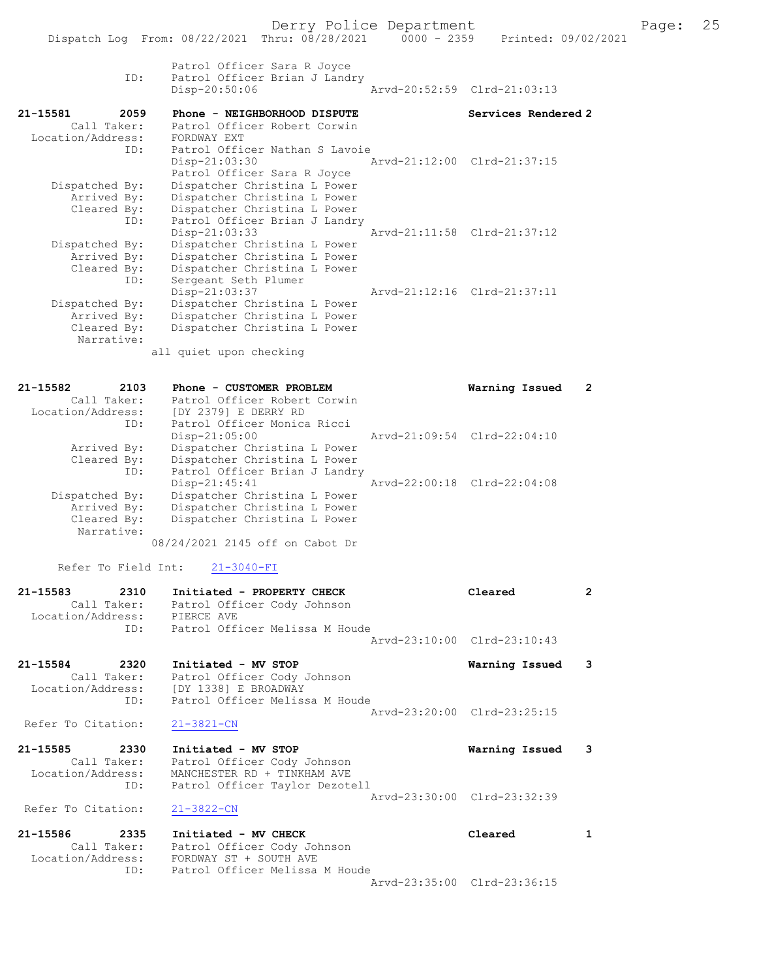| ID:                                                                      | Patrol Officer Sara R Joyce<br>Patrol Officer Brian J Landry<br>$Disp-20:50:06$                                                                                                               | Arvd-20:52:59 Clrd-21:03:13 |                       |
|--------------------------------------------------------------------------|-----------------------------------------------------------------------------------------------------------------------------------------------------------------------------------------------|-----------------------------|-----------------------|
| 21-15581<br>2059                                                         | Phone - NEIGHBORHOOD DISPUTE                                                                                                                                                                  | Services Rendered 2         |                       |
| Call Taker:<br>Location/Address:<br>ID:<br>Dispatched By:<br>Arrived By: | Patrol Officer Robert Corwin<br>FORDWAY EXT<br>Patrol Officer Nathan S Lavoie<br>Disp-21:03:30<br>Patrol Officer Sara R Joyce<br>Dispatcher Christina L Power<br>Dispatcher Christina L Power | Arvd-21:12:00 Clrd-21:37:15 |                       |
| Cleared By:<br>ID:<br>Dispatched By:<br>Arrived By:<br>Cleared By:       | Dispatcher Christina L Power<br>Patrol Officer Brian J Landry<br>$Disp-21:03:33$<br>Dispatcher Christina L Power<br>Dispatcher Christina L Power<br>Dispatcher Christina L Power              | Arvd-21:11:58 Clrd-21:37:12 |                       |
| ID:<br>Dispatched By:<br>Arrived By:<br>Cleared By:<br>Narrative:        | Sergeant Seth Plumer<br>Disp-21:03:37<br>Dispatcher Christina L Power<br>Dispatcher Christina L Power<br>Dispatcher Christina L Power<br>all quiet upon checking                              | Arvd-21:12:16 Clrd-21:37:11 |                       |
| 21-15582<br>2103                                                         | Phone - CUSTOMER PROBLEM                                                                                                                                                                      | Warning Issued              | $\mathbf{2}^{\prime}$ |
| Call Taker:<br>Location/Address:<br>ID:                                  | Patrol Officer Robert Corwin<br>[DY 2379] E DERRY RD<br>Patrol Officer Monica Ricci                                                                                                           |                             |                       |
| Arrived By:<br>Cleared By:<br>ID:                                        | Disp-21:05:00<br>Dispatcher Christina L Power<br>Dispatcher Christina L Power<br>Patrol Officer Brian J Landry                                                                                | Arvd-21:09:54 Clrd-22:04:10 |                       |
| Dispatched By:<br>Arrived By:<br>Cleared By:<br>Narrative:               | $Disp-21:45:41$<br>Dispatcher Christina L Power<br>Dispatcher Christina L Power<br>Dispatcher Christina L Power<br>08/24/2021 2145 off on Cabot Dr                                            | Arvd-22:00:18 Clrd-22:04:08 |                       |
| Refer To Field Int:                                                      | $21 - 3040 - FI$                                                                                                                                                                              |                             |                       |
| 21-15583<br>2310<br>Call Taker:<br>Location/Address:<br>ID:              | Initiated - PROPERTY CHECK<br>Patrol Officer Cody Johnson<br>PIERCE AVE<br>Patrol Officer Melissa M Houde                                                                                     | Cleared                     | 2                     |
|                                                                          |                                                                                                                                                                                               | Arvd-23:10:00 Clrd-23:10:43 |                       |
| 21-15584<br>2320<br>Call Taker:<br>Location/Address:<br>ID:              | Initiated - MV STOP<br>Patrol Officer Cody Johnson<br>[DY 1338] E BROADWAY<br>Patrol Officer Melissa M Houde                                                                                  | Warning Issued              | 3                     |
| Refer To Citation:                                                       | $21 - 3821 - CN$                                                                                                                                                                              | Arvd-23:20:00 Clrd-23:25:15 |                       |
| 21-15585<br>2330<br>Call Taker:<br>Location/Address:<br>ID:              | Initiated - MV STOP<br>Patrol Officer Cody Johnson<br>MANCHESTER RD + TINKHAM AVE<br>Patrol Officer Taylor Dezotell                                                                           | Warning Issued              | 3                     |
| Refer To Citation:                                                       | $21 - 3822 - CN$                                                                                                                                                                              | Arvd-23:30:00 Clrd-23:32:39 |                       |
| 21-15586<br>2335                                                         | Initiated - MV CHECK                                                                                                                                                                          | Cleared                     | $\mathbf{1}$          |
| Call Taker:<br>Location/Address:<br>ID:                                  | Patrol Officer Cody Johnson<br>FORDWAY ST + SOUTH AVE<br>Patrol Officer Melissa M Houde                                                                                                       |                             |                       |
|                                                                          |                                                                                                                                                                                               | Arvd-23:35:00 Clrd-23:36:15 |                       |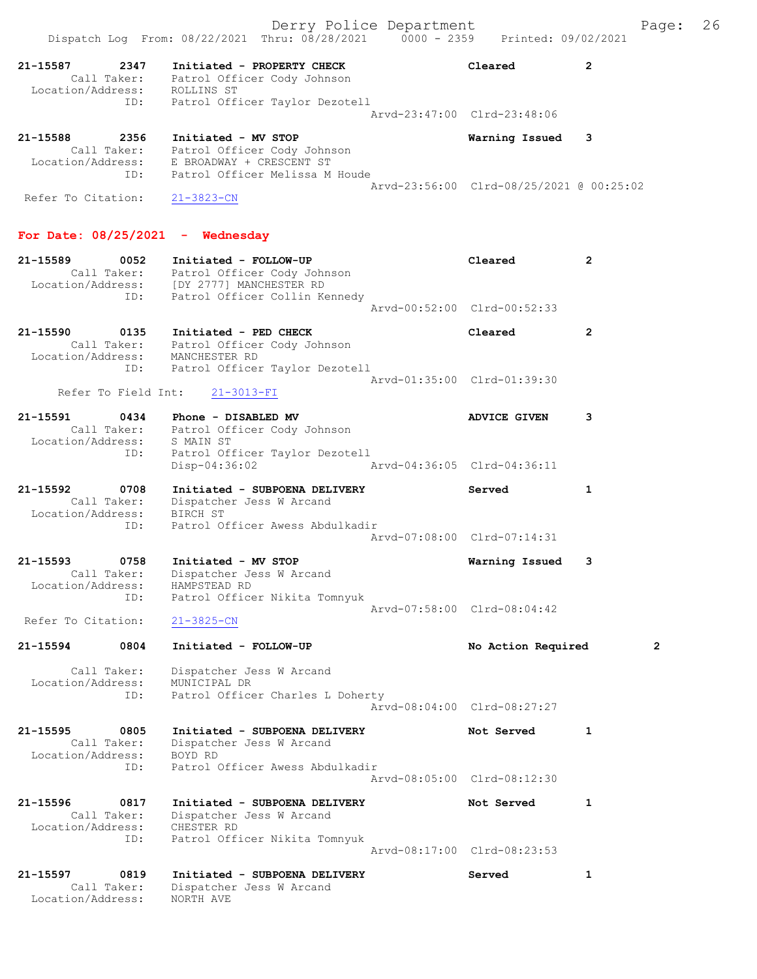|                                                                 |                                                                                                                                                | Derry Police Department |                                          | Page:          | 26 |
|-----------------------------------------------------------------|------------------------------------------------------------------------------------------------------------------------------------------------|-------------------------|------------------------------------------|----------------|----|
|                                                                 | Dispatch Log From: 08/22/2021 Thru: 08/28/2021 0000 - 2359 Printed: 09/02/2021                                                                 |                         |                                          |                |    |
| 2347<br>21-15587<br>Call Taker:<br>Location/Address: ROLLINS ST | Initiated - PROPERTY CHECK<br>Patrol Officer Cody Johnson                                                                                      |                         | Cleared                                  | $\mathbf{2}$   |    |
| ID:                                                             | Patrol Officer Taylor Dezotell                                                                                                                 |                         | Arvd-23:47:00 Clrd-23:48:06              |                |    |
| 21-15588<br>2356<br>Location/Address:<br>ID:                    | Initiated - MV STOP<br>Call Taker: Patrol Officer Cody Johnson<br>E BROADWAY + CRESCENT ST<br>Patrol Officer Melissa M Houde                   |                         | Warning Issued                           | 3              |    |
| Refer To Citation:                                              | $21 - 3823 - CN$                                                                                                                               |                         | Arvd-23:56:00 Clrd-08/25/2021 @ 00:25:02 |                |    |
| For Date: $08/25/2021$ - Wednesday                              |                                                                                                                                                |                         |                                          |                |    |
| 21-15589<br>0052<br>ID:                                         | Initiated - FOLLOW-UP<br>Call Taker: Patrol Officer Cody Johnson<br>Location/Address: [DY 2777] MANCHESTER RD<br>Patrol Officer Collin Kennedy |                         | Cleared                                  | 2              |    |
|                                                                 |                                                                                                                                                |                         | Aryd-00:52:00 Clrd-00:52:33              |                |    |
| 21-15590<br>0135<br>Location/Address:<br>ID:                    | Initiated - PED CHECK<br>Call Taker: Patrol Officer Cody Johnson<br>MANCHESTER RD<br>Patrol Officer Taylor Dezotell                            |                         | Cleared                                  | $\mathbf{2}$   |    |
| Refer To Field Int:                                             | $21 - 3013 - FI$                                                                                                                               |                         | Arvd-01:35:00 Clrd-01:39:30              |                |    |
| 21-15591<br>0434                                                | Phone - DISABLED MV<br>Call Taker: Patrol Officer Cody Johnson                                                                                 |                         | <b>ADVICE GIVEN</b>                      | 3              |    |
| Location/Address:<br>ID:                                        | S MAIN ST<br>Patrol Officer Taylor Dezotell<br>$Disp-04:36:02$                                                                                 |                         | Arvd-04:36:05 Clrd-04:36:11              |                |    |
| 21-15592<br>0708<br>Call Taker:<br>Location/Address:<br>ID:     | Initiated - SUBPOENA DELIVERY<br>Dispatcher Jess W Arcand<br>BIRCH ST<br>Patrol Officer Awess Abdulkadir                                       |                         | Served                                   | 1              |    |
|                                                                 |                                                                                                                                                |                         | Arvd-07:08:00 Clrd-07:14:31              |                |    |
| 21-15593<br>0758<br>Call Taker:<br>Location/Address:<br>ID:     | Initiated - MV STOP<br>Dispatcher Jess W Arcand<br>HAMPSTEAD RD<br>Patrol Officer Nikita Tomnyuk                                               |                         | Warning Issued                           | 3              |    |
| Refer To Citation:                                              | $21 - 3825 - CN$                                                                                                                               |                         | Arvd-07:58:00 Clrd-08:04:42              |                |    |
| 21-15594<br>0804                                                | Initiated - FOLLOW-UP                                                                                                                          |                         | No Action Required                       | $\overline{2}$ |    |
| Call Taker:<br>Location/Address:<br>ID:                         | Dispatcher Jess W Arcand<br>MUNICIPAL DR<br>Patrol Officer Charles L Doherty                                                                   |                         |                                          |                |    |
|                                                                 |                                                                                                                                                |                         | Aryd-08:04:00 Clrd-08:27:27              |                |    |
| 21-15595<br>0805<br>Call Taker:<br>Location/Address:            | Initiated - SUBPOENA DELIVERY<br>Dispatcher Jess W Arcand<br>BOYD RD                                                                           |                         | Not Served                               | 1              |    |
| ID:                                                             | Patrol Officer Awess Abdulkadir                                                                                                                |                         | Arvd-08:05:00 Clrd-08:12:30              |                |    |
| 21-15596<br>0817<br>Call Taker:<br>Location/Address: CHESTER RD | Initiated - SUBPOENA DELIVERY<br>Dispatcher Jess W Arcand                                                                                      |                         | Not Served                               | 1              |    |
| ID:                                                             | Patrol Officer Nikita Tomnyuk                                                                                                                  |                         | Arvd-08:17:00 Clrd-08:23:53              |                |    |
| 21-15597<br>0819<br>Call Taker:<br>Location/Address:            | Initiated - SUBPOENA DELIVERY<br>Dispatcher Jess W Arcand<br>NORTH AVE                                                                         |                         | Served                                   | 1              |    |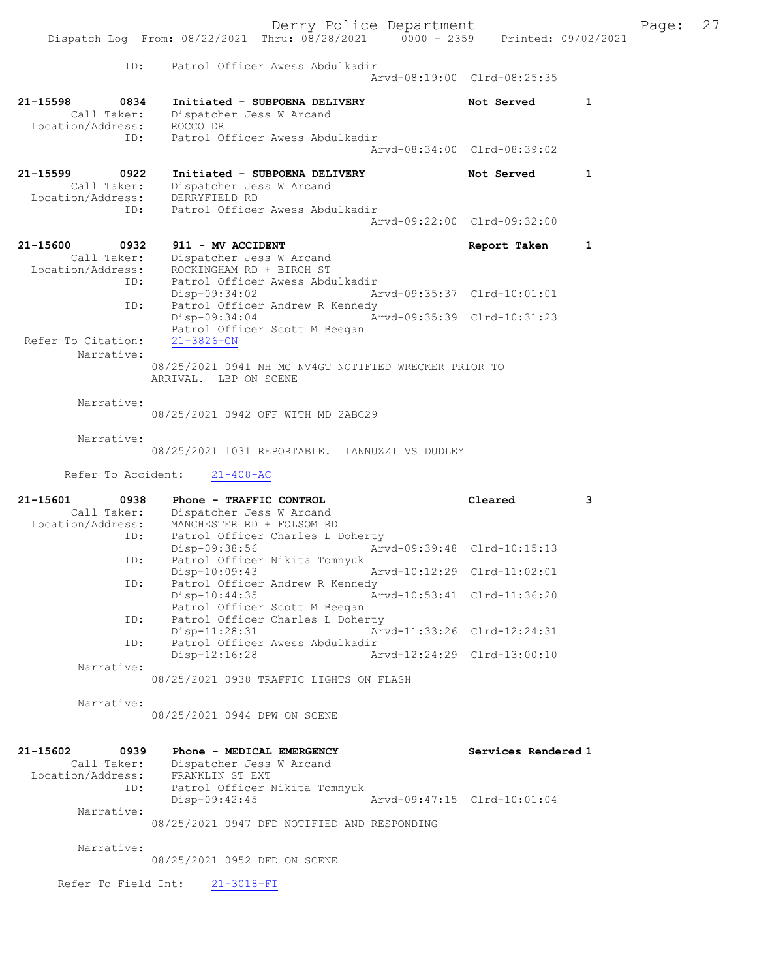Derry Police Department The Page: 27 Dispatch Log From: 08/22/2021 Thru: 08/28/2021 0000 - 2359 Printed: 09/02/2021 ID: Patrol Officer Awess Abdulkadir Arvd-08:19:00 Clrd-08:25:35 21-15598 0834 Initiated - SUBPOENA DELIVERY Not Served 1 Call Taker: Dispatcher Jess W Arcand Location/Address: ROCCO DR ID: Patrol Officer Awess Abdulkadir Arvd-08:34:00 Clrd-08:39:02 21-15599 0922 Initiated - SUBPOENA DELIVERY Not Served 1 Call Taker: Dispatcher Jess W Arcand Location/Address: DERRYFIELD RD ID: Patrol Officer Awess Abdulkadir Arvd-09:22:00 Clrd-09:32:00 21-15600 0932 911 - MV ACCIDENT CONTRESS Report Taken 1 Call Taker: Dispatcher Jess W Arcand Location/Address: ROCKINGHAM RD + BIRCH ST ID: Patrol Officer Awess Abdulkadir Disp-09:34:02 Arvd-09:35:37 Clrd-10:01:01 ID: Patrol Officer Andrew R Kennedy Disp-09:34:04 Arvd-09:35:39 Clrd-10:31:23 Patrol Officer Scott M Beegan Refer To Citation: 21-3826-CN Narrative: 08/25/2021 0941 NH MC NV4GT NOTIFIED WRECKER PRIOR TO ARRIVAL. LBP ON SCENE Narrative: 08/25/2021 0942 OFF WITH MD 2ABC29 Narrative: 08/25/2021 1031 REPORTABLE. IANNUZZI VS DUDLEY Refer To Accident: 21-408-AC 21-15601 0938 Phone - TRAFFIC CONTROL Cleared 3 Call Taker: Dispatcher Jess W Arcand Location/Address: MANCHESTER RD + FOLSOM RD ID: Patrol Officer Charles L Doherty<br>Disp-09:38:56 Arw Disp-09:38:56 Arvd-09:39:48 Clrd-10:15:13 ID: Patrol Officer Nikita Tomnyuk<br>Disp-10:09:43 Disp-10:09:43 Arvd-10:12:29 Clrd-11:02:01 ID: Patrol Officer Andrew R Kennedy<br>Disp-10:44:35 An Disp-10:44:35 Arvd-10:53:41 Clrd-11:36:20 Patrol Officer Scott M Beegan ID: Patrol Officer Charles L Doherty Disp-11:28:31 Arvd-11:33:26 Clrd-12:24:31 ID: Patrol Officer Awess Abdulkadir Disp-12:16:28 Arvd-12:24:29 Clrd-13:00:10 Narrative: 08/25/2021 0938 TRAFFIC LIGHTS ON FLASH Narrative: 08/25/2021 0944 DPW ON SCENE 21-15602 0939 Phone - MEDICAL EMERGENCY Services Rendered 1 Call Taker: Dispatcher Jess W Arcand Location/Address: FRANKLIN ST EXT ID: Patrol Officer Nikita Tomnyuk<br>Disp-09:42:45 Disp-09:42:45 Arvd-09:47:15 Clrd-10:01:04 Narrative:

08/25/2021 0947 DFD NOTIFIED AND RESPONDING

Narrative:

08/25/2021 0952 DFD ON SCENE

Refer To Field Int: 21-3018-FI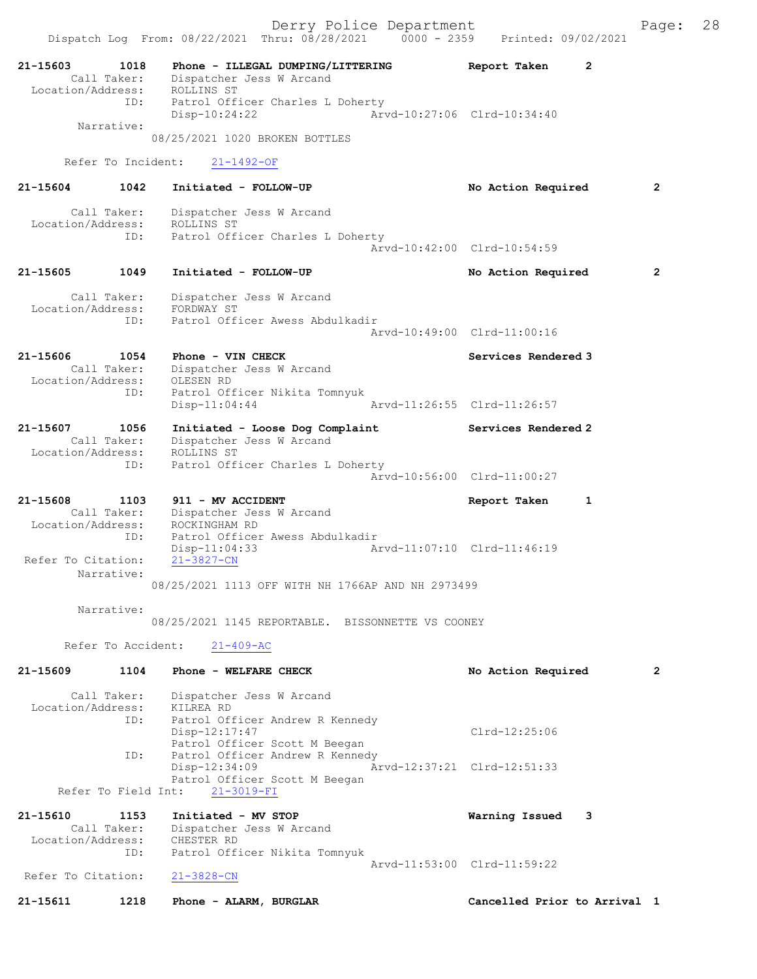| 21-15603<br>Call Taker:<br>Location/Address: | 1018        | Phone - ILLEGAL DUMPING/LITTERING<br>Dispatcher Jess W Arcand<br>ROLLINS ST                                          | Report Taken<br>$\mathbf{2}$ |                |
|----------------------------------------------|-------------|----------------------------------------------------------------------------------------------------------------------|------------------------------|----------------|
| Narrative:                                   | ID:         | Patrol Officer Charles L Doherty<br>Disp-10:24:22                                                                    | Arvd-10:27:06 Clrd-10:34:40  |                |
|                                              |             | 08/25/2021 1020 BROKEN BOTTLES                                                                                       |                              |                |
| Refer To Incident:                           |             | $21 - 1492 - OF$                                                                                                     |                              |                |
| 21-15604                                     | 1042        | Initiated - FOLLOW-UP                                                                                                | No Action Required           | $\overline{2}$ |
| Call Taker:<br>Location/Address:             | ID:         | Dispatcher Jess W Arcand<br>ROLLINS ST<br>Patrol Officer Charles L Doherty                                           | Arvd-10:42:00 Clrd-10:54:59  |                |
|                                              |             |                                                                                                                      |                              |                |
| 21-15605                                     | 1049        | Initiated - FOLLOW-UP                                                                                                | No Action Required           | $\mathbf{2}$   |
| Call Taker:<br>Location/Address:             | ID:         | Dispatcher Jess W Arcand<br>FORDWAY ST<br>Patrol Officer Awess Abdulkadir                                            |                              |                |
|                                              |             |                                                                                                                      | Arvd-10:49:00 Clrd-11:00:16  |                |
| 21-15606<br>Call Taker:<br>Location/Address: | 1054        | Phone - VIN CHECK<br>Dispatcher Jess W Arcand<br>OLESEN RD                                                           | Services Rendered 3          |                |
|                                              | ID:         | Patrol Officer Nikita Tomnyuk<br>$Disp-11:04:44$                                                                     | Arvd-11:26:55 Clrd-11:26:57  |                |
| 21-15607<br>Call Taker:<br>Location/Address: | 1056        | Initiated - Loose Dog Complaint<br>Dispatcher Jess W Arcand<br>ROLLINS ST                                            | Services Rendered 2          |                |
|                                              | ID:         | Patrol Officer Charles L Doherty                                                                                     | Arvd-10:56:00 Clrd-11:00:27  |                |
| 21-15608                                     | 1103        | 911 - MV ACCIDENT                                                                                                    | Report Taken<br>1            |                |
| Call Taker:                                  |             | Dispatcher Jess W Arcand<br>ROCKINGHAM RD                                                                            |                              |                |
| Location/Address:                            | ID:         | Patrol Officer Awess Abdulkadir                                                                                      |                              |                |
| Refer To Citation:<br>Narrative:             |             | Arvd-11:07:10 Clrd-11:46:19<br>$Disp-11:04:33$<br>$21 - 3827 - CN$                                                   |                              |                |
|                                              |             | 08/25/2021 1113 OFF WITH NH 1766AP AND NH 2973499                                                                    |                              |                |
| Narrative:                                   |             | 08/25/2021 1145 REPORTABLE. BISSONNETTE VS COONEY                                                                    |                              |                |
| Refer To Accident:                           |             | $21 - 409 - AC$                                                                                                      |                              |                |
| 21-15609                                     | 1104        | Phone - WELFARE CHECK                                                                                                | No Action Required           | $\overline{2}$ |
| Call Taker:<br>Location/Address:             | ID:         | Dispatcher Jess W Arcand<br>KILREA RD                                                                                |                              |                |
|                                              | ID:         | Patrol Officer Andrew R Kennedy<br>Disp-12:17:47<br>Patrol Officer Scott M Beegan<br>Patrol Officer Andrew R Kennedy | $Clrd-12:25:06$              |                |
|                                              |             | Disp-12:34:09<br>Patrol Officer Scott M Beegan                                                                       | Arvd-12:37:21 Clrd-12:51:33  |                |
| Refer To Field Int:                          |             | $21 - 3019 - FI$                                                                                                     |                              |                |
| 21-15610<br>Call Taker:<br>Location/Address: | 1153<br>ID: | Initiated - MV STOP<br>Dispatcher Jess W Arcand<br>CHESTER RD<br>Patrol Officer Nikita Tomnyuk                       | Warning Issued<br>3          |                |
| Refer To Citation:                           |             | $21 - 3828 - CN$                                                                                                     | Arvd-11:53:00 Clrd-11:59:22  |                |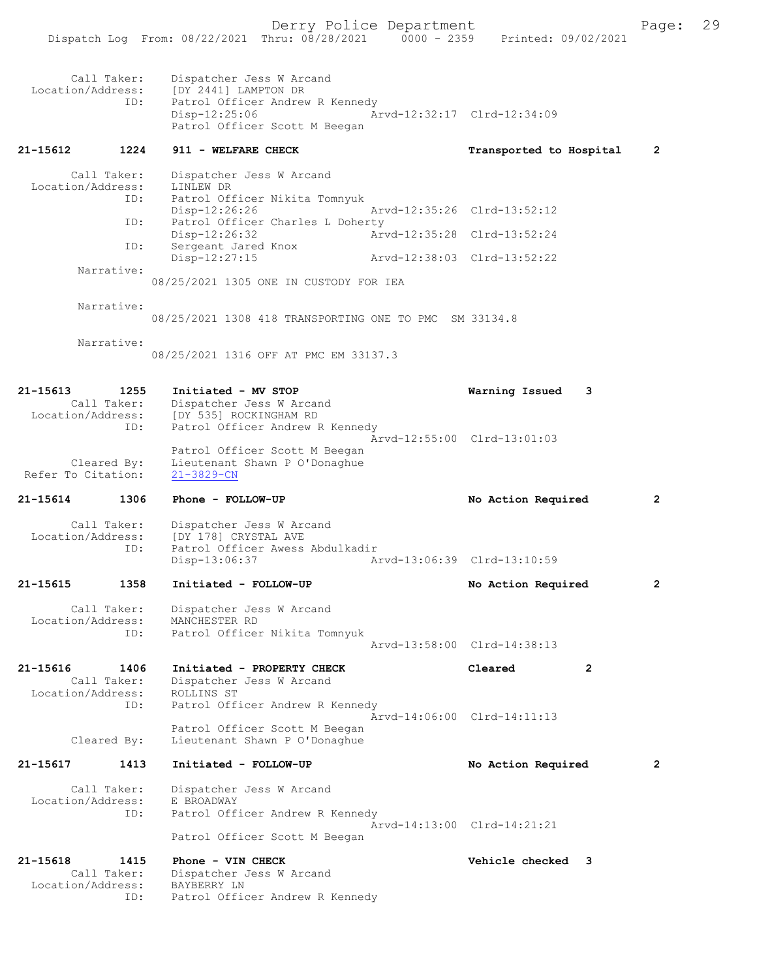|                               |                     | Dispatch Log From: 08/22/2021 Thru: 08/28/2021                                                                                                            | $0000 - 2359$               | Printed: 09/02/2021         |              |
|-------------------------------|---------------------|-----------------------------------------------------------------------------------------------------------------------------------------------------------|-----------------------------|-----------------------------|--------------|
|                               | Call Taker:<br>ID:  | Dispatcher Jess W Arcand<br>Location/Address: [DY 2441] LAMPTON DR<br>Patrol Officer Andrew R Kennedy<br>$Disp-12:25:06$<br>Patrol Officer Scott M Beegan |                             | Arvd-12:32:17 Clrd-12:34:09 |              |
| 21-15612                      | 1224                | 911 - WELFARE CHECK                                                                                                                                       |                             | Transported to Hospital     | $\mathbf{2}$ |
|                               | Call Taker:<br>ID:  | Dispatcher Jess W Arcand<br>Location/Address: LINLEW DR<br>Patrol Officer Nikita Tomnyuk                                                                  |                             |                             |              |
|                               | ID:                 | $Disp-12:26:26$<br>Patrol Officer Charles L Doherty                                                                                                       |                             | Arvd-12:35:26 Clrd-13:52:12 |              |
|                               | ID:                 | Disp-12:26:32<br>Sergeant Jared Knox                                                                                                                      | Arvd-12:35:28 Clrd-13:52:24 |                             |              |
|                               | Narrative:          | Disp-12:27:15                                                                                                                                             |                             | Arvd-12:38:03 Clrd-13:52:22 |              |
|                               |                     | 08/25/2021 1305 ONE IN CUSTODY FOR IEA                                                                                                                    |                             |                             |              |
|                               | Narrative:          | 08/25/2021 1308 418 TRANSPORTING ONE TO PMC SM 33134.8                                                                                                    |                             |                             |              |
|                               | Narrative:          | 08/25/2021 1316 OFF AT PMC EM 33137.3                                                                                                                     |                             |                             |              |
| 21–15613                      | 1255<br>ID:         | Initiated - MV STOP<br>Call Taker: Dispatcher Jess W Arcand<br>Location/Address: [DY 535] ROCKINGHAM RD<br>Patrol Officer Andrew R Kennedy                |                             | Warning Issued<br>3         |              |
| Refer To Citation:            | Cleared By:         | Patrol Officer Scott M Beegan<br>Lieutenant Shawn P O'Donaghue<br>$21 - 3829 - CN$                                                                        |                             | Arvd-12:55:00 Clrd-13:01:03 |              |
| 21-15614                      | 1306                | Phone - FOLLOW-UP                                                                                                                                         |                             | No Action Required          | $\mathbf{2}$ |
| Location/Address:             | Call Taker:<br>ID:  | Dispatcher Jess W Arcand<br>[DY 178] CRYSTAL AVE<br>Patrol Officer Awess Abdulkadir<br>Disp-13:06:37                                                      |                             | Arvd-13:06:39 Clrd-13:10:59 |              |
| 21-15615                      | 1358                | Initiated - FOLLOW-UP                                                                                                                                     |                             | No Action Required          | 2            |
| Location/Address:             | Call Taker:<br>ID:  | Dispatcher Jess W Arcand<br>MANCHESTER RD<br>Patrol Officer Nikita Tomnyuk                                                                                |                             |                             |              |
|                               |                     |                                                                                                                                                           |                             | Arvd-13:58:00 Clrd-14:38:13 |              |
| 21-15616<br>Location/Address: | 1406<br>Call Taker: | Initiated - PROPERTY CHECK<br>Dispatcher Jess W Arcand<br>ROLLINS ST                                                                                      |                             | Cleared<br>2                |              |
|                               | ID:<br>Cleared By:  | Patrol Officer Andrew R Kennedy<br>Patrol Officer Scott M Beegan<br>Lieutenant Shawn P O'Donaghue                                                         |                             | Arvd-14:06:00 Clrd-14:11:13 |              |
| 21-15617                      | 1413                | Initiated - FOLLOW-UP                                                                                                                                     |                             | No Action Required          | 2            |
| Location/Address:             | Call Taker:<br>ID:  | Dispatcher Jess W Arcand<br>E BROADWAY<br>Patrol Officer Andrew R Kennedy<br>Patrol Officer Scott M Beegan                                                |                             | Arvd-14:13:00 Clrd-14:21:21 |              |
| 21-15618                      | 1415<br>Call Taker: | Phone - VIN CHECK<br>Dispatcher Jess W Arcand                                                                                                             |                             | Vehicle checked 3           |              |
| Location/Address:             | ID:                 | BAYBERRY LN<br>Patrol Officer Andrew R Kennedy                                                                                                            |                             |                             |              |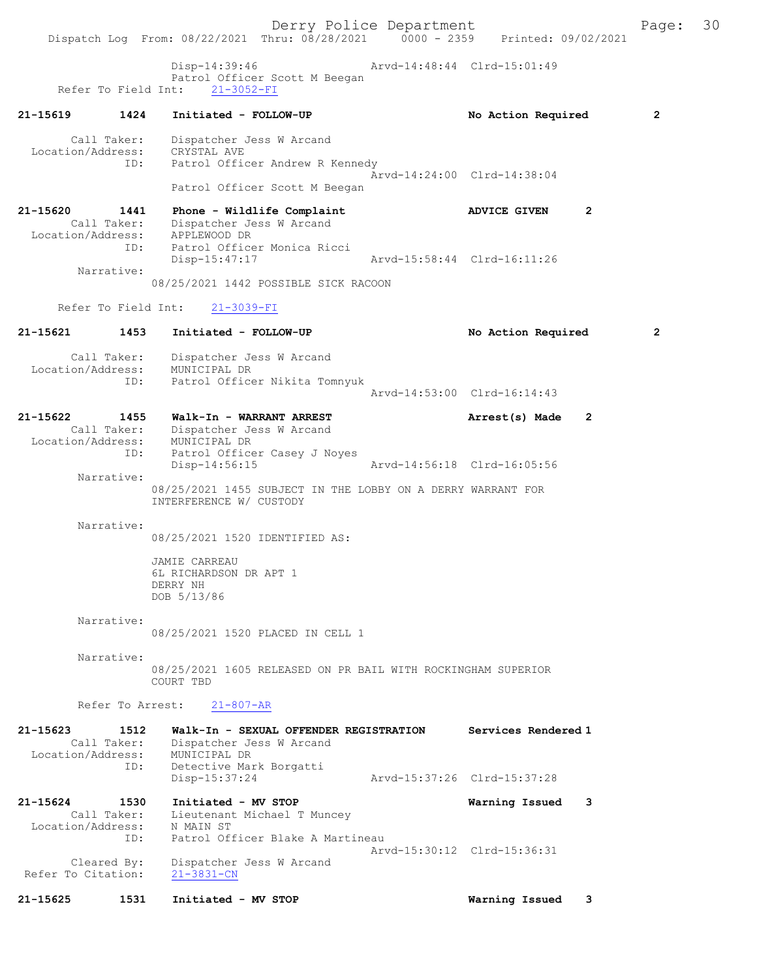Derry Police Department Fage: 30 Dispatch Log From: 08/22/2021 Thru: 08/28/2021 0000 - 2359 Printed: 09/02/2021 Disp-14:39:46 Arvd-14:48:44 Clrd-15:01:49 Patrol Officer Scott M Beegan Refer To Field Int: 21-3052-FI 21-15619 1424 Initiated - FOLLOW-UP No Action Required 2 Call Taker: Dispatcher Jess W Arcand Location/Address: CRYSTAL AVE ID: Patrol Officer Andrew R Kennedy Arvd-14:24:00 Clrd-14:38:04 Patrol Officer Scott M Beegan 21-15620 1441 Phone - Wildlife Complaint ADVICE GIVEN 2 Call Taker: Dispatcher Jess W Arcand Location/Address: APPLEWOOD DR ID: Patrol Officer Monica Ricci Disp-15:47:17 Arvd-15:58:44 Clrd-16:11:26 Narrative: 08/25/2021 1442 POSSIBLE SICK RACOON Refer To Field Int: 21-3039-FI 21-15621 1453 Initiated - FOLLOW-UP No Action Required 2 Call Taker: Dispatcher Jess W Arcand Location/Address: MUNICIPAL DR ID: Patrol Officer Nikita Tomnyuk Arvd-14:53:00 Clrd-16:14:43 21-15622 1455 Walk-In - WARRANT ARREST Arrest(s) Made 2 Call Taker: Dispatcher Jess W Arcand Location/Address: MUNICIPAL DR ID: Patrol Officer Casey J Noyes<br>Disp-14:56:15 Disp-14:56:15 Arvd-14:56:18 Clrd-16:05:56 Narrative: 08/25/2021 1455 SUBJECT IN THE LOBBY ON A DERRY WARRANT FOR INTERFERENCE W/ CUSTODY Narrative: 08/25/2021 1520 IDENTIFIED AS: JAMIE CARREAU 6L RICHARDSON DR APT 1 DERRY NH DOB 5/13/86 Narrative: 08/25/2021 1520 PLACED IN CELL 1 Narrative: 08/25/2021 1605 RELEASED ON PR BAIL WITH ROCKINGHAM SUPERIOR COURT TBD Refer To Arrest: 21-807-AR 21-15623 1512 Walk-In - SEXUAL OFFENDER REGISTRATION Services Rendered 1 Call Taker: Dispatcher Jess W Arcand Location/Address: MUNICIPAL DR ID: Detective Mark Borgatti Disp-15:37:24 Arvd-15:37:26 Clrd-15:37:28 21-15624 1530 Initiated - MV STOP Warning Issued 3 Call Taker: Lieutenant Michael T Muncey Location/Address: N MAIN ST ID: Patrol Officer Blake A Martineau Arvd-15:30:12 Clrd-15:36:31 Cleared By: Dispatcher Jess W Arcand Refer To Citation: 21-3831-CN 21-15625 1531 Initiated - MV STOP Warning Issued 3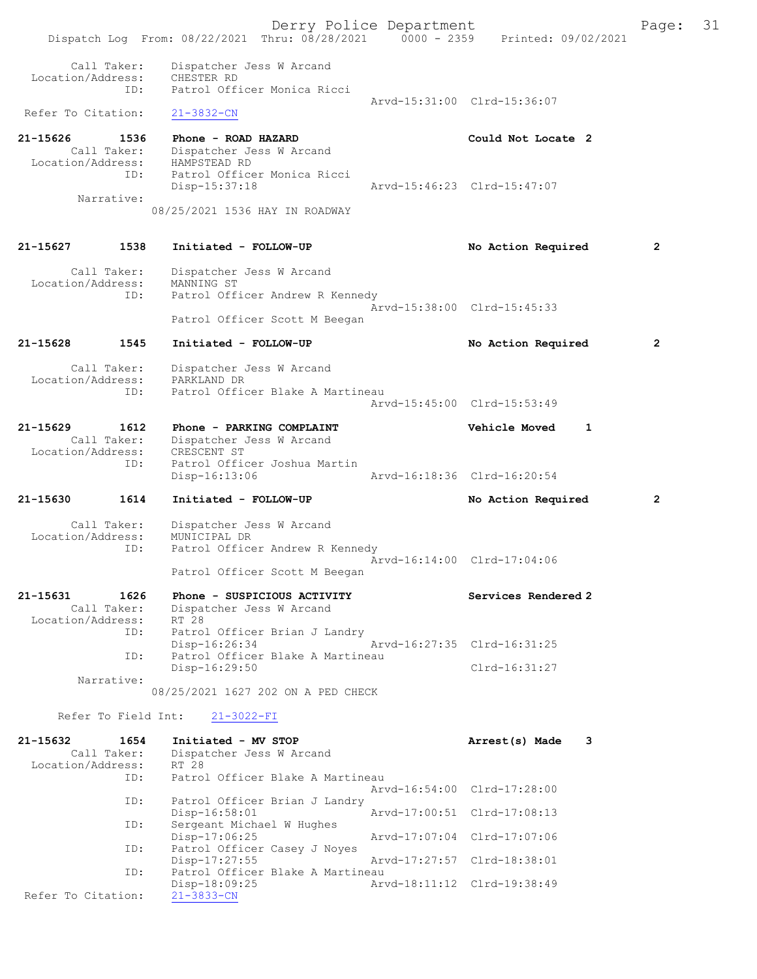Derry Police Department The Page: 31 Dispatch Log From: 08/22/2021 Thru: 08/28/2021 0000 - 2359 Printed: 09/02/2021 Call Taker: Dispatcher Jess W Arcand Location/Address: CHESTER RD ID: Patrol Officer Monica Ricci Arvd-15:31:00 Clrd-15:36:07<br>21-3832-CN Refer To Citation: 21-15626 1536 Phone - ROAD HAZARD Could Not Locate 2 Call Taker: Dispatcher Jess W Arcand Location/Address: HAMPSTEAD RD ID: Patrol Officer Monica Ricci Disp-15:37:18 Arvd-15:46:23 Clrd-15:47:07 Narrative: 08/25/2021 1536 HAY IN ROADWAY 21-15627 1538 Initiated - FOLLOW-UP No Action Required 2 Call Taker: Dispatcher Jess W Arcand Location/Address: MANNING ST<br>TD: Patrol Off Patrol Officer Andrew R Kennedy Arvd-15:38:00 Clrd-15:45:33 Patrol Officer Scott M Beegan 21-15628 1545 Initiated - FOLLOW-UP No Action Required 2 Call Taker: Dispatcher Jess W Arcand Location/Address: PARKLAND DR ID: Patrol Officer Blake A Martineau Arvd-15:45:00 Clrd-15:53:49 21-15629 1612 Phone - PARKING COMPLAINT Vehicle Moved 1 Call Taker: Dispatcher Jess W Arcand Location/Address: CRESCENT ST ID: Patrol Officer Joshua Martin Disp-16:13:06 Arvd-16:18:36 Clrd-16:20:54 21-15630 1614 Initiated - FOLLOW-UP No Action Required 2 Call Taker: Dispatcher Jess W Arcand Location/Address: MUNICIPAL DR ID: Patrol Officer Andrew R Kennedy Arvd-16:14:00 Clrd-17:04:06 Patrol Officer Scott M Beegan 21-15631 1626 Phone - SUSPICIOUS ACTIVITY Services Rendered 2 Call Taker: Dispatcher Jess W Arcand Location/Address: ID: Patrol Officer Brian J Landry Disp-16:26:34 Arvd-16:27:35 Clrd-16:31:25 ID: Patrol Officer Blake A Martineau Disp-16:29:50 Clrd-16:31:27 Narrative: 08/25/2021 1627 202 ON A PED CHECK Refer To Field Int: 21-3022-FI 21-15632 1654 Initiated - MV STOP 1563 Arrest(s) Made 3 Call Taker: Dispatcher Jess W Arcand<br>.on/Address: RT 28 Location/Address:<br>ID: Patrol Officer Blake A Martineau Arvd-16:54:00 Clrd-17:28:00 ID: Patrol Officer Brian J Landry<br>Disp-16:58:01 Disp-16:58:01 Arvd-17:00:51 Clrd-17:08:13<br>The Sergeant Michael W Hughes Sergeant Michael W Hughes<br>Disp-17:06:25 Disp-17:06:25 Arvd-17:07:04 Clrd-17:07:06<br>TD: Patrol Officer Casey J Noves Patrol Officer Casey J Noyes Disp-17:27:55 Arvd-17:27:57 Clrd-18:38:01<br>TD: Patrol Officer Blake A Martineau Patrol Officer Blake A Martineau<br>Disp-18:09:25 Art Disp-18:09:25 Arvd-18:11:12 Clrd-19:38:49 Refer To Citation: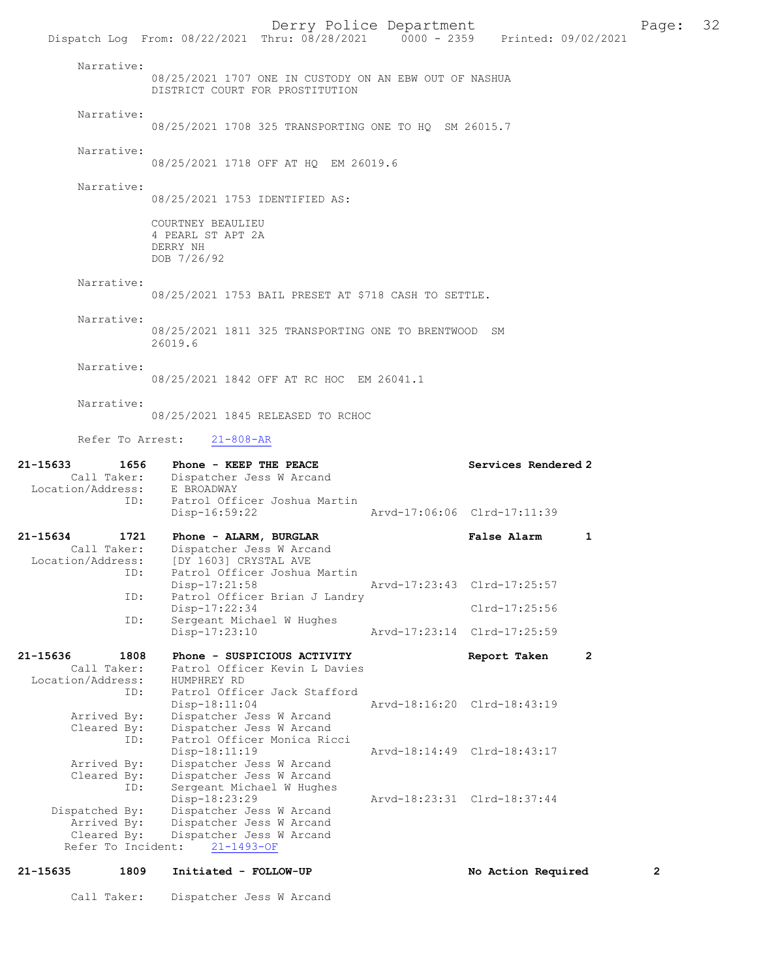Derry Police Department<br>
Page: 32<br>
Printed: 09/02/2021<br>
Printed: 09/02/2021 Dispatch Log From: 08/22/2021 Thru: 08/28/2021 Narrative: 08/25/2021 1707 ONE IN CUSTODY ON AN EBW OUT OF NASHUA DISTRICT COURT FOR PROSTITUTION Narrative: 08/25/2021 1708 325 TRANSPORTING ONE TO HQ SM 26015.7 Narrative: 08/25/2021 1718 OFF AT HQ EM 26019.6 Narrative: 08/25/2021 1753 IDENTIFIED AS: COURTNEY BEAULIEU 4 PEARL ST APT 2A DERRY NH DOB 7/26/92 Narrative: 08/25/2021 1753 BAIL PRESET AT \$718 CASH TO SETTLE. Narrative: 08/25/2021 1811 325 TRANSPORTING ONE TO BRENTWOOD SM 26019.6 Narrative: 08/25/2021 1842 OFF AT RC HOC EM 26041.1 Narrative: 08/25/2021 1845 RELEASED TO RCHOC Refer To Arrest: 21-808-AR 21-15633 1656 Phone - KEEP THE PEACE No. 21-15633 Services Rendered 2 Call Taker: Dispatcher Jess W Arcand Location/Address: E BROADWAY ID: Patrol Officer Joshua Martin Disp-16:59:22 Arvd-17:06:06 Clrd-17:11:39 21-15634 1721 Phone - ALARM, BURGLAR False Alarm 1 Call Taker: Dispatcher Jess W Arcand<br>Location/Address: [DY 1603] CRYSTAL AVE [DY 1603] CRYSTAL AVE ID: Patrol Officer Joshua Martin<br>Disp-17:21:58 Disp-17:21:58 Arvd-17:23:43 Clrd-17:25:57<br>TD: Patrol Officer Brian J Landry Patrol Officer Brian J Landry Disp-17:22:34 Clrd-17:25:56<br>ID: Sergeant Michael W Hughes Sergeant Michael W Hughes Disp-17:23:10 Arvd-17:23:14 Clrd-17:25:59 21-15636 1808 Phone - SUSPICIOUS ACTIVITY Report Taken 2 Call Taker: Patrol Officer Kevin L Davies Location/Address: HUMPHREY RD Patrol Officer Jack Stafford Disp-18:11:04 Arvd-18:16:20 Clrd-18:43:19<br>Arrived By: Dispatcher Jess W Arcand Dispatcher Jess W Arcand Cleared By: Dispatcher Jess W Arcand ID: Patrol Officer Monica Ricci Disp-18:11:19 Arvd-18:14:49 Clrd-18:43:17<br>Arrived By: Dispatcher Jess W Arcand Arrived By: Dispatcher Jess W Arcand Cleared By: Dispatcher Jess W Arcand ID: Sergeant Michael W Hughes Disp-18:23:29 Arvd-18:23:31 Clrd-18:37:44<br>Dispatched By: Dispatcher Jess W Arcand patched By: Dispatcher Jess W Arcand<br>Arrived By: Dispatcher Jess W Arcand Arrived By: Dispatcher Jess W Arcand<br>Cleared By: Dispatcher Jess W Arcand Dispatcher Jess W Arcand<br>ht: 21-1493-OF Refer To Incident:

21-15635 1809 Initiated - FOLLOW-UP No Action Required 2 Call Taker: Dispatcher Jess W Arcand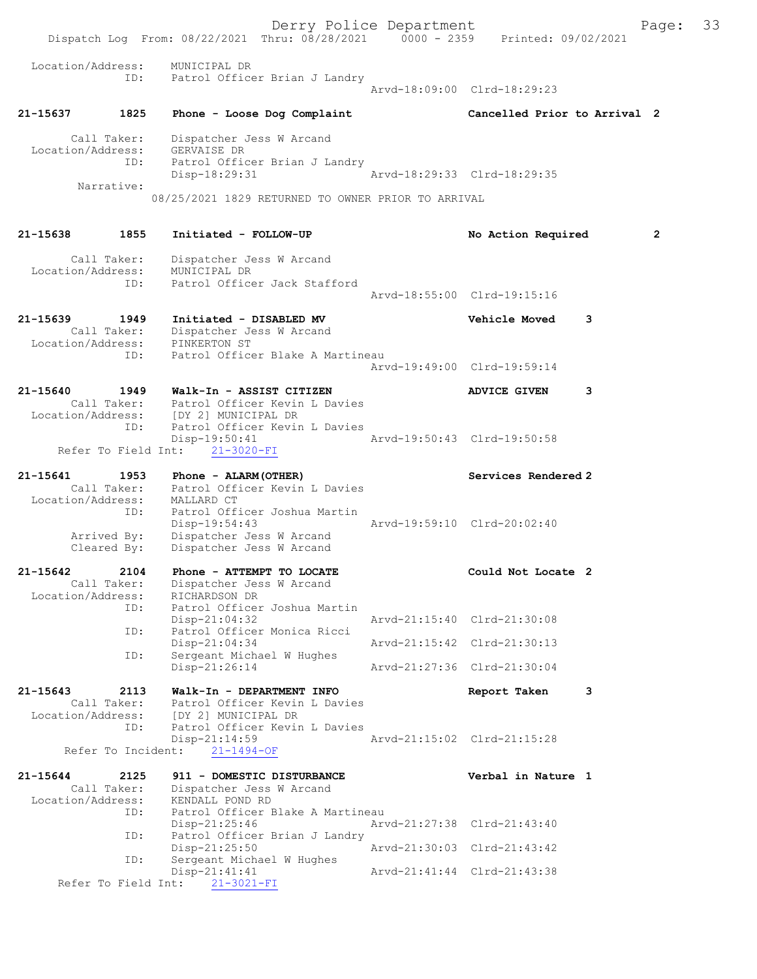Derry Police Department Fage: 33 Dispatch Log From: 08/22/2021 Thru: 08/28/2021 0000 - 2359 Printed: 09/02/2021 Location/Address: MUNICIPAL DR ID: Patrol Officer Brian J Landry Arvd-18:09:00 Clrd-18:29:23 21-15637 1825 Phone - Loose Dog Complaint Cancelled Prior to Arrival 2 Call Taker: Dispatcher Jess W Arcand Location/Address: GERVAISE DR ID: Patrol Officer Brian J Landry Disp-18:29:31 Arvd-18:29:33 Clrd-18:29:35 Narrative: 08/25/2021 1829 RETURNED TO OWNER PRIOR TO ARRIVAL 21-15638 1855 Initiated - FOLLOW-UP No Action Required 2 Call Taker: Dispatcher Jess W Arcand Location/Address: MUNICIPAL DR ID: Patrol Officer Jack Stafford Arvd-18:55:00 Clrd-19:15:16 21-15639 1949 Initiated - DISABLED MV Vehicle Moved 3 Call Taker: Dispatcher Jess W Arcand Location/Address: PINKERTON ST ID: Patrol Officer Blake A Martineau Arvd-19:49:00 Clrd-19:59:14 21-15640 1949 Walk-In - ASSIST CITIZEN ADVICE GIVEN 3 Call Taker: Patrol Officer Kevin L Davies Location/Address: [DY 2] MUNICIPAL DR ID: Patrol Officer Kevin L Davies<br>Disp-19:50:41 Disp-19:50:41 Arvd-19:50:43 Clrd-19:50:58 Refer To Field Int: 21-3020-FI 21-15641 1953 Phone - ALARM(OTHER) Services Rendered 2 Call Taker: Patrol Officer Kevin L Davies Location/Address: MALLARD CT ID: Patrol Officer Joshua Martin<br>Disp-19:54:43 Disp-19:54:43 Arvd-19:59:10 Clrd-20:02:40 Arrived By: Dispatcher Jess W Arcand Cleared By: Dispatcher Jess W Arcand 21-15642 2104 Phone - ATTEMPT TO LOCATE Could Not Locate 2 Call Taker: Dispatcher Jess W Arcand Location/Address: RICHARDSON DR ID: Patrol Officer Joshua Martin Disp-21:04:32 Arvd-21:15:40 Clrd-21:30:08 ID: Patrol Officer Monica Ricci Disp-21:04:34 Arvd-21:15:42 Clrd-21:30:13 ID: Sergeant Michael W Hughes Disp-21:26:14 Arvd-21:27:36 Clrd-21:30:04 21-15643 2113 Walk-In - DEPARTMENT INFO Report Taken 3 Call Taker: Patrol Officer Kevin L Davies Location/Address: [DY 2] MUNICIPAL DR ID: Patrol Officer Kevin L Davies<br>Disp-21:14:59 Mrvd-21:15:02 Clrd-21:15:28 Disp-21:14:59 Refer To Incident: 21-1494-OF 21-15644 2125 911 - DOMESTIC DISTURBANCE Verbal in Nature 1 Call Taker: Dispatcher Jess W Arcand Location/Address: KENDALL POND RD ID: Patrol Officer Blake A Martineau<br>Disp-21:25:46 Arv Disp-21:25:46 Arvd-21:27:38 Clrd-21:43:40<br>ID: Patrol Officer Brian J Landry ID: Patrol Officer Brian J Landry Disp-21:25:50 Arvd-21:30:03 Clrd-21:43:42 ID: Sergeant Michael W Hughes Disp-21:41:41 Arvd-21:41:44 Clrd-21:43:38 Refer To Field Int: 21-3021-FI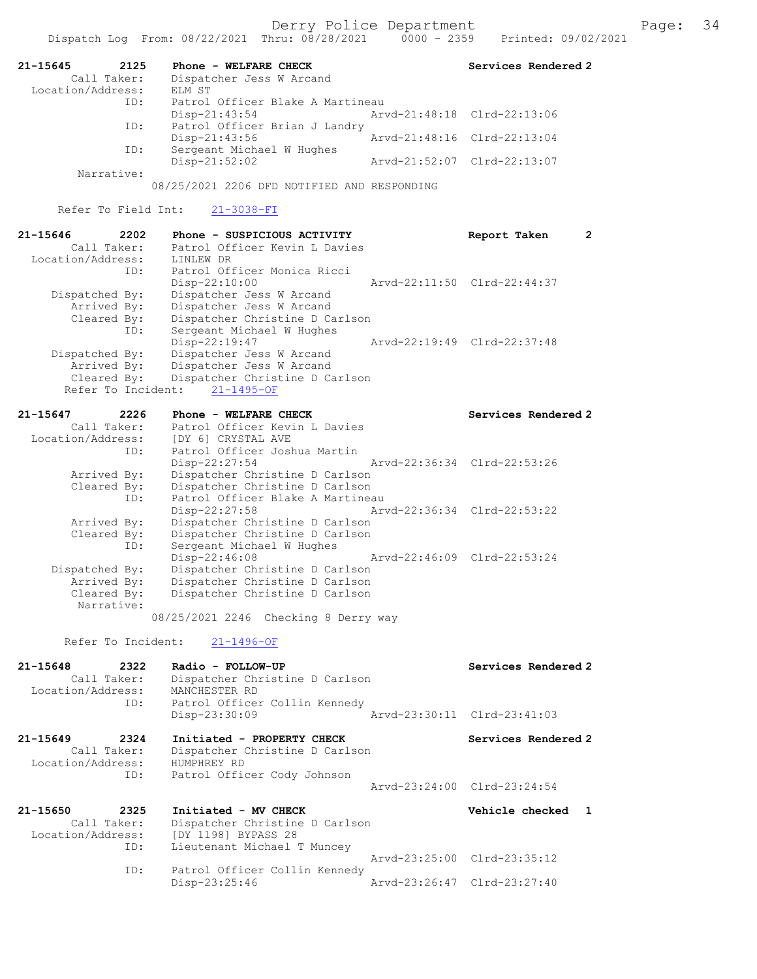| 21-15645<br>2125                  | Phone - WELFARE CHECK                                            | Services Rendered 2              |
|-----------------------------------|------------------------------------------------------------------|----------------------------------|
| Call Taker:<br>Location/Address:  | Dispatcher Jess W Arcand<br>ELM ST                               |                                  |
| ID:                               | Patrol Officer Blake A Martineau                                 |                                  |
| ID:                               | $Disp-21:43:54$<br>Patrol Officer Brian J Landry                 | Arvd-21:48:18 Clrd-22:13:06      |
| ID:                               | Disp-21:43:56<br>Sergeant Michael W Hughes                       | Arvd-21:48:16<br>$Clrd-22:13:04$ |
| Narrative:                        | Disp-21:52:02                                                    | Arvd-21:52:07 Clrd-22:13:07      |
|                                   | 08/25/2021 2206 DFD NOTIFIED AND RESPONDING                      |                                  |
| Refer To Field Int:               | $21 - 3038 - FI$                                                 |                                  |
| 21-15646<br>2202                  | Phone - SUSPICIOUS ACTIVITY                                      | $\mathbf{2}$<br>Report Taken     |
| Call Taker:<br>Location/Address:  | Patrol Officer Kevin L Davies<br>LINLEW DR                       |                                  |
| ID:                               | Patrol Officer Monica Ricci                                      |                                  |
|                                   | Disp-22:10:00                                                    | Arvd-22:11:50 Clrd-22:44:37      |
| Dispatched By:                    | Dispatcher Jess W Arcand                                         |                                  |
| Arrived By:<br>Cleared By:        | Dispatcher Jess W Arcand<br>Dispatcher Christine D Carlson       |                                  |
| ID:                               | Sergeant Michael W Hughes                                        |                                  |
|                                   | Disp-22:19:47                                                    | Arvd-22:19:49 Clrd-22:37:48      |
| Dispatched By:                    | Dispatcher Jess W Arcand                                         |                                  |
| Arrived By:                       | Dispatcher Jess W Arcand                                         |                                  |
| Cleared By:<br>Refer To Incident: | Dispatcher Christine D Carlson<br>$21 - 1495 - OF$               |                                  |
|                                   |                                                                  |                                  |
| 21-15647<br>2226                  | Phone - WELFARE CHECK                                            | Services Rendered 2              |
| Call Taker:                       | Patrol Officer Kevin L Davies                                    |                                  |
| Location/Address:<br>ID:          | [DY 6] CRYSTAL AVE<br>Patrol Officer Joshua Martin               |                                  |
|                                   | $Disp-22:27:54$                                                  | Arvd-22:36:34 Clrd-22:53:26      |
| Arrived By:                       | Dispatcher Christine D Carlson                                   |                                  |
| Cleared By:                       | Dispatcher Christine D Carlson                                   |                                  |
| ID:                               | Patrol Officer Blake A Martineau                                 |                                  |
| Arrived By:                       | Disp-22:27:58<br>Dispatcher Christine D Carlson                  | Arvd-22:36:34 Clrd-22:53:22      |
| Cleared By:                       | Dispatcher Christine D Carlson                                   |                                  |
| ID:                               | Sergeant Michael W Hughes                                        |                                  |
|                                   | Disp-22:46:08                                                    | Arvd-22:46:09 Clrd-22:53:24      |
| Dispatched By:                    | Dispatcher Christine D Carlson                                   |                                  |
| Arrived By:<br>Cleared By:        | Dispatcher Christine D Carlson<br>Dispatcher Christine D Carlson |                                  |
| Narrative:                        |                                                                  |                                  |
|                                   | 08/25/2021 2246 Checking 8 Derry way                             |                                  |
| Refer To Incident:                | $21 - 1496 - OF$                                                 |                                  |
| 21-15648<br>2322                  | Radio - FOLLOW-UP                                                | Services Rendered 2              |
| Call Taker:                       | Dispatcher Christine D Carlson                                   |                                  |
| Location/Address:                 | MANCHESTER RD                                                    |                                  |
| ID:                               | Patrol Officer Collin Kennedy                                    |                                  |
|                                   | Disp-23:30:09                                                    | Arvd-23:30:11 Clrd-23:41:03      |
| 21-15649<br>2324                  | Initiated - PROPERTY CHECK                                       | Services Rendered 2              |
| Call Taker:                       | Dispatcher Christine D Carlson                                   |                                  |
| Location/Address:                 | HUMPHREY RD                                                      |                                  |
| ID:                               | Patrol Officer Cody Johnson                                      | Arvd-23:24:00 Clrd-23:24:54      |
| 21-15650<br>2325                  | Initiated - MV CHECK                                             | Vehicle checked<br>-1            |
| Call Taker:                       | Dispatcher Christine D Carlson                                   |                                  |
| Location/Address:                 | [DY 1198] BYPASS 28                                              |                                  |
| ID:                               | Lieutenant Michael T Muncey                                      |                                  |
| ID:                               | Patrol Officer Collin Kennedy                                    | Arvd-23:25:00 Clrd-23:35:12      |
|                                   | Disp-23:25:46                                                    | Arvd-23:26:47 Clrd-23:27:40      |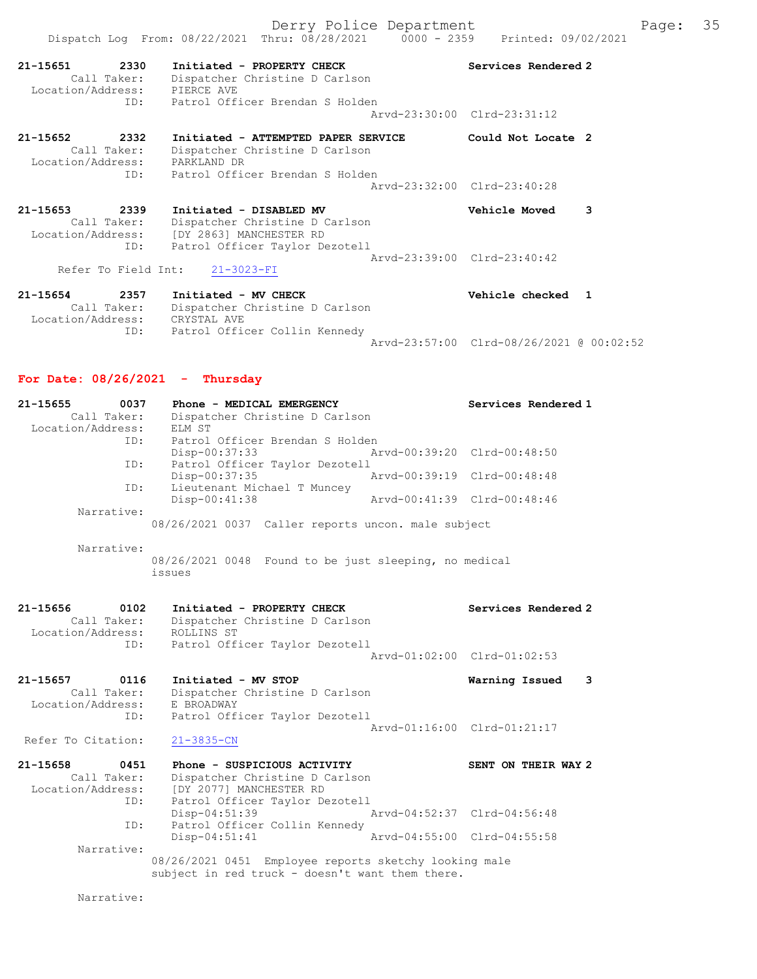Derry Police Department Fage: 35 Dispatch Log From: 08/22/2021 Thru: 08/28/2021 0000 - 2359 Printed: 09/02/2021 21-15651 2330 Initiated - PROPERTY CHECK Services Rendered 2 Call Taker: Dispatcher Christine D Carlson Location/Address: PIERCE AVE ID: Patrol Officer Brendan S Holden Arvd-23:30:00 Clrd-23:31:12 21-15652 2332 Initiated - ATTEMPTED PAPER SERVICE Could Not Locate 2 Call Taker: Dispatcher Christine D Carlson Location/Address: PARKLAND DR ID: Patrol Officer Brendan S Holden Arvd-23:32:00 Clrd-23:40:28 21-15653 2339 Initiated - DISABLED MV Vehicle Moved 3 Call Taker: Dispatcher Christine D Carlson Location/Address: [DY 2863] MANCHESTER RD ID: Patrol Officer Taylor Dezotell Arvd-23:39:00 Clrd-23:40:42 Refer To Field Int: 21-3023-FI 21-15654 2357 Initiated - MV CHECK Vehicle checked 1 Call Taker: Dispatcher Christine D Carlson Location/Address: CRYSTAL AVE

 ID: Patrol Officer Collin Kennedy Arvd-23:57:00 Clrd-08/26/2021 @ 00:02:52

## For Date: 08/26/2021 - Thursday

| 21-15655<br>0037<br>Call Taker:  | Phone - MEDICAL EMERGENCY<br>Dispatcher Christine D Carlson                                              | Services Rendered 1         |
|----------------------------------|----------------------------------------------------------------------------------------------------------|-----------------------------|
| Location/Address:                | ELM ST                                                                                                   |                             |
| ID:                              | Patrol Officer Brendan S Holden                                                                          |                             |
|                                  | Disp-00:37:33                                                                                            | Arvd-00:39:20 Clrd-00:48:50 |
| ID:                              | Patrol Officer Taylor Dezotell<br>Disp-00:37:35                                                          | Arvd-00:39:19 Clrd-00:48:48 |
| ID:                              | Lieutenant Michael T Muncey                                                                              |                             |
|                                  | Disp-00:41:38                                                                                            | Arvd-00:41:39 Clrd-00:48:46 |
| Narrative:                       |                                                                                                          |                             |
|                                  | 08/26/2021 0037 Caller reports uncon. male subject                                                       |                             |
| Narrative:                       |                                                                                                          |                             |
|                                  | 08/26/2021 0048 Found to be just sleeping, no medical                                                    |                             |
|                                  | issues                                                                                                   |                             |
|                                  |                                                                                                          |                             |
| 21-15656<br>0102                 | Initiated - PROPERTY CHECK                                                                               | Services Rendered 2         |
| Call Taker:<br>Location/Address: | Dispatcher Christine D Carlson<br>ROLLINS ST                                                             |                             |
| ID:                              | Patrol Officer Taylor Dezotell                                                                           |                             |
|                                  |                                                                                                          | Aryd-01:02:00 Clrd-01:02:53 |
| 21-15657<br>0116                 | Initiated - MV STOP                                                                                      | Warning Issued<br>3         |
| Call Taker:                      | Dispatcher Christine D Carlson                                                                           |                             |
| Location/Address:                | E BROADWAY                                                                                               |                             |
| ID:                              | Patrol Officer Taylor Dezotell                                                                           | Arvd-01:16:00 Clrd-01:21:17 |
| Refer To Citation:               | $21 - 3835 - CN$                                                                                         |                             |
|                                  |                                                                                                          |                             |
| $21 - 15658$<br>0451             | Phone - SUSPICIOUS ACTIVITY                                                                              | SENT ON THEIR WAY 2         |
| Call Taker:                      | Dispatcher Christine D Carlson                                                                           |                             |
| Location/Address:<br>ID:         | [DY 2077] MANCHESTER RD<br>Patrol Officer Taylor Dezotell                                                |                             |
|                                  | $Disp-04:51:39$                                                                                          | Arvd-04:52:37 Clrd-04:56:48 |
| ID:                              | Patrol Officer Collin Kennedy                                                                            |                             |
|                                  | $Disp-04:51:41$                                                                                          | Arvd-04:55:00 Clrd-04:55:58 |
| Narrative:                       |                                                                                                          |                             |
|                                  | 08/26/2021 0451 Employee reports sketchy looking male<br>subject in red truck - doesn't want them there. |                             |
|                                  |                                                                                                          |                             |
| Narrative:                       |                                                                                                          |                             |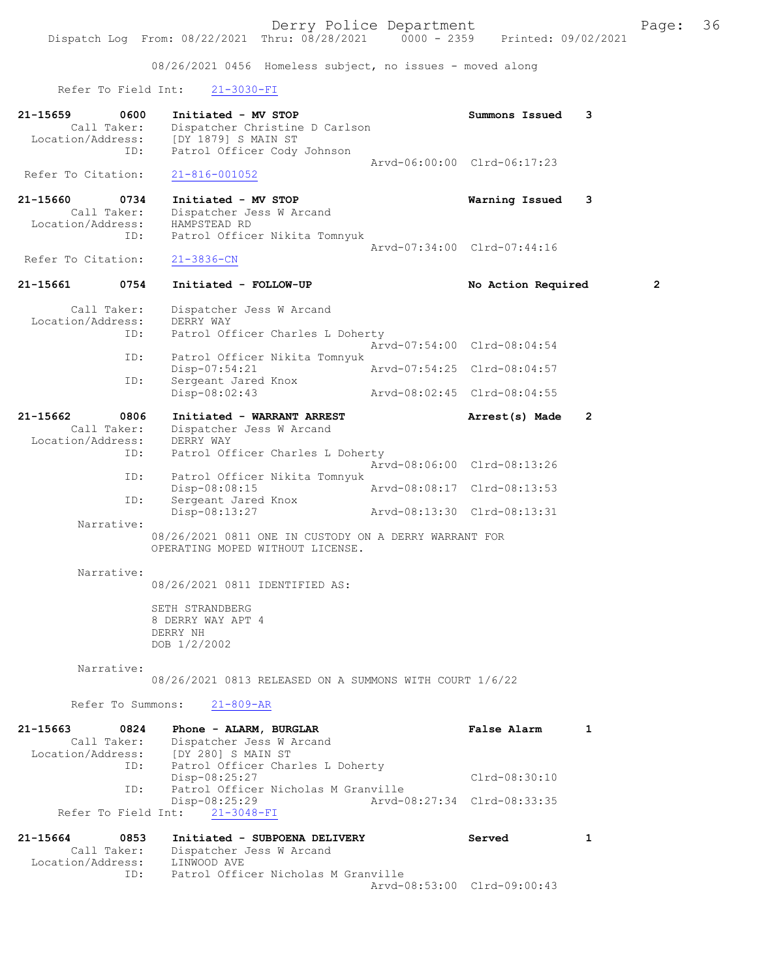08/26/2021 0456 Homeless subject, no issues - moved along

Refer To Field Int: 21-3030-FI

| 21-15659<br>0600<br>Call Taker:<br>Location/Address:<br>ID: | Initiated - MV STOP<br>Dispatcher Christine D Carlson<br>[DY 1879] S MAIN ST<br>Patrol Officer Cody Johnson  | Summons Issued              | 3              |
|-------------------------------------------------------------|--------------------------------------------------------------------------------------------------------------|-----------------------------|----------------|
| Refer To Citation:                                          | $21 - 816 - 001052$                                                                                          | Arvd-06:00:00 Clrd-06:17:23 |                |
| 21-15660<br>0734<br>Call Taker:<br>Location/Address:<br>ID: | Initiated - MV STOP<br>Dispatcher Jess W Arcand<br>HAMPSTEAD RD<br>Patrol Officer Nikita Tomnyuk             | Warning Issued              | 3              |
| Refer To Citation:                                          | $21 - 3836 - CN$                                                                                             | Arvd-07:34:00 Clrd-07:44:16 |                |
| 0754<br>21-15661                                            | Initiated - FOLLOW-UP                                                                                        | No Action Required          | 2              |
| Call Taker:<br>Location/Address:<br>ID:                     | Dispatcher Jess W Arcand<br>DERRY WAY<br>Patrol Officer Charles L Doherty                                    |                             |                |
| ID:                                                         | Patrol Officer Nikita Tomnyuk                                                                                | Arvd-07:54:00 Clrd-08:04:54 |                |
| ID:                                                         | Disp-07:54:21<br>Sergeant Jared Knox                                                                         | Arvd-07:54:25 Clrd-08:04:57 |                |
|                                                             | Disp-08:02:43                                                                                                | Arvd-08:02:45 Clrd-08:04:55 |                |
| 21-15662<br>0806<br>Call Taker:<br>Location/Address:<br>ID: | Initiated - WARRANT ARREST<br>Dispatcher Jess W Arcand<br>DERRY WAY<br>Patrol Officer Charles L Doherty      | Arrest(s) Made              | $\overline{2}$ |
| ID:                                                         | Patrol Officer Nikita Tomnyuk                                                                                | Arvd-08:06:00 Clrd-08:13:26 |                |
| ID:                                                         | Disp-08:08:15<br>Sergeant Jared Knox                                                                         | Arvd-08:08:17 Clrd-08:13:53 |                |
| Narrative:                                                  | Disp-08:13:27                                                                                                | Arvd-08:13:30 Clrd-08:13:31 |                |
|                                                             | 08/26/2021 0811 ONE IN CUSTODY ON A DERRY WARRANT FOR<br>OPERATING MOPED WITHOUT LICENSE.                    |                             |                |
| Narrative:                                                  | 08/26/2021 0811 IDENTIFIED AS:                                                                               |                             |                |
|                                                             | SETH STRANDBERG<br>8 DERRY WAY APT 4<br>DERRY NH<br>DOB 1/2/2002                                             |                             |                |
| Narrative:                                                  | 08/26/2021 0813 RELEASED ON A SUMMONS WITH COURT 1/6/22                                                      |                             |                |
| Refer To Summons:                                           | $21 - 809 - AR$                                                                                              |                             |                |
| 21-15663<br>0824<br>Call Taker:<br>Location/Address:<br>ID: | Phone - ALARM, BURGLAR<br>Dispatcher Jess W Arcand<br>[DY 280] S MAIN ST<br>Patrol Officer Charles L Doherty | <b>False Alarm</b>          | 1              |
| ID:                                                         | Disp-08:25:27<br>Patrol Officer Nicholas M Granville                                                         | $Clrd-08:30:10$             |                |
| Refer To Field Int:                                         | Disp-08:25:29<br>$21 - 3048 - FI$                                                                            | Arvd-08:27:34 Clrd-08:33:35 |                |
| 21-15664<br>0853<br>Call Taker:                             | Initiated - SUBPOENA DELIVERY<br>Dispatcher Jess W Arcand                                                    | Served                      | 1              |

 Location/Address: LINWOOD AVE ID: Patrol Officer Nicholas M Granville Arvd-08:53:00 Clrd-09:00:43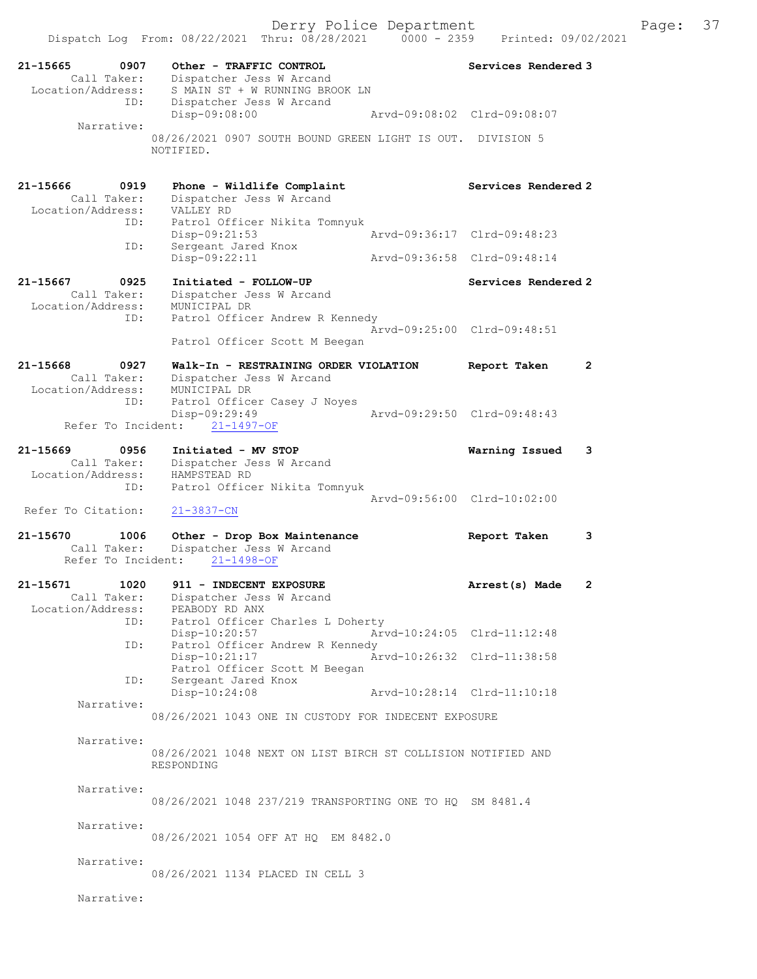| 21-15665<br>0907<br>Call Taker:                       | Other - TRAFFIC CONTROL<br>Dispatcher Jess W Arcand                                              | Services Rendered 3          |
|-------------------------------------------------------|--------------------------------------------------------------------------------------------------|------------------------------|
| Location/Address:<br>ID:                              | S MAIN ST + W RUNNING BROOK LN<br>Dispatcher Jess W Arcand<br>Disp-09:08:00                      | Arvd-09:08:02 Clrd-09:08:07  |
| Narrative:                                            | 08/26/2021 0907 SOUTH BOUND GREEN LIGHT IS OUT. DIVISION 5<br>NOTIFIED.                          |                              |
| 21-15666<br>0919<br>Call Taker:                       | Phone - Wildlife Complaint<br>Dispatcher Jess W Arcand                                           | Services Rendered 2          |
| Location/Address:<br>ID:                              | VALLEY RD<br>Patrol Officer Nikita Tomnyuk<br>$Disp-09:21:53$                                    | Arvd-09:36:17 Clrd-09:48:23  |
| ID:                                                   | Sergeant Jared Knox<br>Disp-09:22:11                                                             | Arvd-09:36:58 Clrd-09:48:14  |
| 21-15667<br>0925<br>Call Taker:                       | Initiated - FOLLOW-UP<br>Dispatcher Jess W Arcand                                                | Services Rendered 2          |
| Location/Address:<br>ID:                              | MUNICIPAL DR<br>Patrol Officer Andrew R Kennedy<br>Patrol Officer Scott M Beegan                 | Arvd-09:25:00 Clrd-09:48:51  |
| 21-15668<br>0927<br>Call Taker:                       | Walk-In - RESTRAINING ORDER VIOLATION<br>Dispatcher Jess W Arcand                                | $\mathbf{2}$<br>Report Taken |
| Location/Address:<br>ID:                              | MUNICIPAL DR<br>Patrol Officer Casey J Noyes<br>$Disp-09:29:49$<br>Refer To Incident: 21-1497-OF | Arvd-09:29:50 Clrd-09:48:43  |
| 21-15669<br>0956<br>Call Taker:<br>Location/Address:  | Initiated - MV STOP<br>Dispatcher Jess W Arcand<br>HAMPSTEAD RD                                  | Warning Issued<br>3          |
| ID:<br>Refer To Citation:                             | Patrol Officer Nikita Tomnyuk<br>$21 - 3837 - CN$                                                | Arvd-09:56:00 Clrd-10:02:00  |
| 21-15670<br>1006<br>Call Taker:<br>Refer To Incident: | Other - Drop Box Maintenance<br>Dispatcher Jess W Arcand<br>$21 - 1498 - OF$                     | 3<br>Report Taken            |
| 21-15671<br>1020<br>Call Taker:<br>Location/Address:  | 911 - INDECENT EXPOSURE<br>Dispatcher Jess W Arcand<br>PEABODY RD ANX                            | Arrest(s) Made<br>2          |
| ID:                                                   | Patrol Officer Charles L Doherty<br>Disp-10:20:57                                                | Arvd-10:24:05 Clrd-11:12:48  |
| ID:                                                   | Patrol Officer Andrew R Kennedy<br>Disp-10:21:17<br>Patrol Officer Scott M Beegan                | Arvd-10:26:32 Clrd-11:38:58  |
| ID:                                                   | Sergeant Jared Knox<br>Disp-10:24:08                                                             | Arvd-10:28:14 Clrd-11:10:18  |
| Narrative:                                            | 08/26/2021 1043 ONE IN CUSTODY FOR INDECENT EXPOSURE                                             |                              |
| Narrative:                                            | 08/26/2021 1048 NEXT ON LIST BIRCH ST COLLISION NOTIFIED AND<br>RESPONDING                       |                              |
| Narrative:                                            | 08/26/2021 1048 237/219 TRANSPORTING ONE TO HQ SM 8481.4                                         |                              |
| Narrative:                                            | 08/26/2021 1054 OFF AT HQ EM 8482.0                                                              |                              |
| Narrative:                                            | 08/26/2021 1134 PLACED IN CELL 3                                                                 |                              |
| Narrative:                                            |                                                                                                  |                              |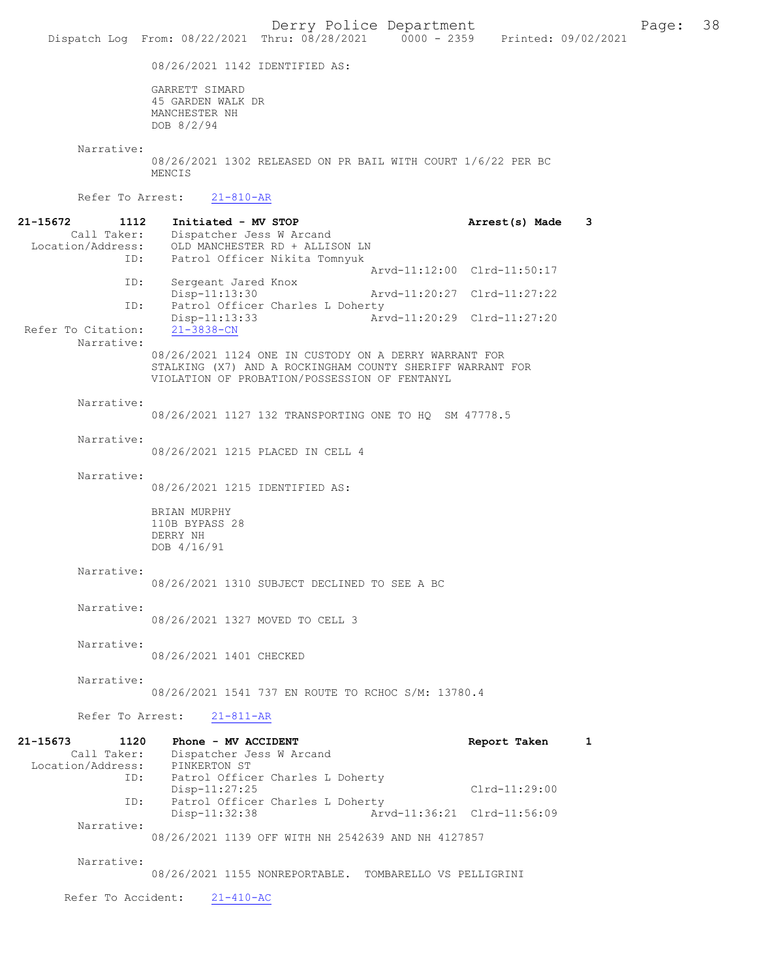08/26/2021 1142 IDENTIFIED AS:

GARRETT SIMARD 45 GARDEN WALK DR MANCHESTER NH DOB 8/2/94

 Narrative: 08/26/2021 1302 RELEASED ON PR BAIL WITH COURT 1/6/22 PER BC MENCIS Refer To Arrest: 21-810-AR 21-15672 1112 Initiated - MV STOP 115672 21-15672 1112 Initiated - MV STOP 1112 21-15672 Dispatcher Jess W Arcand Location/Address: OLD MANCHESTER RD + ALLISON LN Patrol Officer Nikita Tomnyuk Arvd-11:12:00 Clrd-11:50:17<br>TD: Sergeant Jared Knox

Sergeant Jared Knox<br>Disp-11:13:30 Arvd-11:20:27 Clrd-11:27:22 ID: Patrol Officer Charles L Doherty<br>Disp-11:13:33 Ar Disp-11:13:33 Arvd-11:20:29 Clrd-11:27:20 Refer To Citation: Narrative:

> 08/26/2021 1124 ONE IN CUSTODY ON A DERRY WARRANT FOR STALKING (X7) AND A ROCKINGHAM COUNTY SHERIFF WARRANT FOR VIOLATION OF PROBATION/POSSESSION OF FENTANYL

Narrative:

08/26/2021 1127 132 TRANSPORTING ONE TO HQ SM 47778.5

Narrative:

08/26/2021 1215 PLACED IN CELL 4

08/26/2021 1327 MOVED TO CELL 3

Narrative:

08/26/2021 1215 IDENTIFIED AS:

BRIAN MURPHY 110B BYPASS 28 DERRY NH DOB 4/16/91

# Narrative:

08/26/2021 1310 SUBJECT DECLINED TO SEE A BC

Narrative:

Narrative:

08/26/2021 1401 CHECKED

Narrative:

08/26/2021 1541 737 EN ROUTE TO RCHOC S/M: 13780.4

Refer To Arrest: 21-811-AR

| 21-15673          | 1120        | Phone - MV ACCIDENT                                | Report Taken                |  |
|-------------------|-------------|----------------------------------------------------|-----------------------------|--|
|                   | Call Taker: | Dispatcher Jess W Arcand                           |                             |  |
| Location/Address: |             | PINKERTON ST                                       |                             |  |
|                   | ID:         | Patrol Officer Charles L Doherty                   |                             |  |
|                   |             | $Disp-11:27:25$                                    | $Clrd-11:29:00$             |  |
|                   | ID:         | Patrol Officer Charles L Doherty                   |                             |  |
|                   |             | $Disp-11:32:38$                                    | Arvd-11:36:21 Clrd-11:56:09 |  |
|                   | Narrative:  |                                                    |                             |  |
|                   |             | 08/26/2021 1139 OFF WITH NH 2542639 AND NH 4127857 |                             |  |
|                   |             |                                                    |                             |  |

Narrative:

08/26/2021 1155 NONREPORTABLE. TOMBARELLO VS PELLIGRINI

Refer To Accident: 21-410-AC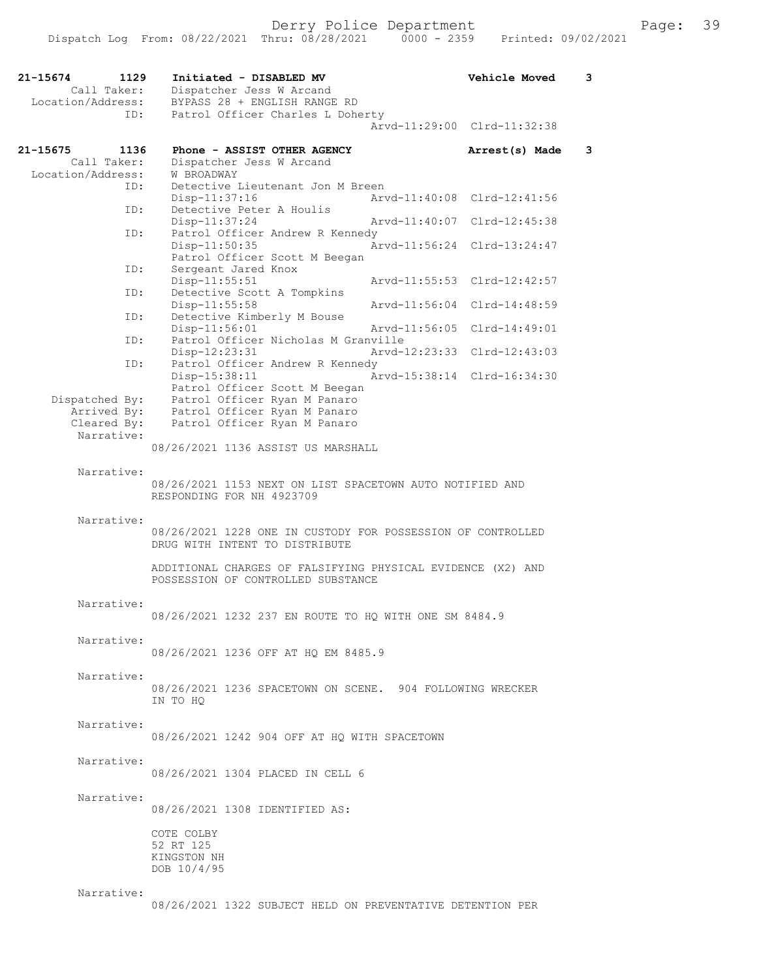| 21-15674<br>Location/Address: | 1129<br>Call Taker:       | Initiated - DISABLED MV<br>Vehicle Moved<br>Dispatcher Jess W Arcand<br>BYPASS 28 + ENGLISH RANGE RD | 3 |
|-------------------------------|---------------------------|------------------------------------------------------------------------------------------------------|---|
|                               | ID:                       | Patrol Officer Charles L Doherty                                                                     |   |
|                               |                           | Arvd-11:29:00 Clrd-11:32:38                                                                          |   |
| 21-15675                      | 1136                      | Phone - ASSIST OTHER AGENCY<br>Arrest(s) Made                                                        | 3 |
| Location/Address:             | Call Taker:               | Dispatcher Jess W Arcand<br>W BROADWAY                                                               |   |
|                               | ID:                       | Detective Lieutenant Jon M Breen                                                                     |   |
|                               |                           | Arvd-11:40:08 Clrd-12:41:56<br>Disp-11:37:16                                                         |   |
|                               | ID:                       | Detective Peter A Houlis<br>$Disp-11:37:24$<br>Arvd-11:40:07 Clrd-12:45:38                           |   |
|                               | ID:                       | Patrol Officer Andrew R Kennedy                                                                      |   |
|                               |                           | Disp-11:50:35<br>Arvd-11:56:24 Clrd-13:24:47                                                         |   |
|                               | ID:                       | Patrol Officer Scott M Beegan<br>Sergeant Jared Knox                                                 |   |
|                               |                           | $Disp-11:55:51$<br>Arvd-11:55:53 Clrd-12:42:57                                                       |   |
|                               | ID:                       | Detective Scott A Tompkins<br>Disp-11:55:58<br>Arvd-11:56:04 Clrd-14:48:59                           |   |
|                               | ID:                       | Detective Kimberly M Bouse                                                                           |   |
|                               |                           | Disp-11:56:01<br>Arvd-11:56:05<br>Clrd-14:49:01                                                      |   |
|                               | ID:                       | Patrol Officer Nicholas M Granville<br>Arvd-12:23:33<br>Clrd-12:43:03<br>$Disp-12:23:31$             |   |
|                               | ID:                       | Patrol Officer Andrew R Kennedy                                                                      |   |
|                               |                           | Arvd-15:38:14 Clrd-16:34:30<br>Disp-15:38:11<br>Patrol Officer Scott M Beegan                        |   |
|                               | Dispatched By:            | Patrol Officer Ryan M Panaro                                                                         |   |
|                               | Arrived By:               | Patrol Officer Ryan M Panaro                                                                         |   |
|                               | Cleared By:<br>Narrative: | Patrol Officer Ryan M Panaro                                                                         |   |
|                               |                           | 08/26/2021 1136 ASSIST US MARSHALL                                                                   |   |
|                               |                           |                                                                                                      |   |
|                               | Narrative:                | 08/26/2021 1153 NEXT ON LIST SPACETOWN AUTO NOTIFIED AND<br>RESPONDING FOR NH 4923709                |   |
|                               | Narrative:                |                                                                                                      |   |
|                               |                           | 08/26/2021 1228 ONE IN CUSTODY FOR POSSESSION OF CONTROLLED<br>DRUG WITH INTENT TO DISTRIBUTE        |   |
|                               |                           | ADDITIONAL CHARGES OF FALSIFYING PHYSICAL EVIDENCE (X2) AND<br>POSSESSION OF CONTROLLED SUBSTANCE    |   |
|                               | Narrative:                |                                                                                                      |   |
|                               |                           | 08/26/2021 1232 237 EN ROUTE TO HQ WITH ONE SM 8484.9                                                |   |
|                               | Narrative:                |                                                                                                      |   |
|                               |                           | 08/26/2021 1236 OFF AT HO EM 8485.9                                                                  |   |
|                               |                           |                                                                                                      |   |
|                               | Narrative:                | 08/26/2021 1236 SPACETOWN ON SCENE. 904 FOLLOWING WRECKER                                            |   |
|                               |                           | IN TO HO                                                                                             |   |
|                               | Narrative:                |                                                                                                      |   |
|                               |                           | 08/26/2021 1242 904 OFF AT HO WITH SPACETOWN                                                         |   |
|                               | Narrative:                |                                                                                                      |   |
|                               |                           | 08/26/2021 1304 PLACED IN CELL 6                                                                     |   |
|                               | Narrative:                |                                                                                                      |   |
|                               |                           | 08/26/2021 1308 IDENTIFIED AS:                                                                       |   |
|                               |                           |                                                                                                      |   |
|                               |                           | COTE COLBY<br>52 RT 125                                                                              |   |
|                               |                           | KINGSTON NH                                                                                          |   |
|                               |                           | DOB 10/4/95                                                                                          |   |
|                               |                           |                                                                                                      |   |

Narrative:

08/26/2021 1322 SUBJECT HELD ON PREVENTATIVE DETENTION PER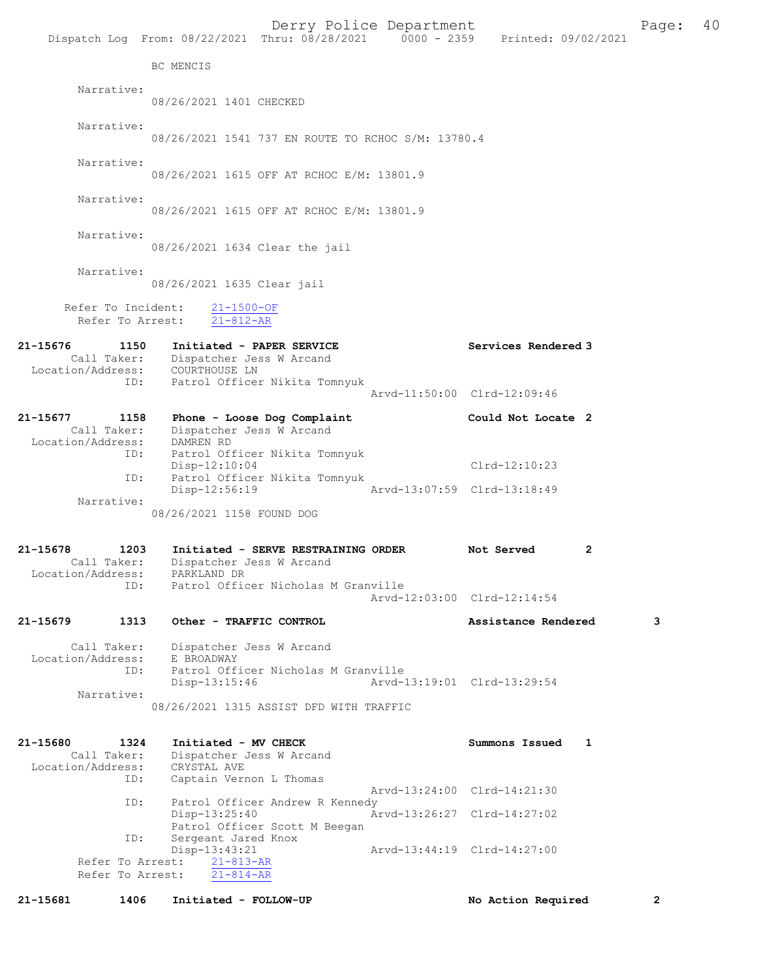|                   |                  |                                                                     | Derry Police Department | Dispatch Log From: 08/22/2021 Thru: 08/28/2021 0000 - 2359 Printed: 09/02/2021 | Page:          | 40 |
|-------------------|------------------|---------------------------------------------------------------------|-------------------------|--------------------------------------------------------------------------------|----------------|----|
|                   |                  | BC MENCIS                                                           |                         |                                                                                |                |    |
|                   | Narrative:       |                                                                     |                         |                                                                                |                |    |
|                   |                  | 08/26/2021 1401 CHECKED                                             |                         |                                                                                |                |    |
|                   | Narrative:       |                                                                     |                         |                                                                                |                |    |
|                   |                  | 08/26/2021 1541 737 EN ROUTE TO RCHOC S/M: 13780.4                  |                         |                                                                                |                |    |
|                   | Narrative:       | 08/26/2021 1615 OFF AT RCHOC E/M: 13801.9                           |                         |                                                                                |                |    |
|                   | Narrative:       |                                                                     |                         |                                                                                |                |    |
|                   |                  | 08/26/2021 1615 OFF AT RCHOC E/M: 13801.9                           |                         |                                                                                |                |    |
|                   | Narrative:       | 08/26/2021 1634 Clear the jail                                      |                         |                                                                                |                |    |
|                   | Narrative:       | 08/26/2021 1635 Clear jail                                          |                         |                                                                                |                |    |
|                   |                  | Refer To Incident: 21-1500-OF                                       |                         |                                                                                |                |    |
|                   |                  | Refer To Arrest: 21-812-AR                                          |                         |                                                                                |                |    |
| 21-15676          | 1150             | Initiated - PAPER SERVICE<br>Call Taker: Dispatcher Jess W Arcand   |                         | Services Rendered 3                                                            |                |    |
|                   | ID:              | Location/Address: COURTHOUSE LN<br>Patrol Officer Nikita Tomnyuk    |                         |                                                                                |                |    |
|                   |                  |                                                                     |                         | Arvd-11:50:00 Clrd-12:09:46                                                    |                |    |
| 21-15677          | 1158             | Phone - Loose Dog Complaint<br>Call Taker: Dispatcher Jess W Arcand |                         | Could Not Locate 2                                                             |                |    |
| Location/Address: | ID:              | DAMREN RD<br>Patrol Officer Nikita Tomnyuk                          |                         |                                                                                |                |    |
|                   | ID:              | Disp-12:10:04<br>Patrol Officer Nikita Tomnyuk                      |                         | Clrd-12:10:23                                                                  |                |    |
|                   | Narrative:       | Disp-12:56:19                                                       |                         | Arvd-13:07:59 Clrd-13:18:49                                                    |                |    |
|                   |                  | 08/26/2021 1158 FOUND DOG                                           |                         |                                                                                |                |    |
| 21-15678          | 1203             | Initiated - SERVE RESTRAINING ORDER                                 |                         | Not Served<br>2                                                                |                |    |
|                   | Call Taker:      | Dispatcher Jess W Arcand<br>Location/Address: PARKLAND DR           |                         |                                                                                |                |    |
|                   | ID:              | Patrol Officer Nicholas M Granville                                 |                         | Arvd-12:03:00 Clrd-12:14:54                                                    |                |    |
| 21-15679          | 1313             | Other - TRAFFIC CONTROL                                             |                         | Assistance Rendered                                                            | 3              |    |
|                   | Call Taker:      | Dispatcher Jess W Arcand                                            |                         |                                                                                |                |    |
| Location/Address: | ID:              | E BROADWAY<br>Patrol Officer Nicholas M Granville                   |                         |                                                                                |                |    |
|                   | Narrative:       | $Disp-13:15:46$                                                     |                         | Arvd-13:19:01 Clrd-13:29:54                                                    |                |    |
|                   |                  | 08/26/2021 1315 ASSIST DFD WITH TRAFFIC                             |                         |                                                                                |                |    |
| 21-15680          | 1324             | Initiated - MV CHECK                                                |                         | Summons Issued<br>1                                                            |                |    |
| Location/Address: | Call Taker:      | Dispatcher Jess W Arcand<br>CRYSTAL AVE                             |                         |                                                                                |                |    |
|                   | ID:              | Captain Vernon L Thomas                                             |                         | Arvd-13:24:00 Clrd-14:21:30                                                    |                |    |
|                   | ID:              | Patrol Officer Andrew R Kennedy<br>Disp-13:25:40                    |                         | Arvd-13:26:27 Clrd-14:27:02                                                    |                |    |
|                   | ID:              | Patrol Officer Scott M Beegan<br>Sergeant Jared Knox                |                         |                                                                                |                |    |
|                   | Refer To Arrest: | Disp-13:43:21<br>$21 - 813 - AR$                                    |                         | Arvd-13:44:19 Clrd-14:27:00                                                    |                |    |
|                   | Refer To Arrest: | $21 - 814 - AR$                                                     |                         |                                                                                |                |    |
| 21-15681          | 1406             | Initiated - FOLLOW-UP                                               |                         | No Action Required                                                             | $\overline{2}$ |    |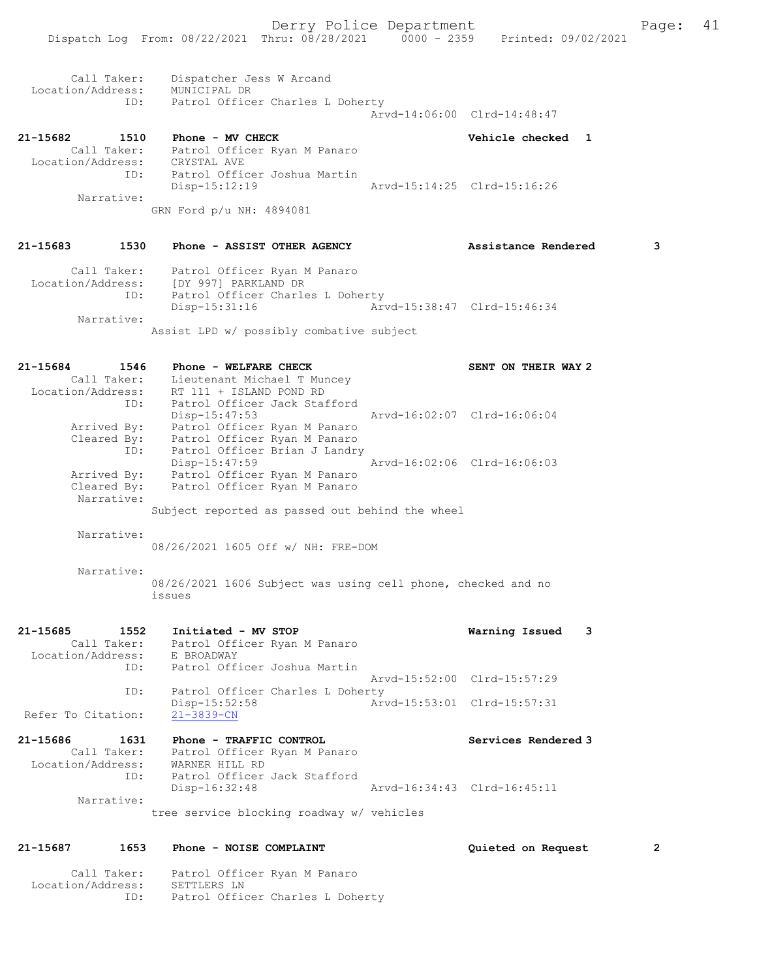Derry Police Department Fage: 41 Dispatch Log From: 08/22/2021 Thru: 08/28/2021 0000 - 2359 Printed: 09/02/2021 Call Taker: Dispatcher Jess W Arcand Location/Address: MUNICIPAL DR ID: Patrol Officer Charles L Doherty Arvd-14:06:00 Clrd-14:48:47 21-15682 1510 Phone - MV CHECK 21-15682 Vehicle checked 1 Call Taker: Patrol Officer Ryan M Panaro Location/Address: CRYSTAL AVE ID: Patrol Officer Joshua Martin Disp-15:12:19 Arvd-15:14:25 Clrd-15:16:26 Narrative: GRN Ford p/u NH: 4894081 21-15683 1530 Phone - ASSIST OTHER AGENCY Assistance Rendered 3 Call Taker: Patrol Officer Ryan M Panaro Location/Address: [DY 997] PARKLAND DR ID: Patrol Officer Charles L Doherty<br>Disp-15:31:16 Art Arvd-15:38:47 Clrd-15:46:34 Narrative: Assist LPD w/ possibly combative subject 21-15684 1546 Phone - WELFARE CHECK SENT ON THEIR WAY 2 Call Taker: Lieutenant Michael T Muncey Location/Address: RT 111 + ISLAND POND RD ID: Patrol Officer Jack Stafford Disp-15:47:53 Arvd-16:02:07 Clrd-16:06:04 Arrived By: Patrol Officer Ryan M Panaro Cleared By: Patrol Officer Ryan M Panaro ID: Patrol Officer Brian J Landry Disp-15:47:59 Arvd-16:02:06 Clrd-16:06:03 Arrived By: Patrol Officer Ryan M Panaro Cleared By: Patrol Officer Ryan M Panaro Narrative: Subject reported as passed out behind the wheel Narrative: 08/26/2021 1605 Off w/ NH: FRE-DOM

Narrative:

08/26/2021 1606 Subject was using cell phone, checked and no issues

| 1552<br>$21 - 15685$ | Initiated - MV STOP                       | 3<br>Warning Issued         |  |
|----------------------|-------------------------------------------|-----------------------------|--|
| Call Taker:          | Patrol Officer Ryan M Panaro              |                             |  |
| Location/Address:    | E BROADWAY                                |                             |  |
| ID:                  | Patrol Officer Joshua Martin              |                             |  |
|                      |                                           | Arvd-15:52:00 Clrd-15:57:29 |  |
| ID:                  | Patrol Officer Charles L Doherty          |                             |  |
|                      | $Disp-15:52:58$                           | Arvd-15:53:01 Clrd-15:57:31 |  |
| Refer To Citation:   | $21 - 3839 - CN$                          |                             |  |
| 21-15686<br>1631     | Phone - TRAFFIC CONTROL                   | Services Rendered 3         |  |
| Call Taker:          | Patrol Officer Ryan M Panaro              |                             |  |
| Location/Address:    | WARNER HILL RD                            |                             |  |
| ID:                  | Patrol Officer Jack Stafford              |                             |  |
|                      | $Disp-16:32:48$                           | Arvd-16:34:43 Clrd-16:45:11 |  |
| Narrative:           |                                           |                             |  |
|                      | tree service blocking roadway w/ vehicles |                             |  |

#### 21-15687 1653 Phone - NOISE COMPLAINT Quieted on Request 2

 Call Taker: Patrol Officer Ryan M Panaro Location/Address: SETTLERS LN ID: Patrol Officer Charles L Doherty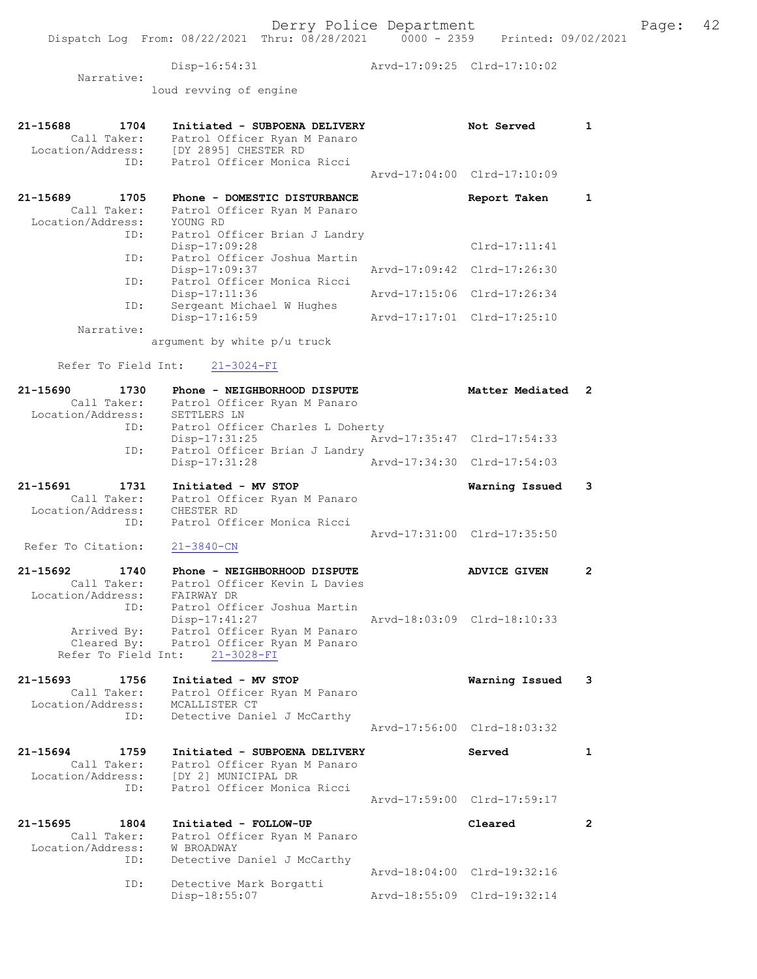Dispatch Log From: 08/22/2021 Thru: 08/28/2021 0000 - 2359 Printed: 09/02/2021

Disp-16:54:31 Arvd-17:09:25 Clrd-17:10:02

 Narrative: loud revving of engine

| 21-15688<br>1704<br>Call Taker:<br>Location/Address: | Initiated - SUBPOENA DELIVERY<br>Patrol Officer Ryan M Panaro<br>[DY 2895] CHESTER RD        |               | Not Served                  | 1              |
|------------------------------------------------------|----------------------------------------------------------------------------------------------|---------------|-----------------------------|----------------|
| ID:                                                  | Patrol Officer Monica Ricci                                                                  |               | Arvd-17:04:00 Clrd-17:10:09 |                |
| 1705<br>21-15689<br>Call Taker:<br>Location/Address: | Phone - DOMESTIC DISTURBANCE<br>Patrol Officer Ryan M Panaro<br>YOUNG RD                     |               | Report Taken                | 1              |
| ID:                                                  | Patrol Officer Brian J Landry<br>$Disp-17:09:28$                                             |               | $Clrd-17:11:41$             |                |
| ID:                                                  | Patrol Officer Joshua Martin<br>Disp-17:09:37                                                | Arvd-17:09:42 | $Clrd-17:26:30$             |                |
| ID:                                                  | Patrol Officer Monica Ricci<br>$Disp-17:11:36$                                               | Arvd-17:15:06 | Clrd-17:26:34               |                |
| ID:                                                  | Sergeant Michael W Hughes<br>Disp-17:16:59                                                   |               | Arvd-17:17:01 Clrd-17:25:10 |                |
| Narrative:                                           | argument by white p/u truck                                                                  |               |                             |                |
| Refer To Field Int:                                  | $21 - 3024 - FI$                                                                             |               |                             |                |
| 21-15690<br>1730<br>Call Taker:<br>Location/Address: | Phone - NEIGHBORHOOD DISPUTE<br>Patrol Officer Ryan M Panaro<br>SETTLERS LN                  |               | Matter Mediated             | $\overline{2}$ |
| ID:                                                  | Patrol Officer Charles L Doherty<br>$Disp-17:31:25$                                          |               | Arvd-17:35:47 Clrd-17:54:33 |                |
| ID:                                                  | Patrol Officer Brian J Landry<br>Disp-17:31:28                                               |               | Arvd-17:34:30 Clrd-17:54:03 |                |
| 21–15691<br>1731                                     | Initiated - MV STOP                                                                          |               | Warning Issued              | 3              |
| Call Taker:<br>Location/Address:                     | Patrol Officer Ryan M Panaro<br>CHESTER RD                                                   |               |                             |                |
| ID:                                                  | Patrol Officer Monica Ricci                                                                  |               |                             |                |
| Refer To Citation:                                   | $21 - 3840 - CN$                                                                             |               | Arvd-17:31:00 Clrd-17:35:50 |                |
| 21-15692<br>1740                                     | Phone - NEIGHBORHOOD DISPUTE                                                                 |               | <b>ADVICE GIVEN</b>         | $\overline{2}$ |
| Call Taker:<br>Location/Address:<br>ID:              | Patrol Officer Kevin L Davies<br>FAIRWAY DR<br>Patrol Officer Joshua Martin<br>Disp-17:41:27 |               | Arvd-18:03:09 Clrd-18:10:33 |                |
| Arrived By:<br>Cleared By:<br>Refer To Field Int:    | Patrol Officer Ryan M Panaro<br>Patrol Officer Ryan M Panaro<br>$21 - 3028 - FI$             |               |                             |                |
| 21-15693<br>1756<br>Call Taker:<br>Location/Address: | Initiated - MV STOP<br>Patrol Officer Ryan M Panaro<br>MCALLISTER CT                         |               | Warning Issued              | 3              |
| ID:                                                  | Detective Daniel J McCarthy                                                                  |               | Arvd-17:56:00 Clrd-18:03:32 |                |
| 21-15694<br>1759<br>Call Taker:<br>Location/Address: | Initiated - SUBPOENA DELIVERY<br>Patrol Officer Ryan M Panaro<br>[DY 2] MUNICIPAL DR         |               | Served                      | 1              |
| ID:                                                  | Patrol Officer Monica Ricci                                                                  |               | Arvd-17:59:00 Clrd-17:59:17 |                |
| 21-15695<br>1804<br>Call Taker:                      | Initiated - FOLLOW-UP<br>Patrol Officer Ryan M Panaro                                        |               | Cleared                     | $\mathbf{2}$   |
| Location/Address:<br>ID:                             | W BROADWAY<br>Detective Daniel J McCarthy                                                    |               | Arvd-18:04:00 Clrd-19:32:16 |                |
| ID:                                                  | Detective Mark Borgatti<br>Disp-18:55:07                                                     |               | Arvd-18:55:09 Clrd-19:32:14 |                |
|                                                      |                                                                                              |               |                             |                |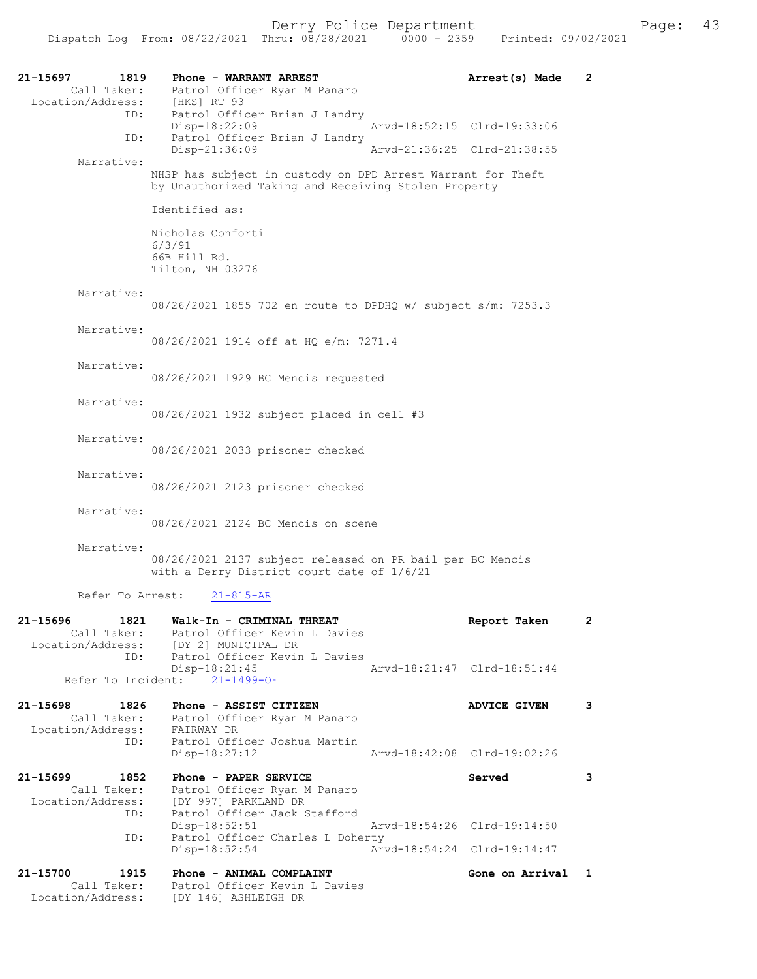| 21-15697<br>1819<br>Call Taker:                             | Phone - WARRANT ARREST<br>Patrol Officer Ryan M Panaro                                                              | Arrest(s) Made              | $\overline{2}$ |
|-------------------------------------------------------------|---------------------------------------------------------------------------------------------------------------------|-----------------------------|----------------|
| Location/Address: [HKS] RT 93<br>ID:<br>ID:                 | Patrol Officer Brian J Landry<br>Disp-18:22:09<br>Patrol Officer Brian J Landry                                     | Arvd-18:52:15 Clrd-19:33:06 |                |
|                                                             | Disp-21:36:09                                                                                                       | Arvd-21:36:25 Clrd-21:38:55 |                |
| Narrative:                                                  | NHSP has subject in custody on DPD Arrest Warrant for Theft<br>by Unauthorized Taking and Receiving Stolen Property |                             |                |
|                                                             | Identified as:                                                                                                      |                             |                |
|                                                             | Nicholas Conforti<br>6/3/91<br>66B Hill Rd.<br>Tilton, NH 03276                                                     |                             |                |
| Narrative:                                                  | 08/26/2021 1855 702 en route to DPDHQ w/ subject s/m: 7253.3                                                        |                             |                |
| Narrative:                                                  | 08/26/2021 1914 off at HO e/m: 7271.4                                                                               |                             |                |
| Narrative:                                                  | 08/26/2021 1929 BC Mencis requested                                                                                 |                             |                |
| Narrative:                                                  | 08/26/2021 1932 subject placed in cell #3                                                                           |                             |                |
| Narrative:                                                  | 08/26/2021 2033 prisoner checked                                                                                    |                             |                |
| Narrative:                                                  | 08/26/2021 2123 prisoner checked                                                                                    |                             |                |
| Narrative:                                                  | 08/26/2021 2124 BC Mencis on scene                                                                                  |                             |                |
| Narrative:                                                  | 08/26/2021 2137 subject released on PR bail per BC Mencis<br>with a Derry District court date of 1/6/21             |                             |                |
| Refer To Arrest:                                            | $21 - 815 - AR$                                                                                                     |                             |                |
| 21-15696<br>1821<br>Call Taker:                             | Walk-In - CRIMINAL THREAT<br>Patrol Officer Kevin L Davies<br>Location/Address: [DY 2] MUNICIPAL DR                 | Report Taken                | 2              |
| ID:<br>Refer To Incident:                                   | Patrol Officer Kevin L Davies<br>Disp-18:21:45<br>$21 - 1499 - OF$                                                  | Arvd-18:21:47 Clrd-18:51:44 |                |
|                                                             |                                                                                                                     |                             |                |
| 21-15698<br>1826<br>Call Taker:<br>Location/Address:<br>ID: | Phone - ASSIST CITIZEN<br>Patrol Officer Ryan M Panaro<br>FAIRWAY DR<br>Patrol Officer Joshua Martin                | <b>ADVICE GIVEN</b>         | 3              |
|                                                             | $Disp-18:27:12$                                                                                                     | Arvd-18:42:08 Clrd-19:02:26 |                |
| $21 - 15699$<br>1852<br>Call Taker:<br>Location/Address:    | Phone - PAPER SERVICE<br>Patrol Officer Ryan M Panaro<br>[DY 997] PARKLAND DR                                       | Served                      | 3              |
| ID:                                                         | Patrol Officer Jack Stafford<br>$Disp-18:52:51$                                                                     | Arvd-18:54:26 Clrd-19:14:50 |                |
| ID:                                                         | Patrol Officer Charles L Doherty<br>Disp-18:52:54                                                                   | Arvd-18:54:24 Clrd-19:14:47 |                |
| 21-15700<br>1915                                            | Phone - ANIMAL COMPLAINT                                                                                            | Gone on Arrival             | $\mathbf{1}$   |
| Call Taker:<br>Location/Address:                            | Patrol Officer Kevin L Davies<br>[DY 146] ASHLEIGH DR                                                               |                             |                |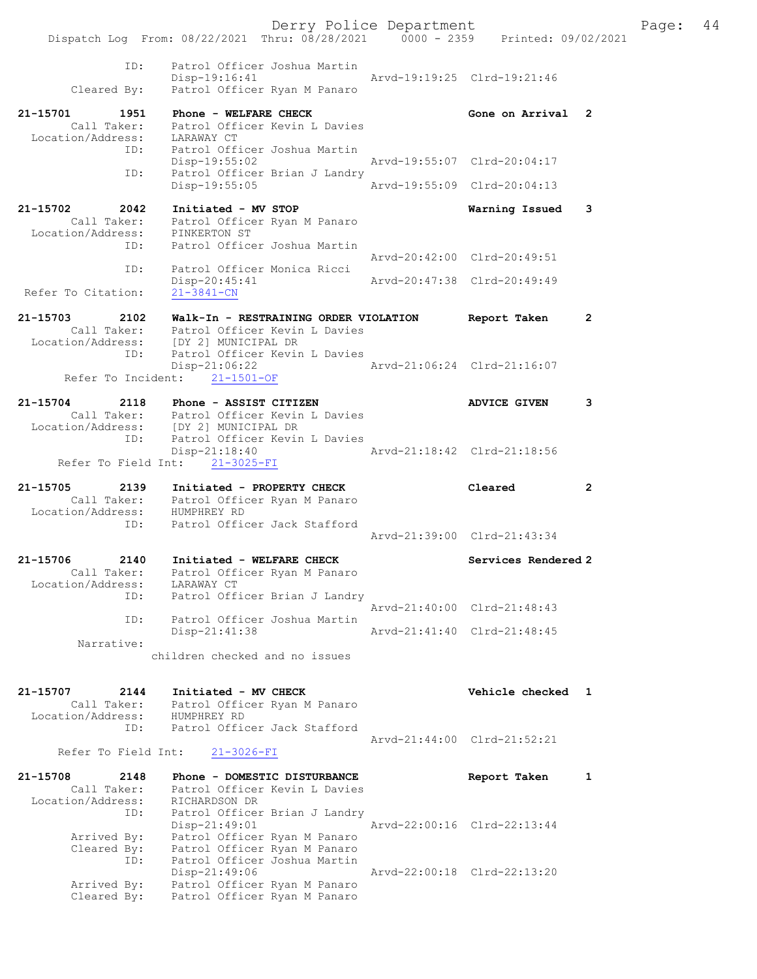| ID:<br>Cleared By:                                       | Patrol Officer Joshua Martin<br>Disp-19:16:41<br>Patrol Officer Ryan M Panaro                     | Arvd-19:19:25 Clrd-19:21:46 |                             |                |
|----------------------------------------------------------|---------------------------------------------------------------------------------------------------|-----------------------------|-----------------------------|----------------|
| 21-15701<br>1951<br>Call Taker:                          | Phone - WELFARE CHECK<br>Patrol Officer Kevin L Davies                                            |                             | Gone on Arrival             | -2             |
| Location/Address:<br>ID:                                 | LARAWAY CT<br>Patrol Officer Joshua Martin<br>Disp-19:55:02                                       |                             | Arvd-19:55:07 Clrd-20:04:17 |                |
| ID:                                                      | Patrol Officer Brian J Landry<br>Disp-19:55:05                                                    |                             | Arvd-19:55:09 Clrd-20:04:13 |                |
| 21-15702<br>2042<br>Call Taker:<br>Location/Address:     | Initiated - MV STOP<br>Patrol Officer Ryan M Panaro<br>PINKERTON ST                               |                             | Warning Issued              | 3              |
| ID:                                                      | Patrol Officer Joshua Martin                                                                      |                             | Arvd-20:42:00 Clrd-20:49:51 |                |
| ID:<br>Refer To Citation:                                | Patrol Officer Monica Ricci<br>Disp-20:45:41<br>$21 - 3841 - CN$                                  |                             | Arvd-20:47:38 Clrd-20:49:49 |                |
| $21 - 15703$<br>2102<br>Call Taker:<br>Location/Address: | Walk-In - RESTRAINING ORDER VIOLATION<br>Patrol Officer Kevin L Davies<br>[DY 2] MUNICIPAL DR     |                             | Report Taken                | $\mathbf{2}$   |
| ID:                                                      | Patrol Officer Kevin L Davies<br>Disp-21:06:22<br>Refer To Incident: 21-1501-OF                   |                             | Arvd-21:06:24 Clrd-21:16:07 |                |
| 21-15704<br>2118                                         | Phone - ASSIST CITIZEN<br>Call Taker: Patrol Officer Kevin L Davies                               |                             | ADVICE GIVEN                | 3              |
| ID:                                                      | Location/Address: [DY 2] MUNICIPAL DR<br>Patrol Officer Kevin L Davies<br>Disp-21:18:40           |                             | Arvd-21:18:42 Clrd-21:18:56 |                |
|                                                          | Refer To Field Int: 21-3025-FI                                                                    |                             |                             |                |
|                                                          |                                                                                                   |                             |                             |                |
| 21-15705<br>2139<br>Call Taker:<br>Location/Address:     | Initiated - PROPERTY CHECK<br>Patrol Officer Ryan M Panaro<br>HUMPHREY RD                         |                             | Cleared                     | $\overline{2}$ |
| ID:                                                      | Patrol Officer Jack Stafford                                                                      |                             | Arvd-21:39:00 Clrd-21:43:34 |                |
| 21-15706 2140<br>Call Taker:<br>Location/Address:<br>ID: | Initiated - WELFARE CHECK<br>Patrol Officer Ryan M Panaro<br>LARAWAY CT                           |                             | Services Rendered 2         |                |
| ID:                                                      | Patrol Officer Brian J Landry<br>Patrol Officer Joshua Martin                                     | Arvd-21:40:00 Clrd-21:48:43 |                             |                |
| Narrative:                                               | Disp-21:41:38                                                                                     |                             | Arvd-21:41:40 Clrd-21:48:45 |                |
|                                                          | children checked and no issues                                                                    |                             |                             |                |
| 21-15707<br>2144<br>Call Taker:<br>Location/Address:     | Initiated - MV CHECK<br>Patrol Officer Ryan M Panaro<br>HUMPHREY RD                               |                             | Vehicle checked             | $\mathbf{1}$   |
| ID:<br>Refer To Field Int:                               | Patrol Officer Jack Stafford<br>$21 - 3026 - FI$                                                  |                             | Arvd-21:44:00 Clrd-21:52:21 |                |
| 21-15708<br>2148<br>Call Taker:                          | Phone - DOMESTIC DISTURBANCE<br>Patrol Officer Kevin L Davies                                     |                             | Report Taken                | 1              |
| Location/Address:<br>ID:<br>Arrived By:                  | RICHARDSON DR<br>Patrol Officer Brian J Landry<br>$Disp-21:49:01$<br>Patrol Officer Ryan M Panaro |                             | Arvd-22:00:16 Clrd-22:13:44 |                |
| Cleared By:<br>ID:                                       | Patrol Officer Ryan M Panaro<br>Patrol Officer Joshua Martin<br>Disp-21:49:06                     |                             | Arvd-22:00:18 Clrd-22:13:20 |                |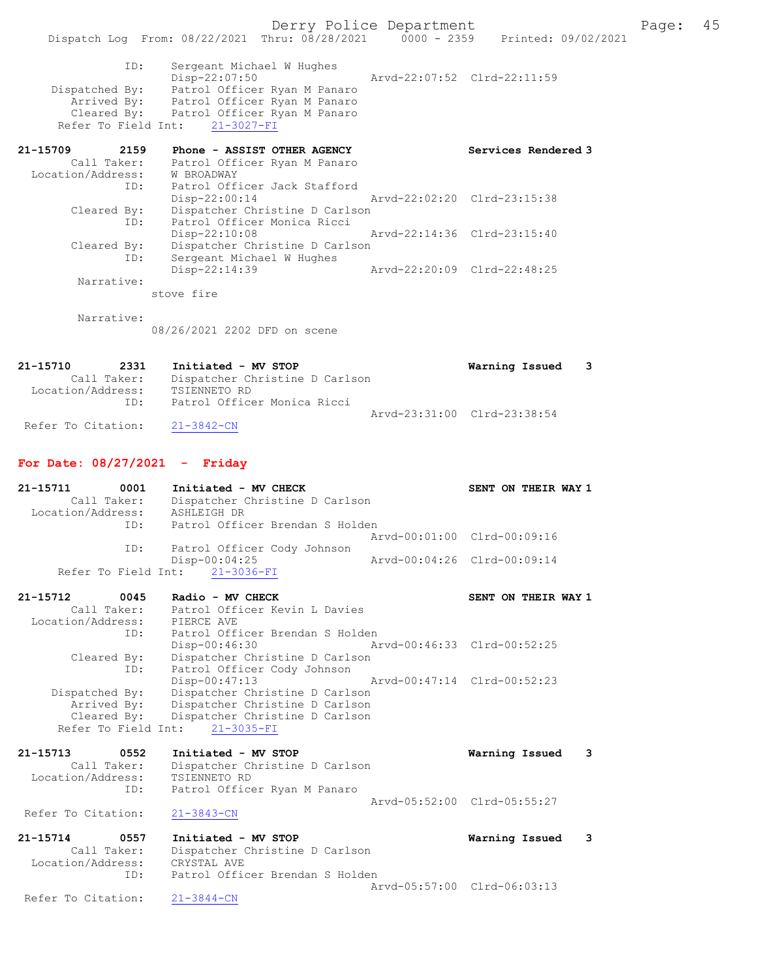|                                    | Dispatch Log From: 08/22/2021 Thru: 08/28/2021 0000 - 2359 Printed: 09/02/2021          |                                                               | Derry Police Department     |                             |   | Page: | 45 |
|------------------------------------|-----------------------------------------------------------------------------------------|---------------------------------------------------------------|-----------------------------|-----------------------------|---|-------|----|
|                                    |                                                                                         |                                                               |                             |                             |   |       |    |
| ID:                                | Disp-22:07:50                                                                           | Sergeant Michael W Hughes                                     |                             | Arvd-22:07:52 Clrd-22:11:59 |   |       |    |
|                                    | Dispatched By: Patrol Officer Ryan M Panaro<br>Arrived By: Patrol Officer Ryan M Panaro |                                                               |                             |                             |   |       |    |
|                                    | Cleared By: Patrol Officer Ryan M Panaro                                                |                                                               |                             |                             |   |       |    |
| Refer To Field Int:                | $21 - 3027 - FI$                                                                        |                                                               |                             |                             |   |       |    |
| 21-15709<br>2159<br>Call Taker:    |                                                                                         | Phone - ASSIST OTHER AGENCY                                   |                             | Services Rendered 3         |   |       |    |
| Location/Address:                  | <b>W BROADWAY</b>                                                                       | Patrol Officer Ryan M Panaro                                  |                             |                             |   |       |    |
| ID:                                | $Disp-22:00:14$                                                                         | Patrol Officer Jack Stafford                                  |                             | Arvd-22:02:20 Clrd-23:15:38 |   |       |    |
| Cleared By:                        |                                                                                         | Dispatcher Christine D Carlson                                |                             |                             |   |       |    |
| ID:                                | Disp-22:10:08                                                                           | Patrol Officer Monica Ricci                                   |                             | Arvd-22:14:36 Clrd-23:15:40 |   |       |    |
| Cleared By:<br>ID:                 |                                                                                         | Dispatcher Christine D Carlson                                |                             |                             |   |       |    |
|                                    | Disp-22:14:39                                                                           | Sergeant Michael W Hughes                                     |                             | Arvd-22:20:09 Clrd-22:48:25 |   |       |    |
| Narrative:                         | stove fire                                                                              |                                                               |                             |                             |   |       |    |
|                                    |                                                                                         |                                                               |                             |                             |   |       |    |
| Narrative:                         | 08/26/2021 2202 DFD on scene                                                            |                                                               |                             |                             |   |       |    |
|                                    |                                                                                         |                                                               |                             |                             |   |       |    |
| 21-15710<br>2331                   | Initiated - MV STOP                                                                     |                                                               |                             | Warning Issued              | 3 |       |    |
| Call Taker:<br>Location/Address:   | TSIENNETO RD                                                                            | Dispatcher Christine D Carlson                                |                             |                             |   |       |    |
| ID:                                |                                                                                         | Patrol Officer Monica Ricci                                   |                             |                             |   |       |    |
| Refer To Citation:                 | $21 - 3842 - CN$                                                                        |                                                               |                             | Arvd-23:31:00 Clrd-23:38:54 |   |       |    |
| For Date: $08/27/2021$ - Friday    |                                                                                         |                                                               |                             |                             |   |       |    |
| 21-15711<br>0001                   | Initiated - MV CHECK                                                                    |                                                               |                             | SENT ON THEIR WAY 1         |   |       |    |
| Call Taker:<br>Location/Address:   | ASHLEIGH DR                                                                             | Dispatcher Christine D Carlson                                |                             |                             |   |       |    |
| ID:                                |                                                                                         | Patrol Officer Brendan S Holden                               |                             | Arvd-00:01:00 Clrd-00:09:16 |   |       |    |
| ID:                                |                                                                                         | Patrol Officer Cody Johnson                                   |                             |                             |   |       |    |
| Refer To Field Int:                | $Disp-00:04:25$<br>$21 - 3036 - FI$                                                     |                                                               | Arvd-00:04:26 Clrd-00:09:14 |                             |   |       |    |
|                                    |                                                                                         |                                                               |                             |                             |   |       |    |
| 21-15712<br>0045<br>Call Taker:    | Radio - MV CHECK                                                                        | Patrol Officer Kevin L Davies                                 |                             | SENT ON THEIR WAY 1         |   |       |    |
| Location/Address:<br>ID:           | PIERCE AVE                                                                              | Patrol Officer Brendan S Holden                               |                             |                             |   |       |    |
|                                    | Disp-00:46:30                                                                           |                                                               |                             | Arvd-00:46:33 Clrd-00:52:25 |   |       |    |
| Cleared By:<br>ID:                 |                                                                                         | Dispatcher Christine D Carlson<br>Patrol Officer Cody Johnson |                             |                             |   |       |    |
| Dispatched By:                     | Disp-00:47:13                                                                           | Dispatcher Christine D Carlson                                |                             | Arvd-00:47:14 Clrd-00:52:23 |   |       |    |
| Arrived By:                        |                                                                                         | Dispatcher Christine D Carlson                                |                             |                             |   |       |    |
| Cleared By:<br>Refer To Field Int: | $21 - 3035 - FI$                                                                        | Dispatcher Christine D Carlson                                |                             |                             |   |       |    |
|                                    |                                                                                         |                                                               |                             |                             |   |       |    |
| 21-15713<br>0552<br>Call Taker:    | Initiated - MV STOP                                                                     | Dispatcher Christine D Carlson                                |                             | Warning Issued              | 3 |       |    |
| Location/Address:<br>ID:           | TSIENNETO RD                                                                            | Patrol Officer Ryan M Panaro                                  |                             |                             |   |       |    |
|                                    |                                                                                         |                                                               |                             | Arvd-05:52:00 Clrd-05:55:27 |   |       |    |
| Refer To Citation:                 | $21 - 3843 - CN$                                                                        |                                                               |                             |                             |   |       |    |
| 21-15714<br>0557                   | Initiated - MV STOP                                                                     |                                                               |                             | Warning Issued              | 3 |       |    |
| Call Taker:<br>Location/Address:   | CRYSTAL AVE                                                                             | Dispatcher Christine D Carlson                                |                             |                             |   |       |    |
| ID:                                |                                                                                         | Patrol Officer Brendan S Holden                               |                             | Arvd-05:57:00 Clrd-06:03:13 |   |       |    |
| Refer To Citation:                 | $21 - 3844 - CN$                                                                        |                                                               |                             |                             |   |       |    |
|                                    |                                                                                         |                                                               |                             |                             |   |       |    |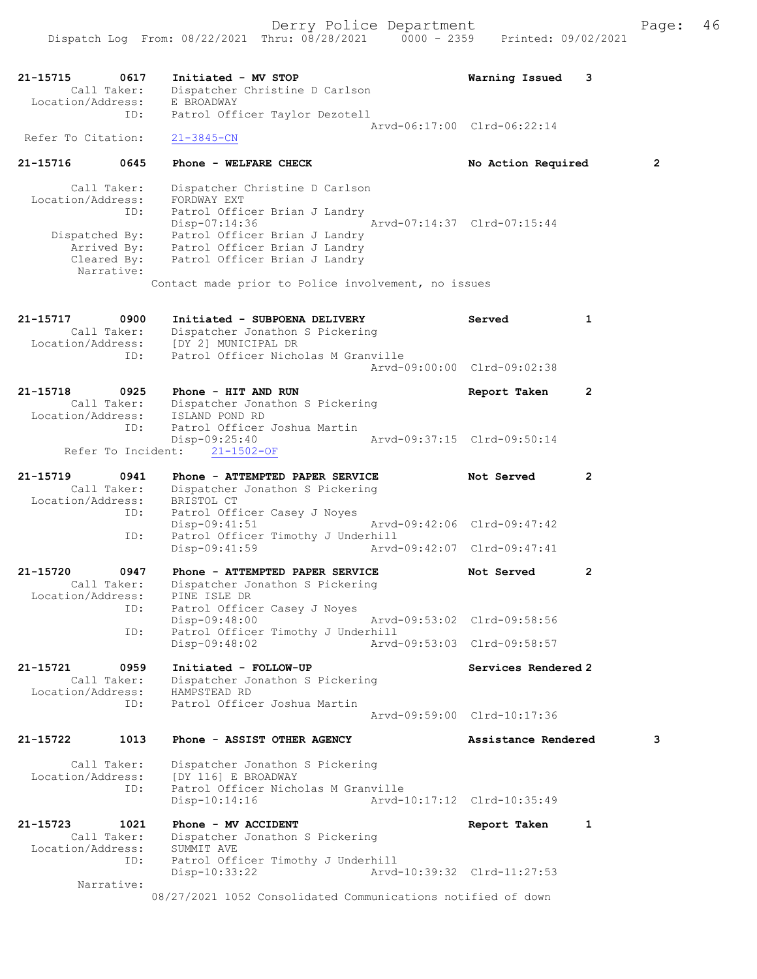| 21-15715<br>0617<br>Call Taker:<br>Location/Address:                                                  | Initiated - MV STOP<br>Dispatcher Christine D Carlson<br>E BROADWAY                                                                                                                                                                                         | Warning Issued<br>3                                        |                |
|-------------------------------------------------------------------------------------------------------|-------------------------------------------------------------------------------------------------------------------------------------------------------------------------------------------------------------------------------------------------------------|------------------------------------------------------------|----------------|
| ID:<br>Refer To Citation:                                                                             | Patrol Officer Taylor Dezotell<br>$21 - 3845 - CN$                                                                                                                                                                                                          | Arvd-06:17:00 Clrd-06:22:14                                |                |
| 21-15716<br>0645                                                                                      | Phone - WELFARE CHECK                                                                                                                                                                                                                                       | No Action Required                                         | $\overline{2}$ |
| Call Taker:<br>Location/Address:<br>ID:<br>Dispatched By:<br>Arrived By:<br>Cleared By:<br>Narrative: | Dispatcher Christine D Carlson<br>FORDWAY EXT<br>Patrol Officer Brian J Landry<br>$Disp-07:14:36$<br>Patrol Officer Brian J Landry<br>Patrol Officer Brian J Landry<br>Patrol Officer Brian J Landry<br>Contact made prior to Police involvement, no issues | Arvd-07:14:37 Clrd-07:15:44                                |                |
| 21-15717<br>0900<br>Call Taker:                                                                       | Initiated - SUBPOENA DELIVERY<br>Dispatcher Jonathon S Pickering<br>Location/Address: [DY 2] MUNICIPAL DR                                                                                                                                                   | Served<br>$\mathbf{1}$                                     |                |
| ID:                                                                                                   | Patrol Officer Nicholas M Granville                                                                                                                                                                                                                         | Arvd-09:00:00 Clrd-09:02:38                                |                |
| 21-15718<br>0925<br>Call Taker:<br>Location/Address:                                                  | Phone - HIT AND RUN<br>Dispatcher Jonathon S Pickering<br>ISLAND POND RD                                                                                                                                                                                    | $\mathbf{2}$<br>Report Taken                               |                |
| ID:                                                                                                   | Patrol Officer Joshua Martin<br>$Disp-09:25:40$<br>Refer To Incident: 21-1502-OF                                                                                                                                                                            | Arvd-09:37:15 Clrd-09:50:14                                |                |
| 21-15719<br>0941<br>Call Taker:<br>Location/Address:<br>ID:                                           | Phone - ATTEMPTED PAPER SERVICE<br>Dispatcher Jonathon S Pickering<br>BRISTOL CT<br>Patrol Officer Casey J Noyes                                                                                                                                            | Not Served<br>$\mathbf{2}$                                 |                |
| ID:                                                                                                   | $Disp-09:41:51$<br>Patrol Officer Timothy J Underhill<br>Disp-09:41:59                                                                                                                                                                                      | Arvd-09:42:06 Clrd-09:47:42<br>Arvd-09:42:07 Clrd-09:47:41 |                |
| 0947<br>21-15720                                                                                      | Phone - ATTEMPTED PAPER SERVICE                                                                                                                                                                                                                             | $\overline{2}$<br>Not Served                               |                |
| Call Taker:<br>Location/Address:<br>ID:<br>ID:                                                        | Dispatcher Jonathon S Pickering<br>PINE ISLE DR<br>Patrol Officer Casey J Noyes<br>Disp-09:48:00<br>Patrol Officer Timothy J Underhill<br>$Disp-09:48:02$                                                                                                   | Arvd-09:53:02 Clrd-09:58:56<br>Arvd-09:53:03 Clrd-09:58:57 |                |
| 21-15721<br>0959<br>Call Taker:<br>Location/Address:<br>ID:                                           | Initiated - FOLLOW-UP<br>Dispatcher Jonathon S Pickering<br>HAMPSTEAD RD<br>Patrol Officer Joshua Martin                                                                                                                                                    | Services Rendered 2                                        |                |
| 21-15722<br>1013                                                                                      | Phone - ASSIST OTHER AGENCY                                                                                                                                                                                                                                 | Arvd-09:59:00 Clrd-10:17:36<br>Assistance Rendered         | 3              |
| Call Taker:<br>Location/Address:<br>ID:                                                               | Dispatcher Jonathon S Pickering<br>[DY 116] E BROADWAY<br>Patrol Officer Nicholas M Granville<br>$Disp-10:14:16$                                                                                                                                            | Arvd-10:17:12 Clrd-10:35:49                                |                |
| 21-15723<br>1021<br>Call Taker:<br>Location/Address:<br>ID:<br>Narrative:                             | Phone - MV ACCIDENT<br>Dispatcher Jonathon S Pickering<br>SUMMIT AVE<br>Patrol Officer Timothy J Underhill<br>Disp-10:33:22                                                                                                                                 | 1<br>Report Taken<br>Arvd-10:39:32 Clrd-11:27:53           |                |
|                                                                                                       | 08/27/2021 1052 Consolidated Communications notified of down                                                                                                                                                                                                |                                                            |                |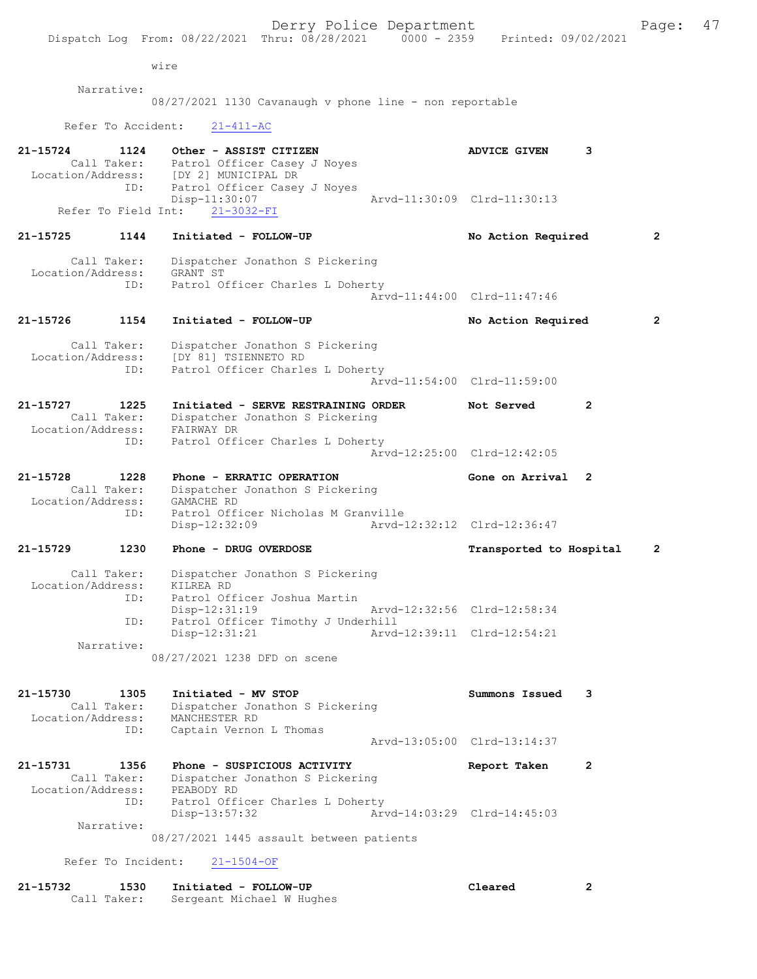Dispatch Log From: 08/22/2021 Thru: 08/28/2021 0000 - 2359 Printed: 09/02/2021 wire Narrative: 08/27/2021 1130 Cavanaugh v phone line - non reportable Refer To Accident: 21-411-AC 21-15724 1124 Other - ASSIST CITIZEN **120 ADVICE GIVEN** 3 Call Taker: Patrol Officer Casey J Noyes Location/Address: [DY 2] MUNICIPAL DR ID: Patrol Officer Casey J Noyes<br>Disp-11:30:07 Disp-11:30:07 Arvd-11:30:09 Clrd-11:30:13 Refer To Field Int: 21-3032-FI 21-15725 1144 Initiated - FOLLOW-UP No Action Required 2 Call Taker: Dispatcher Jonathon S Pickering Location/Address: GRANT ST ID: Patrol Officer Charles L Doherty Arvd-11:44:00 Clrd-11:47:46 21-15726 1154 Initiated - FOLLOW-UP No Action Required 2 Call Taker: Dispatcher Jonathon S Pickering Location/Address: [DY 81] TSIENNETO RD ID: Patrol Officer Charles L Doherty Arvd-11:54:00 Clrd-11:59:00 21-15727 1225 Initiated - SERVE RESTRAINING ORDER Not Served 2 Call Taker: Dispatcher Jonathon S Pickering Location/Address: FAIRWAY DR ID: Patrol Officer Charles L Doherty Arvd-12:25:00 Clrd-12:42:05 21-15728 1228 Phone - ERRATIC OPERATION Gone on Arrival 2 Call Taker: Dispatcher Jonathon S Pickering Location/Address: GAMACHE RD ID: Patrol Officer Nicholas M Granville<br>Disp-12:32:09 Arvd-1 Disp-12:32:09 Arvd-12:32:12 Clrd-12:36:47 21-15729 1230 Phone - DRUG OVERDOSE TRANSPORT Transported to Hospital 2 Call Taker: Dispatcher Jonathon S Pickering<br>ion/Address: KILREA RD Location/Address: ID: Patrol Officer Joshua Martin Disp-12:31:19 Arvd-12:32:56 Clrd-12:58:34 ID: Patrol Officer Timothy J Underhill<br>Disp-12:31:21 Arvd- Disp-12:31:21 Arvd-12:39:11 Clrd-12:54:21 Narrative: 08/27/2021 1238 DFD on scene 21-15730 1305 Initiated - MV STOP Summons Issued 3 Call Taker: Dispatcher Jonathon S Pickering Location/Address: MANCHESTER RD ID: Captain Vernon L Thomas Arvd-13:05:00 Clrd-13:14:37 21-15731 1356 Phone - SUSPICIOUS ACTIVITY 1991 Report Taken 2 Call Taker: Dispatcher Jonathon S Pickering Location/Address: PEABODY RD ID: Patrol Officer Charles L Doherty Disp-13:57:32 Arvd-14:03:29 Clrd-14:45:03 Narrative: 08/27/2021 1445 assault between patients Refer To Incident: 21-1504-OF

Derry Police Department Fage: 47

| 21-15732 | 1530        | Initiated - FOLLOW-UP     | Cleared |  |
|----------|-------------|---------------------------|---------|--|
|          | Call Taker: | Sergeant Michael W Hughes |         |  |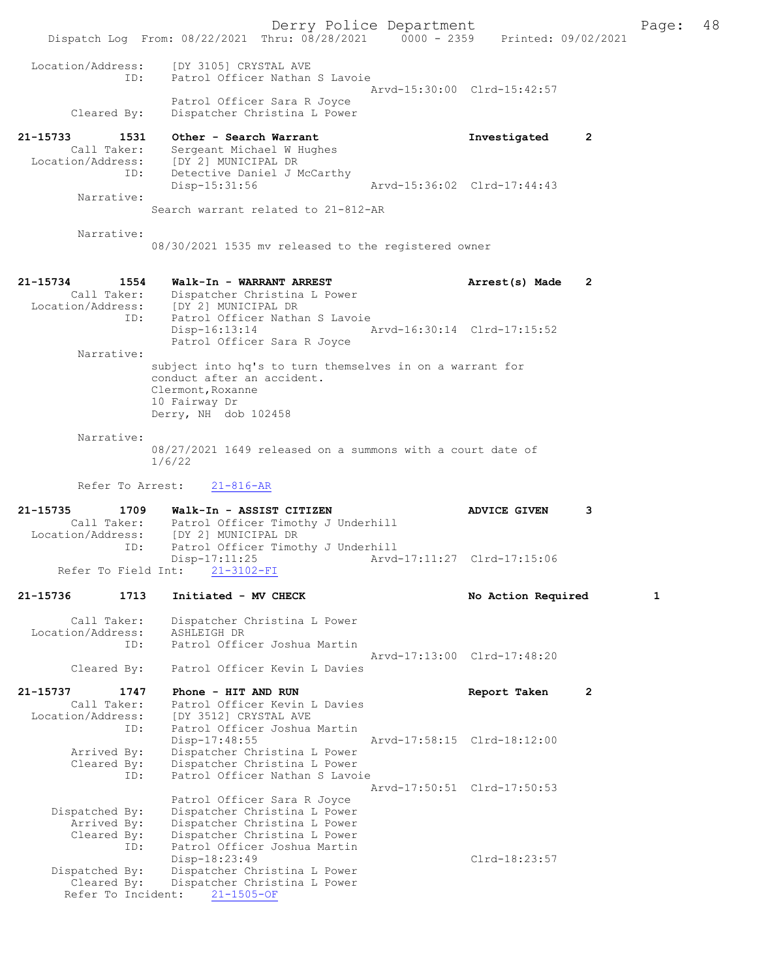Derry Police Department Fage: 48 Dispatch Log From: 08/22/2021 Thru: 08/28/2021 0000 - 2359 Printed: 09/02/2021 Location/Address: [DY 3105] CRYSTAL AVE ID: Patrol Officer Nathan S Lavoie Arvd-15:30:00 Clrd-15:42:57 Patrol Officer Sara R Joyce Cleared By: Dispatcher Christina L Power 21-15733 1531 Other - Search Warrant 111 Investigated 2 Call Taker: Sergeant Michael W Hughes Location/Address: [DY 2] MUNICIPAL DR ID: Detective Daniel J McCarthy Disp-15:31:56 Arvd-15:36:02 Clrd-17:44:43 Narrative: Search warrant related to 21-812-AR Narrative: 08/30/2021 1535 mv released to the registered owner 21-15734 1554 Walk-In - WARRANT ARREST Arrest(s) Made 2 Call Taker: Dispatcher Christina L Power<br>Location/Address: [DY 2] MUNICIPAL DR Location/Address: [DY 2] MUNICIPAL DR ID: Patrol Officer Nathan S Lavoie Disp-16:13:14 Arvd-16:30:14 Clrd-17:15:52 Patrol Officer Sara R Joyce Narrative: subject into hq's to turn themselves in on a warrant for conduct after an accident. Clermont,Roxanne 10 Fairway Dr Derry, NH dob 102458 Narrative: 08/27/2021 1649 released on a summons with a court date of 1/6/22 Refer To Arrest: 21-816-AR 21-15735 1709 Walk-In - ASSIST CITIZEN ADVICE GIVEN 3 Call Taker: Patrol Officer Timothy J Underhill<br>Location/Address: [DY 2] MUNICIPAL DR [DY 2] MUNICIPAL DR ID: Patrol Officer Timothy J Underhill<br>Disp-17:11:25 Arvd Disp-17:11:25 Arvd-17:11:27 Clrd-17:15:06 Refer To Field Int: 21-15736 1713 Initiated - MV CHECK 1 No Action Required 1 Call Taker: Dispatcher Christina L Power Location/Address: ASHLEIGH DR ID: Patrol Officer Joshua Martin Arvd-17:13:00 Clrd-17:48:20 Cleared By: Patrol Officer Kevin L Davies 21-15737 1747 Phone - HITANDRUN REPORT Report Taken 2 Call Taker: Patrol Officer Kevin L Davies Location/Address: [DY 3512] CRYSTAL AVE<br>[D: Patrol Officer Joshua] .<br>Patrol Officer Joshua Martin<br>Disp-17:48:55 Disp-17:48:55 Arvd-17:58:15 Clrd-18:12:00<br>Arrived By: Dispatcher Christina L Power Arrived By: Dispatcher Christina L Power<br>Cleared By: Dispatcher Christina L Power Dispatcher Christina L Power ID: Patrol Officer Nathan S Lavoie Arvd-17:50:51 Clrd-17:50:53 Patrol Officer Sara R Joyce Dispatched By: Dispatcher Christina L Power Arrived By: Dispatcher Christina L Power Cleared By: Dispatcher Christina L Power ID: Patrol Officer Joshua Martin Disp-18:23:49 Clrd-18:23:57 Dispatched By: Dispatcher Christina L Power Cleared By: Dispatcher Christina L Power Refer To Incident: 21-1505-OF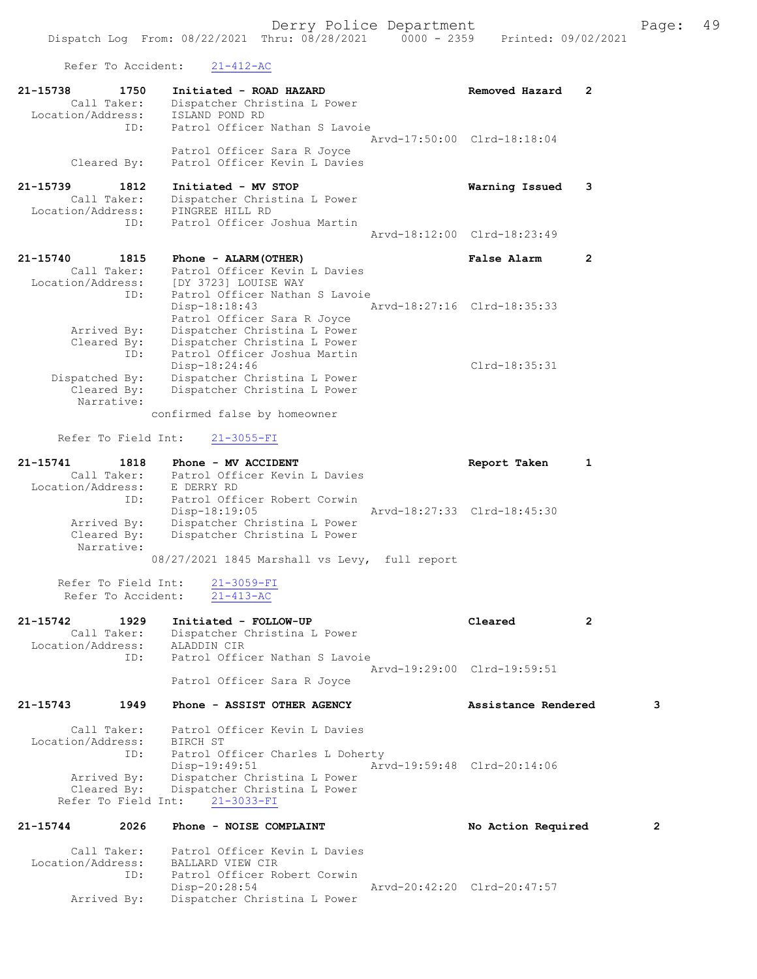Refer To Accident: 21-412-AC

|                               | KETEL TO WOOTGEHE!                        | $21 - 412 - AC$                                                                                                                              |                             |              |   |
|-------------------------------|-------------------------------------------|----------------------------------------------------------------------------------------------------------------------------------------------|-----------------------------|--------------|---|
| 21-15738<br>Location/Address: | 1750<br>Call Taker:                       | Initiated - ROAD HAZARD<br>Dispatcher Christina L Power<br>ISLAND POND RD                                                                    | Removed Hazard              | 2            |   |
|                               | ID:                                       | Patrol Officer Nathan S Lavoie<br>Patrol Officer Sara R Joyce                                                                                | Arvd-17:50:00 Clrd-18:18:04 |              |   |
|                               | Cleared By:                               | Patrol Officer Kevin L Davies                                                                                                                |                             |              |   |
| 21-15739<br>Location/Address: | 1812<br>Call Taker:                       | Initiated - MV STOP<br>Dispatcher Christina L Power<br>PINGREE HILL RD                                                                       | Warning Issued              | 3            |   |
|                               | ID:                                       | Patrol Officer Joshua Martin                                                                                                                 | Arvd-18:12:00 Clrd-18:23:49 |              |   |
| 21-15740                      | 1815                                      | Phone - ALARM (OTHER)                                                                                                                        | <b>False Alarm</b>          | $\mathbf{2}$ |   |
| Location/Address:             | Call Taker:<br>ID:                        | Patrol Officer Kevin L Davies<br>[DY 3723] LOUISE WAY<br>Patrol Officer Nathan S Lavoie                                                      |                             |              |   |
|                               | Arrived By:<br>Cleared By:<br>ID:         | Disp-18:18:43<br>Patrol Officer Sara R Joyce<br>Dispatcher Christina L Power<br>Dispatcher Christina L Power<br>Patrol Officer Joshua Martin | Arvd-18:27:16 Clrd-18:35:33 |              |   |
| Dispatched By:                | Cleared By:<br>Narrative:                 | Disp-18:24:46<br>Dispatcher Christina L Power<br>Dispatcher Christina L Power                                                                | $Clrd-18:35:31$             |              |   |
|                               |                                           | confirmed false by homeowner                                                                                                                 |                             |              |   |
|                               | Refer To Field Int:                       | $21 - 3055 - FI$                                                                                                                             |                             |              |   |
| 21-15741<br>Location/Address: | 1818<br>Call Taker:<br>ID:                | Phone - MV ACCIDENT<br>Patrol Officer Kevin L Davies<br>E DERRY RD<br>Patrol Officer Robert Corwin                                           | Report Taken                | 1            |   |
|                               | Arrived By:<br>Cleared By:<br>Narrative:  | Disp-18:19:05<br>Dispatcher Christina L Power<br>Dispatcher Christina L Power                                                                | Arvd-18:27:33 Clrd-18:45:30 |              |   |
|                               | Refer To Field Int:<br>Refer To Accident: | 08/27/2021 1845 Marshall vs Levy, full report<br>$21 - 3059 - FI$<br>$21 - 413 - AC$                                                         |                             |              |   |
| 21-15742                      |                                           | 1929 Initiated - FOLLOW-UP                                                                                                                   | Cleared                     | $\mathbf{2}$ |   |
|                               | Call Taker:<br>ID:                        | Dispatcher Christina L Power<br>Location/Address: ALADDIN CIR<br>Patrol Officer Nathan S Lavoie                                              | Arvd-19:29:00 Clrd-19:59:51 |              |   |
|                               |                                           | Patrol Officer Sara R Joyce                                                                                                                  |                             |              |   |
| 21-15743                      | 1949                                      | Phone - ASSIST OTHER AGENCY                                                                                                                  | Assistance Rendered         |              | 3 |
|                               |                                           | Call Taker: Patrol Officer Kevin L Davies<br>Location/Address: BIRCH ST<br>ID: Patrol Officer Charles L Doherty<br>$Disp-19:49:51$           | Arvd-19:59:48 Clrd-20:14:06 |              |   |
|                               | Refer To Field Int:                       | Arrived By: Dispatcher Christina L Power<br>Cleared By: Dispatcher Christina L Power<br>$21 - 3033 - FI$                                     |                             |              |   |
| 21-15744                      | 2026                                      | Phone - NOISE COMPLAINT                                                                                                                      | No Action Required          |              | 2 |
| Location/Address:             | Call Taker:<br>ID:                        | Patrol Officer Kevin L Davies<br>BALLARD VIEW CIR<br>Patrol Officer Robert Corwin                                                            |                             |              |   |
|                               | Arrived By:                               | Disp-20:28:54<br>Dispatcher Christina L Power                                                                                                | Arvd-20:42:20 Clrd-20:47:57 |              |   |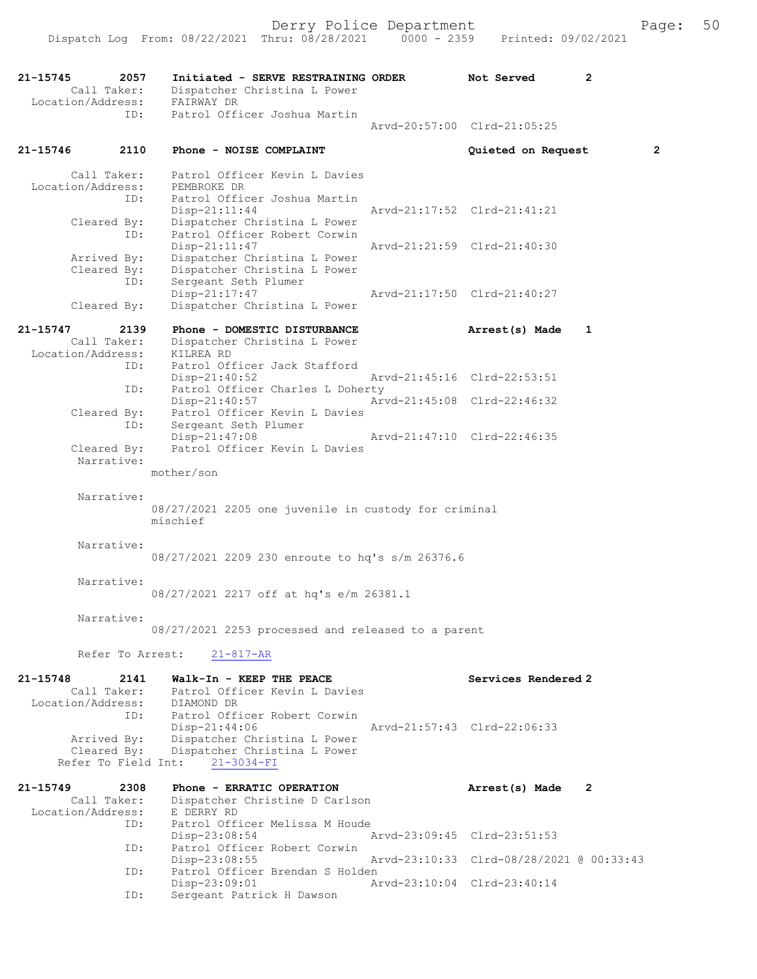21-15745 2057 Initiated - SERVE RESTRAINING ORDER Not Served 2<br>Call Taker: Dispatcher Christina L Power Call Taker: Dispatcher Christina L Power Location/Address: FAIRWAY DR ID: Patrol Officer Joshua Martin Arvd-20:57:00 Clrd-21:05:25 21-15746 2110 Phone - NOISE COMPLAINT Quieted on Request 2 Call Taker: Patrol Officer Kevin L Davies Location/Address: PEMBROKE DR ID: Patrol Officer Joshua Martin Disp-21:11:44 Arvd-21:17:52 Clrd-21:41:21 Cleared By: Dispatcher Christina L Power ID: Patrol Officer Robert Corwin Disp-21:11:47 Arvd-21:21:59 Clrd-21:40:30 Arrived By: Dispatcher Christina L Power Cleared By: Dispatcher Christina L Power ID: Sergeant Seth Plumer Disp-21:17:47 Arvd-21:17:50 Clrd-21:40:27 Cleared By: Dispatcher Christina L Power 21-15747 2139 Phone - DOMESTIC DISTURBANCE Arrest(s) Made 1 Call Taker: Dispatcher Christina L Power Location/Address: KILREA RD<br>ID: Patrol Officer<br>Disp-21:40:52 Patrol Officer Jack Stafford Arvd-21:45:16 Clrd-22:53:51 ID: Patrol Officer Charles L Doherty<br>Disp-21:40:57 Art Disp-21:40:57 Arvd-21:45:08 Clrd-22:46:32 Cleared By: Patrol Officer Kevin L Davies ID: Sergeant Seth Plumer<br>Disp-21:47:08 Arvd-21:47:10 Clrd-22:46:35 Cleared By: Patrol Officer Kevin L Davies Narrative: mother/son Narrative: 08/27/2021 2205 one juvenile in custody for criminal mischief Narrative: 08/27/2021 2209 230 enroute to hq's s/m 26376.6 Narrative: 08/27/2021 2217 off at hq's e/m 26381.1 Narrative: 08/27/2021 2253 processed and released to a parent Refer To Arrest: 21-817-AR 21-15748 2141 Walk-In - KEEP THE PEACE Next Services Rendered 2 Call Taker: Patrol Officer Kevin L Davies Call Taker: Patrol Officeron Patrol Control DR<br>Location/Address: DIAMOND DR ID: Patrol Officer Robert Corwin<br>Disp-21:44:06 Arvd-21:57:43 Clrd-22:06:33 Arrived By: Dispatcher Christina L Power Cleared By: Dispatcher Christina L Power Refer To Field Int: 21-3034-FI 21-15749 2308 Phone - ERRATIC OPERATION Arrest(s) Made 2 Call Taker: Dispatcher Christine D Carlson Location/Address: E DERRY RD ID: Patrol Officer Melissa M Houde<br>Disp-23:08:54 Disp-23:08:54 Arvd-23:09:45 Clrd-23:51:53<br>TD: Patrol Officer Robert Corwin Patrol Officer Robert Corwin Disp-23:08:55 Arvd-23:10:33 Clrd-08/28/2021 @ 00:33:43<br>ID: Patrol Officer Brendan S Holden Patrol Officer Brendan S Holden Disp-23:09:01 Arvd-23:10:04 Clrd-23:40:14<br>ID: Sergeant Patrick H Dawson

Sergeant Patrick H Dawson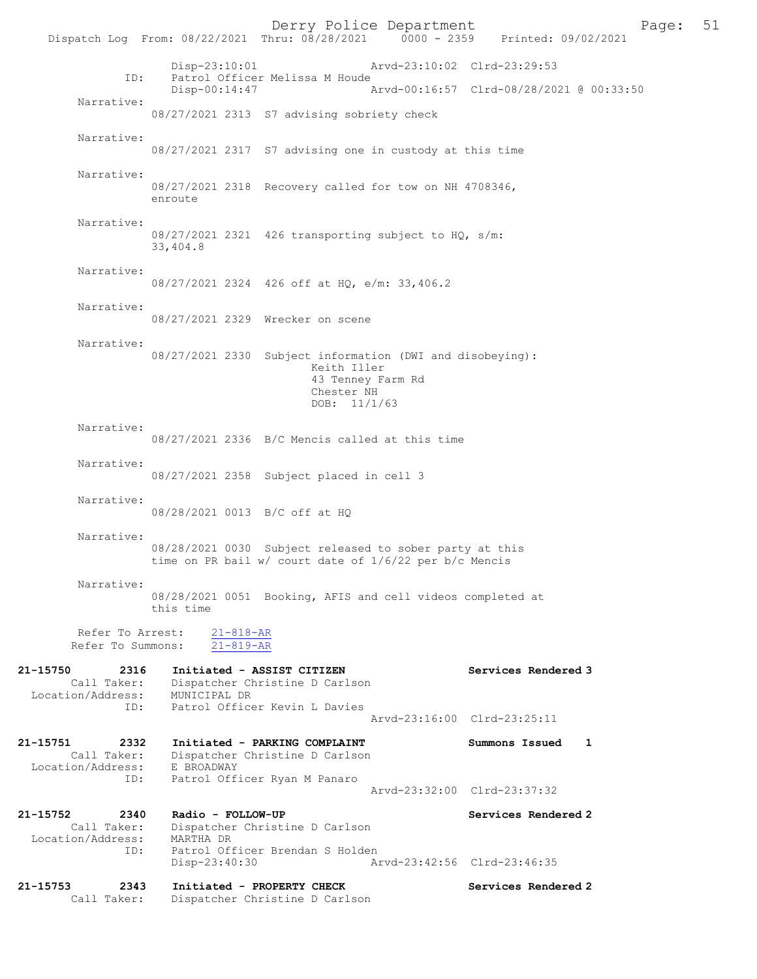Derry Police Department Page: 51 Dispatch Log From: 08/22/2021 Thru: 08/28/2021 0000 - 2359 Disp-23:10:01 Arvd-23:10:02 Clrd-23:29:53 ID: Patrol Officer Melissa M Houde<br>Disp-00:14:47 Disp-00:14:47 Arvd-00:16:57 Clrd-08/28/2021 @ 00:33:50 Narrative: 08/27/2021 2313 S7 advising sobriety check Narrative: 08/27/2021 2317 S7 advising one in custody at this time Narrative: 08/27/2021 2318 Recovery called for tow on NH 4708346, enroute Narrative: 08/27/2021 2321 426 transporting subject to HQ, s/m: 33,404.8 Narrative: 08/27/2021 2324 426 off at HQ, e/m: 33,406.2 Narrative: 08/27/2021 2329 Wrecker on scene Narrative: 08/27/2021 2330 Subject information (DWI and disobeying): Keith Iller 43 Tenney Farm Rd Chester NH DOB: 11/1/63 Narrative: 08/27/2021 2336 B/C Mencis called at this time Narrative: 08/27/2021 2358 Subject placed in cell 3 Narrative: 08/28/2021 0013 B/C off at HQ Narrative: 08/28/2021 0030 Subject released to sober party at this time on PR bail w/ court date of 1/6/22 per b/c Mencis Narrative: 08/28/2021 0051 Booking, AFIS and cell videos completed at this time Refer To Arrest: 21-818-AR Refer To Summons: 21-819-AR 21-15750 2316 Initiated - ASSIST CITIZEN Services Rendered 3 Call Taker: Dispatcher Christine D Carlson Location/Address: MUNICIPAL DR ID: Patrol Officer Kevin L Davies Arvd-23:16:00 Clrd-23:25:11 21-15751 2332 Initiated - PARKING COMPLAINT Summons Issued 1 Call Taker: Dispatcher Christine D Carlson Location/Address: E BROADWAY ID: Patrol Officer Ryan M Panaro Arvd-23:32:00 Clrd-23:37:32 21-15752 2340 Radio - FOLLOW-UP Services Rendered 2 Call Taker: Dispatcher Christine D Carlson Location/Address: MARTHA DR ID: Patrol Officer Brendan S Holden Disp-23:40:30 Arvd-23:42:56 Clrd-23:46:35 21-15753 2343 Initiated - PROPERTY CHECK Services Rendered 2<br>Call Taker: Dispatcher Christine D Carlson Dispatcher Christine D Carlson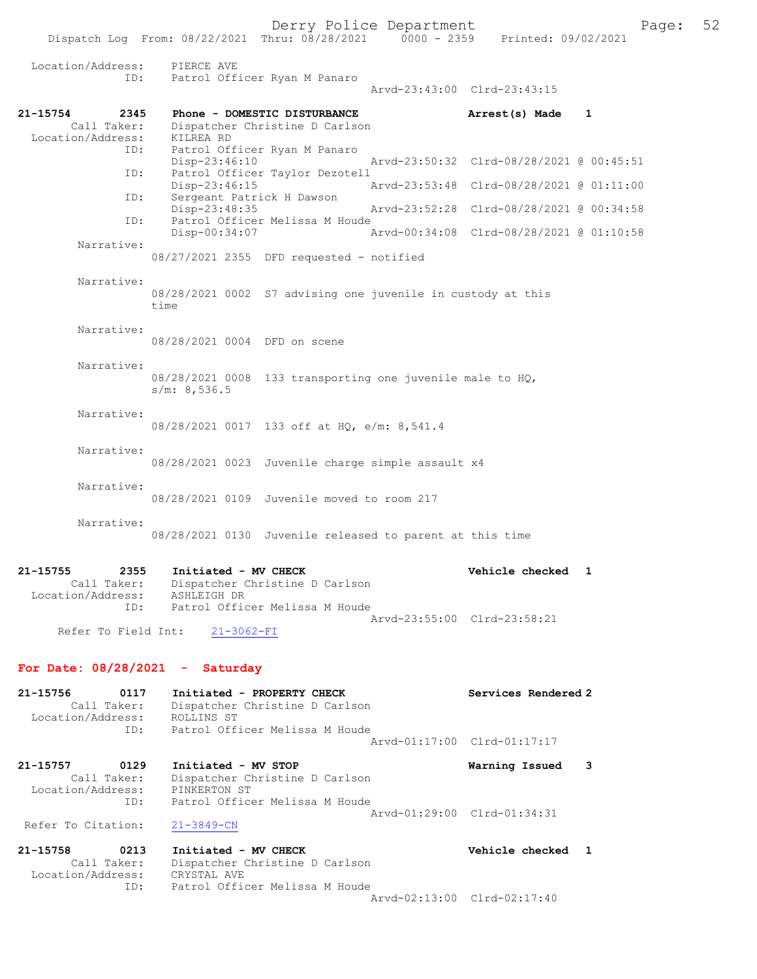Dispatch Log From: 08/22/2021 Thru: 08/28/2021 0000 - 2359 Printed: 09/02/2021

| Location/Address:                                           | PIERCE AVE                                                                                              |                                          |  |
|-------------------------------------------------------------|---------------------------------------------------------------------------------------------------------|------------------------------------------|--|
| ID:                                                         | Patrol Officer Ryan M Panaro                                                                            | Arvd-23:43:00 Clrd-23:43:15              |  |
| 21-15754<br>2345                                            | Phone - DOMESTIC DISTURBANCE                                                                            | 1<br>Arrest(s) Made                      |  |
| Call Taker:<br>Location/Address:                            | Dispatcher Christine D Carlson<br>KILREA RD                                                             |                                          |  |
| ID:                                                         | Patrol Officer Ryan M Panaro                                                                            | Arvd-23:50:32 Clrd-08/28/2021 @ 00:45:51 |  |
| ID:                                                         | Disp-23:46:10<br>Patrol Officer Taylor Dezotell                                                         |                                          |  |
| ID:                                                         | Disp-23:46:15<br>Sergeant Patrick H Dawson                                                              | Arvd-23:53:48 Clrd-08/28/2021 @ 01:11:00 |  |
| ID:                                                         | Disp-23:48:35<br>Patrol Officer Melissa M Houde                                                         | Arvd-23:52:28 Clrd-08/28/2021 @ 00:34:58 |  |
| Narrative:                                                  | Disp-00:34:07                                                                                           | Arvd-00:34:08 Clrd-08/28/2021 @ 01:10:58 |  |
|                                                             | $08/27/2021$ 2355 DFD requested - notified                                                              |                                          |  |
| Narrative:                                                  | 08/28/2021 0002 S7 advising one juvenile in custody at this<br>time                                     |                                          |  |
| Narrative:                                                  | 08/28/2021 0004 DFD on scene                                                                            |                                          |  |
| Narrative:                                                  |                                                                                                         |                                          |  |
|                                                             | $08/28/2021$ 0008 133 transporting one juvenile male to HQ,<br>s/m: 8,536.5                             |                                          |  |
| Narrative:                                                  | 08/28/2021 0017 133 off at HQ, e/m: 8,541.4                                                             |                                          |  |
| Narrative:                                                  | 08/28/2021 0023 Juvenile charge simple assault x4                                                       |                                          |  |
| Narrative:                                                  | 08/28/2021 0109 Juvenile moved to room 217                                                              |                                          |  |
| Narrative:                                                  |                                                                                                         |                                          |  |
|                                                             | 08/28/2021 0130 Juvenile released to parent at this time                                                |                                          |  |
| 21-15755<br>2355<br>Call Taker:<br>Location/Address:<br>ID: | Initiated - MV CHECK<br>Dispatcher Christine D Carlson<br>ASHLEIGH DR<br>Patrol Officer Melissa M Houde | Vehicle checked 1                        |  |
| Refer To Field Int:                                         | $21 - 3062 - FI$                                                                                        | Arvd-23:55:00 Clrd-23:58:21              |  |
| For Date: $08/28/2021$ - Saturday                           |                                                                                                         |                                          |  |
| 0117<br>21-15756<br>Call Taker:<br>Location/Address:        | Initiated - PROPERTY CHECK<br>Dispatcher Christine D Carlson<br>ROLLINS ST                              | Services Rendered 2                      |  |
| ID:                                                         | Patrol Officer Melissa M Houde                                                                          | Arvd-01:17:00 Clrd-01:17:17              |  |
| $21 - 15757$<br>0129<br>Call Taker:                         | Initiated - MV STOP<br>Dispatcher Christine D Carlson                                                   | 3<br>Warning Issued                      |  |
| Location/Address:<br>ID:                                    | PINKERTON ST<br>Patrol Officer Melissa M Houde                                                          |                                          |  |
| Refer To Citation:                                          | $21 - 3849 - CN$                                                                                        | Arvd-01:29:00 Clrd-01:34:31              |  |
| 21-15758<br>0213<br>Call Taker:                             | Initiated - MV CHECK<br>Dispatcher Christine D Carlson                                                  | Vehicle checked 1                        |  |
| Location/Address:<br>ID:                                    | CRYSTAL AVE<br>Patrol Officer Melissa M Houde                                                           | Arvd-02:13:00 Clrd-02:17:40              |  |
|                                                             |                                                                                                         |                                          |  |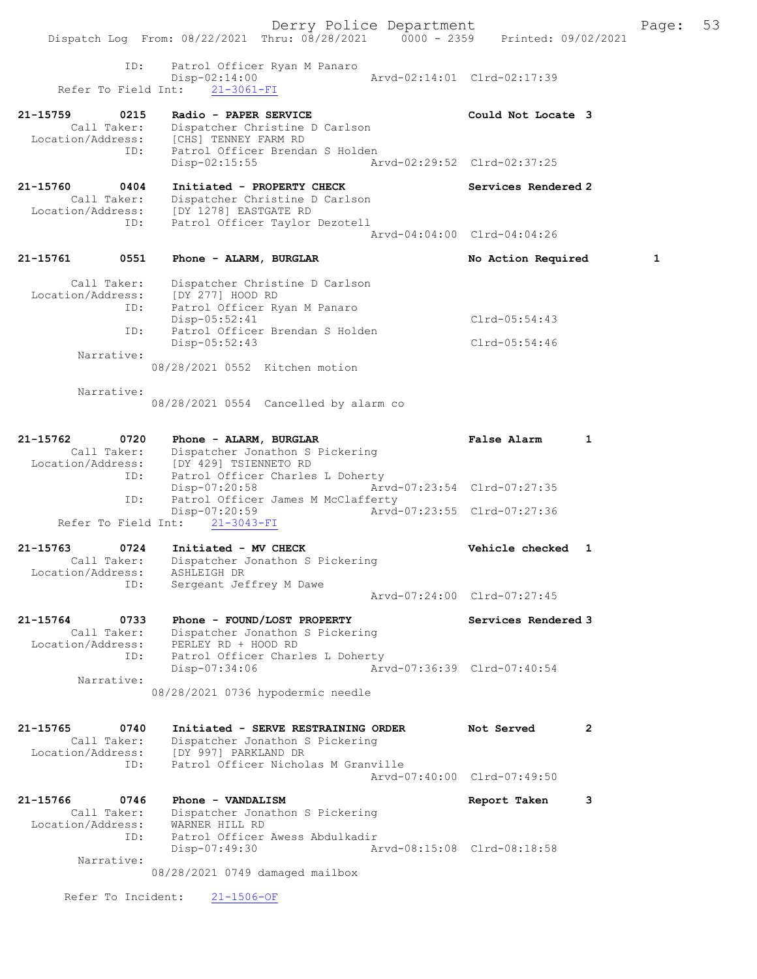|                                  | Dispatch Log From: 08/22/2021 Thru: 08/28/2021 0000 - 2359 Printed: 09/02/2021 | Derry Police Department     |                             |              | Page: | 53 |
|----------------------------------|--------------------------------------------------------------------------------|-----------------------------|-----------------------------|--------------|-------|----|
|                                  |                                                                                |                             |                             |              |       |    |
| ID:                              | Patrol Officer Ryan M Panaro<br>$Disp-02:14:00$                                |                             | Arvd-02:14:01 Clrd-02:17:39 |              |       |    |
|                                  | Refer To Field Int: 21-3061-FI                                                 |                             |                             |              |       |    |
| 21-15759<br>0215                 | Radio - PAPER SERVICE                                                          |                             | Could Not Locate 3          |              |       |    |
| Call Taker:                      | Dispatcher Christine D Carlson<br>Location/Address: [CHS] TENNEY FARM RD       |                             |                             |              |       |    |
| ID:                              | Patrol Officer Brendan S Holden<br>Disp-02:15:55                               |                             | Arvd-02:29:52 Clrd-02:37:25 |              |       |    |
| 21-15760<br>0404                 | Initiated - PROPERTY CHECK                                                     |                             | Services Rendered 2         |              |       |    |
| Call Taker:<br>Location/Address: | Dispatcher Christine D Carlson<br>[DY 1278] EASTGATE RD                        |                             |                             |              |       |    |
| ID:                              | Patrol Officer Taylor Dezotell                                                 |                             |                             |              |       |    |
|                                  |                                                                                |                             | Arvd-04:04:00 Clrd-04:04:26 |              |       |    |
| 21-15761<br>0551                 | Phone - ALARM, BURGLAR                                                         |                             | No Action Required          |              | 1     |    |
| Call Taker:<br>Location/Address: | Dispatcher Christine D Carlson<br>[DY 277] HOOD RD                             |                             |                             |              |       |    |
| ID:                              | Patrol Officer Ryan M Panaro                                                   |                             |                             |              |       |    |
| ID:                              | Disp-05:52:41<br>Patrol Officer Brendan S Holden                               |                             | $Clrd-05:54:43$             |              |       |    |
|                                  | $Disp-05:52:43$                                                                |                             | Clrd-05:54:46               |              |       |    |
| Narrative:                       | 08/28/2021 0552 Kitchen motion                                                 |                             |                             |              |       |    |
| Narrative:                       |                                                                                |                             |                             |              |       |    |
|                                  | 08/28/2021 0554 Cancelled by alarm co                                          |                             |                             |              |       |    |
| 21-15762<br>0720                 | Phone - ALARM, BURGLAR                                                         |                             | False Alarm                 | 1            |       |    |
| Call Taker:<br>Location/Address: | Dispatcher Jonathon S Pickering<br>[DY 429] TSIENNETO RD                       |                             |                             |              |       |    |
| ID:                              | Patrol Officer Charles L Doherty                                               |                             |                             |              |       |    |
| ID:                              | Disp-07:20:58<br>Patrol Officer James M McClafferty                            | Arvd-07:23:54 Clrd-07:27:35 |                             |              |       |    |
| Refer To Field Int:              | Disp-07:20:59<br>$21 - 3043 - FI$                                              |                             | Arvd-07:23:55 Clrd-07:27:36 |              |       |    |
|                                  |                                                                                |                             |                             |              |       |    |
| 21-15763<br>0724<br>Call Taker:  | Initiated - MV CHECK<br>Dispatcher Jonathon S Pickering                        |                             | Vehicle checked 1           |              |       |    |
| Location/Address:<br>ID:         | ASHLEIGH DR                                                                    |                             |                             |              |       |    |
|                                  | Sergeant Jeffrey M Dawe                                                        |                             | Arvd-07:24:00 Clrd-07:27:45 |              |       |    |
| 21-15764<br>0733                 | Phone - FOUND/LOST PROPERTY                                                    |                             | Services Rendered 3         |              |       |    |
| Call Taker:<br>Location/Address: | Dispatcher Jonathon S Pickering<br>PERLEY RD + HOOD RD                         |                             |                             |              |       |    |
| ID:                              | Patrol Officer Charles L Doherty                                               |                             |                             |              |       |    |
| Narrative:                       | Disp-07:34:06                                                                  |                             | Arvd-07:36:39 Clrd-07:40:54 |              |       |    |
|                                  | 08/28/2021 0736 hypodermic needle                                              |                             |                             |              |       |    |
| 21-15765<br>0740                 | Initiated - SERVE RESTRAINING ORDER                                            |                             | Not Served                  | $\mathbf{2}$ |       |    |
| Call Taker:<br>Location/Address: | Dispatcher Jonathon S Pickering<br>[DY 997] PARKLAND DR                        |                             |                             |              |       |    |
| ID:                              | Patrol Officer Nicholas M Granville                                            |                             |                             |              |       |    |
|                                  |                                                                                |                             | Arvd-07:40:00 Clrd-07:49:50 |              |       |    |
| 21-15766<br>0746<br>Call Taker:  | Phone - VANDALISM<br>Dispatcher Jonathon S Pickering                           |                             | Report Taken                | 3            |       |    |
| Location/Address:                | WARNER HILL RD                                                                 |                             |                             |              |       |    |
| ID:                              | Patrol Officer Awess Abdulkadir<br>Disp-07:49:30                               |                             | Arvd-08:15:08 Clrd-08:18:58 |              |       |    |
| Narrative:                       |                                                                                |                             |                             |              |       |    |
|                                  | 08/28/2021 0749 damaged mailbox                                                |                             |                             |              |       |    |
| Refer To Incident:               | $21 - 1506 - OF$                                                               |                             |                             |              |       |    |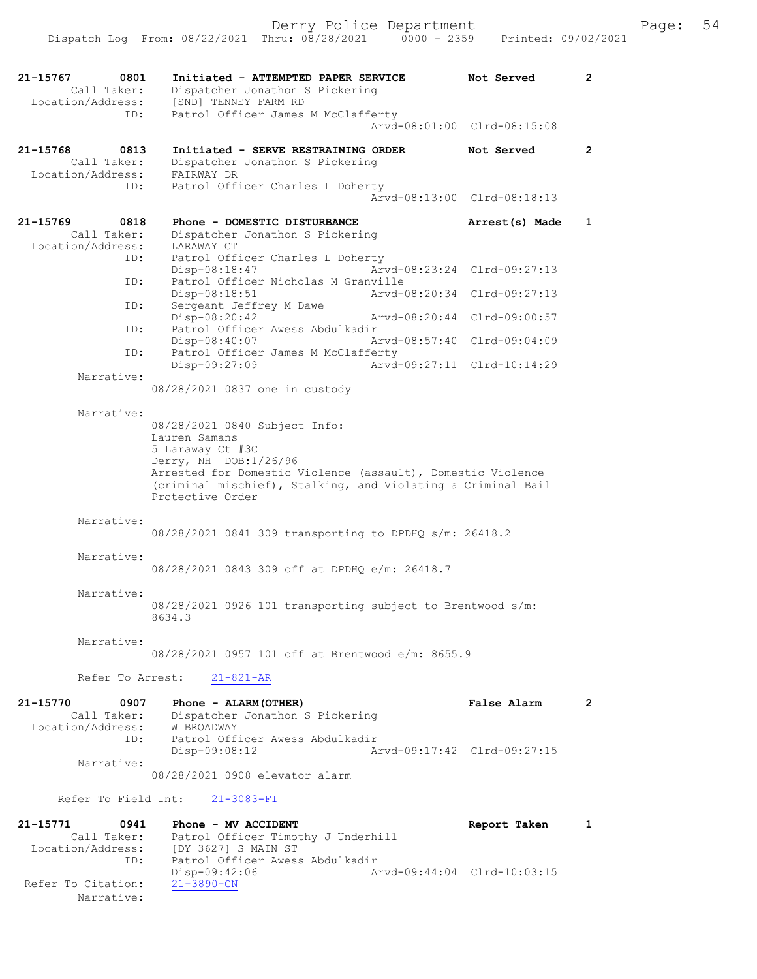| 21-15767 | 0801<br>Call Taker:<br>Location/Address: | Initiated - ATTEMPTED PAPER SERVICE<br>Dispatcher Jonathon S Pickering<br>[SND] TENNEY FARM RD                                                                                                                                                 | Not Served                                        | $\mathbf{2}$   |
|----------|------------------------------------------|------------------------------------------------------------------------------------------------------------------------------------------------------------------------------------------------------------------------------------------------|---------------------------------------------------|----------------|
|          | ID:                                      | Patrol Officer James M McClafferty                                                                                                                                                                                                             | Arvd-08:01:00 Clrd-08:15:08                       |                |
| 21-15768 | 0813<br>Call Taker:                      | Initiated - SERVE RESTRAINING ORDER<br>Dispatcher Jonathon S Pickering                                                                                                                                                                         | Not Served                                        | $\mathbf{2}$   |
|          | Location/Address:<br>ID:                 | FAIRWAY DR<br>Patrol Officer Charles L Doherty                                                                                                                                                                                                 | Arvd-08:13:00 Clrd-08:18:13                       |                |
| 21-15769 | 0818<br>Call Taker:<br>Location/Address: | Phone - DOMESTIC DISTURBANCE<br>Dispatcher Jonathon S Pickering                                                                                                                                                                                | Arrest(s) Made                                    | $\mathbf{1}$   |
|          | ID:                                      | LARAWAY CT<br>Patrol Officer Charles L Doherty<br>$Disp-08:18:47$                                                                                                                                                                              | Arvd-08:23:24 Clrd-09:27:13                       |                |
|          | ID:                                      | Patrol Officer Nicholas M Granville<br>Disp-08:18:51                                                                                                                                                                                           | Arvd-08:20:34 Clrd-09:27:13                       |                |
|          | ID:                                      | Sergeant Jeffrey M Dawe<br>Disp-08:20:42<br>Arvd-08:20:44                                                                                                                                                                                      | Clrd-09:00:57                                     |                |
|          | ID:                                      | Patrol Officer Awess Abdulkadir<br>Disp-08:40:07                                                                                                                                                                                               | Arvd-08:57:40 Clrd-09:04:09                       |                |
|          | ID:                                      | Patrol Officer James M McClafferty<br>Disp-09:27:09                                                                                                                                                                                            | Aryd-09:27:11 Clrd-10:14:29                       |                |
|          | Narrative:                               | 08/28/2021 0837 one in custody                                                                                                                                                                                                                 |                                                   |                |
|          | Narrative:                               | 08/28/2021 0840 Subject Info:<br>Lauren Samans<br>5 Laraway Ct #3C<br>Derry, NH DOB:1/26/96<br>Arrested for Domestic Violence (assault), Domestic Violence<br>(criminal mischief), Stalking, and Violating a Criminal Bail<br>Protective Order |                                                   |                |
|          | Narrative:                               | 08/28/2021 0841 309 transporting to DPDHQ s/m: 26418.2                                                                                                                                                                                         |                                                   |                |
|          | Narrative:                               | 08/28/2021 0843 309 off at DPDHQ e/m: 26418.7                                                                                                                                                                                                  |                                                   |                |
|          | Narrative:                               | 08/28/2021 0926 101 transporting subject to Brentwood s/m:<br>8634.3                                                                                                                                                                           |                                                   |                |
|          | Narrative:                               | 08/28/2021 0957 101 off at Brentwood e/m: 8655.9                                                                                                                                                                                               |                                                   |                |
|          | Refer To Arrest:                         | $21 - 821 - AR$                                                                                                                                                                                                                                |                                                   |                |
| 21-15770 | 0907<br>Call Taker:<br>Location/Address: | Phone - ALARM (OTHER)<br>Dispatcher Jonathon S Pickering<br>Exercise: W BROADWAY<br>ID: Patrol 2001<br>Patrol Officer Awess Abdulkadir<br>$Disp-09:08:12$                                                                                      | <b>False Alarm</b><br>Arvd-09:17:42 Clrd-09:27:15 | $\overline{2}$ |
|          | Narrative:                               | 08/28/2021 0908 elevator alarm                                                                                                                                                                                                                 |                                                   |                |
|          |                                          | Refer To Field Int: 21-3083-FI                                                                                                                                                                                                                 |                                                   |                |
| 21-15771 | 0941                                     | Phone - MV ACCIDENT                                                                                                                                                                                                                            | Report Taken                                      | $\mathbf{1}$   |
|          | Call Taker:<br>ID:                       | Patrol Officer Timothy J Underhill<br>Location/Address: [DY 3627] S MAIN ST<br>Patrol Officer Awess Abdulkadir<br>Disp-09:42:06                                                                                                                | Arvd-09:44:04 Clrd-10:03:15                       |                |
|          | Refer To Citation:<br>Narrative:         | $21 - 3890 - CN$                                                                                                                                                                                                                               |                                                   |                |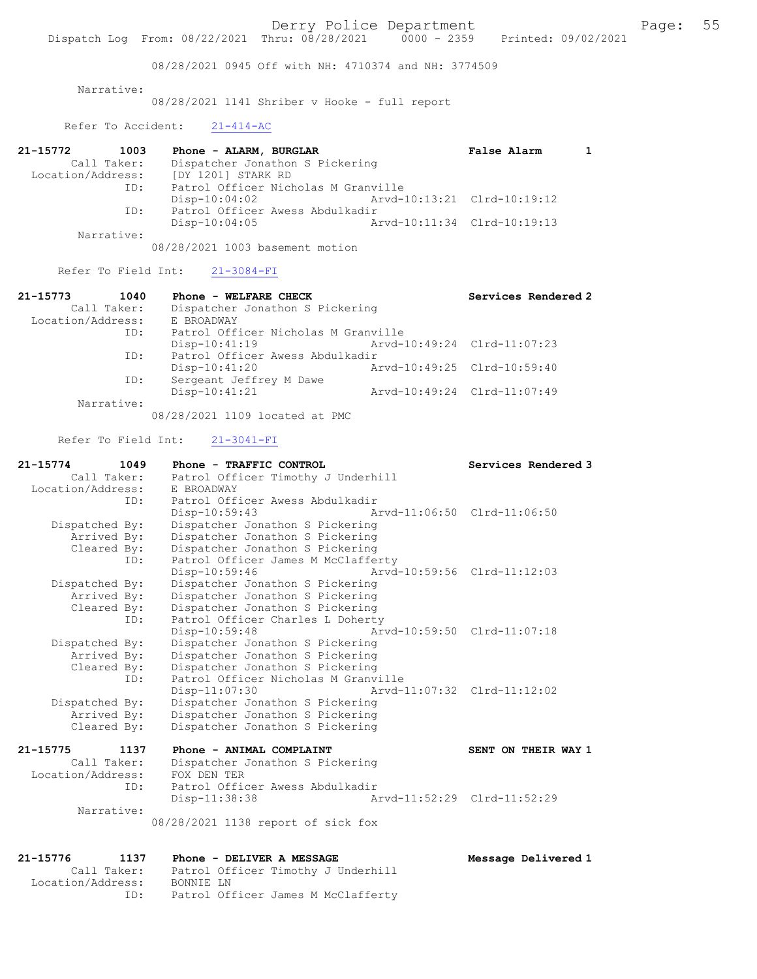08/28/2021 0945 Off with NH: 4710374 and NH: 3774509

Narrative:

08/28/2021 1141 Shriber v Hooke - full report

Refer To Accident: 21-414-AC

| 21-15772          | 1003        | Phone - ALARM, BURGLAR              | <b>False Alarm</b>          |  |
|-------------------|-------------|-------------------------------------|-----------------------------|--|
|                   | Call Taker: | Dispatcher Jonathon S Pickering     |                             |  |
| Location/Address: |             | [DY 1201] STARK RD                  |                             |  |
|                   | ID:         | Patrol Officer Nicholas M Granville |                             |  |
|                   |             | $Disp-10:04:02$                     | Arvd-10:13:21 Clrd-10:19:12 |  |
|                   | ID:         | Patrol Officer Awess Abdulkadir     |                             |  |
|                   |             | $Disp-10:04:05$                     | Arvd-10:11:34 Clrd-10:19:13 |  |
|                   | Narrative:  |                                     |                             |  |

08/28/2021 1003 basement motion

Refer To Field Int: 21-3084-FI

| 21-15773          | 1040        | Phone - WELFARE CHECK               |                             | Services Rendered 2         |
|-------------------|-------------|-------------------------------------|-----------------------------|-----------------------------|
|                   | Call Taker: | Dispatcher Jonathon S Pickering     |                             |                             |
| Location/Address: |             | E BROADWAY                          |                             |                             |
|                   | ID:         | Patrol Officer Nicholas M Granville |                             |                             |
|                   |             | $Disp-10:41:19$                     | Arvd-10:49:24 Clrd-11:07:23 |                             |
|                   | ID:         | Patrol Officer Awess Abdulkadir     |                             |                             |
|                   |             | $Disp-10:41:20$                     | Arvd-10:49:25 Clrd-10:59:40 |                             |
|                   | ID:         | Sergeant Jeffrey M Dawe             |                             |                             |
|                   |             | $Disp-10:41:21$                     |                             | Arvd-10:49:24 Clrd-11:07:49 |
|                   | Narrative:  |                                     |                             |                             |
|                   |             |                                     |                             |                             |

08/28/2021 1109 located at PMC

Refer To Field Int: 21-3041-FI

| $21 - 15774$      | 1049           | Phone - TRAFFIC CONTROL                     |                             | Services Rendered 3 |
|-------------------|----------------|---------------------------------------------|-----------------------------|---------------------|
|                   | Call Taker:    | Patrol Officer Timothy J Underhill          |                             |                     |
| Location/Address: |                | E BROADWAY                                  |                             |                     |
|                   |                | ID: Patrol Officer Awess Abdulkadir         |                             |                     |
|                   |                | $Disp-10:59:43$                             | Arvd-11:06:50 Clrd-11:06:50 |                     |
|                   | Dispatched By: | Dispatcher Jonathon S Pickering             |                             |                     |
|                   | Arrived By:    | Dispatcher Jonathon S Pickering             |                             |                     |
|                   | Cleared By:    | Dispatcher Jonathon S Pickering             |                             |                     |
|                   | ID:            | Patrol Officer James M McClafferty          |                             |                     |
|                   |                | $Disp-10:59:46$                             | Arvd-10:59:56 Clrd-11:12:03 |                     |
|                   | Dispatched By: | Dispatcher Jonathon S Pickering             |                             |                     |
|                   | Arrived By:    | Dispatcher Jonathon S Pickering             |                             |                     |
|                   | Cleared By:    | Dispatcher Jonathon S Pickering             |                             |                     |
|                   | ID:            | Patrol Officer Charles L Doherty            |                             |                     |
|                   |                | $Disp-10:59:48$                             | Arvd-10:59:50 Clrd-11:07:18 |                     |
|                   | Dispatched By: | Dispatcher Jonathon S Pickering             |                             |                     |
|                   | Arrived By:    | Dispatcher Jonathon S Pickering             |                             |                     |
|                   |                | Cleared By: Dispatcher Jonathon S Pickering |                             |                     |
|                   | ID:            | Patrol Officer Nicholas M Granville         |                             |                     |
|                   |                | Disp-11:07:30                               | Arvd-11:07:32 Clrd-11:12:02 |                     |
|                   | Dispatched By: | Dispatcher Jonathon S Pickering             |                             |                     |
|                   | Arrived By:    | Dispatcher Jonathon S Pickering             |                             |                     |
|                   | Cleared By:    | Dispatcher Jonathon S Pickering             |                             |                     |
| 21-15775          | 1137           | Phone - ANIMAL COMPLAINT                    |                             | SENT ON THEIR WAY 1 |
|                   | Call Taker:    | Dispatcher Jonathon S Pickering             |                             |                     |
| Location/Address: |                | FOX DEN TER                                 |                             |                     |

 ID: Patrol Officer Awess Abdulkadir Disp-11:38:38 Arvd-11:52:29 Clrd-11:52:29 Narrative:

08/28/2021 1138 report of sick fox

| 21-15776          | 1137 | Phone - DELIVER A MESSAGE          | Message Delivered 1 |
|-------------------|------|------------------------------------|---------------------|
| Call Taker:       |      | Patrol Officer Timothy J Underhill |                     |
| Location/Address: |      | BONNIE LN                          |                     |
|                   | ID:  | Patrol Officer James M McClafferty |                     |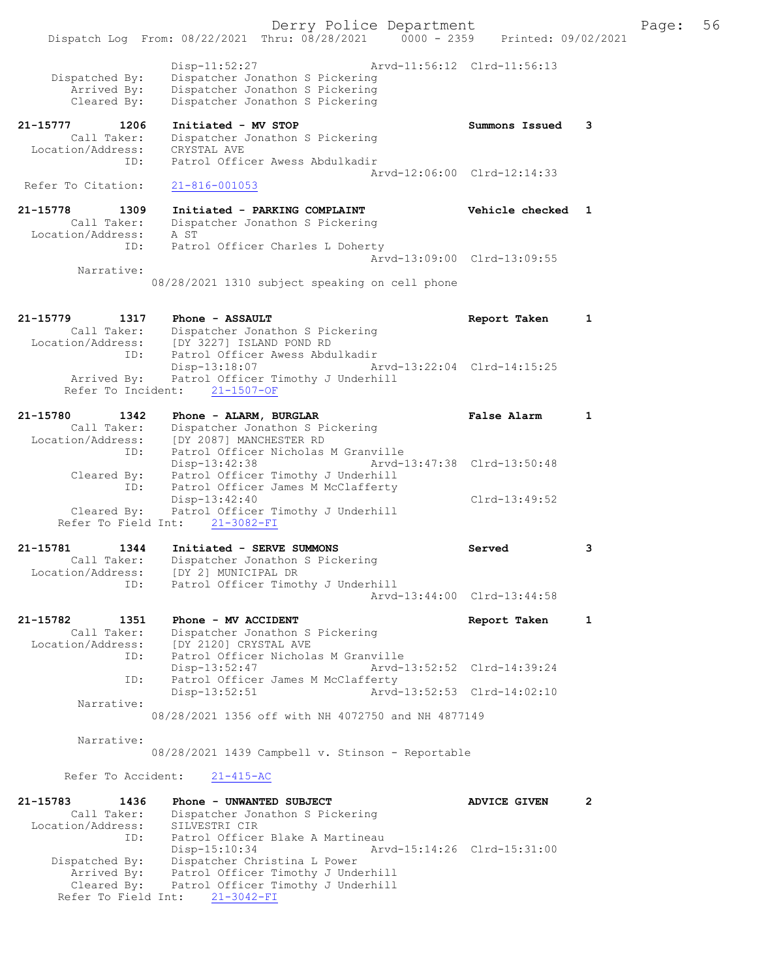|                                                             | Derry Police Department<br>Dispatch Log From: 08/22/2021 Thru: 08/28/2021 0000 - 2359 Printed: 09/02/2021                                                   |                             |              | Page: | 56 |
|-------------------------------------------------------------|-------------------------------------------------------------------------------------------------------------------------------------------------------------|-----------------------------|--------------|-------|----|
| Dispatched By:<br>Arrived By:<br>Cleared By:                | $Disp-11:52:27$<br>Dispatcher Jonathon S Pickering<br>Dispatcher Jonathon S Pickering<br>Dispatcher Jonathon S Pickering                                    | Arvd-11:56:12 Clrd-11:56:13 |              |       |    |
| 21-15777<br>1206<br>Call Taker:<br>Location/Address:<br>ID: | Initiated - MV STOP<br>Dispatcher Jonathon S Pickering<br>CRYSTAL AVE<br>Patrol Officer Awess Abdulkadir                                                    | Summons Issued              | 3            |       |    |
| Refer To Citation:                                          | $21 - 816 - 001053$                                                                                                                                         | Arvd-12:06:00 Clrd-12:14:33 |              |       |    |
| 21-15778<br>1309<br>Call Taker:<br>Location/Address:        | Initiated - PARKING COMPLAINT<br>Dispatcher Jonathon S Pickering<br>A ST                                                                                    | Vehicle checked 1           |              |       |    |
| ID:<br>Narrative:                                           | Patrol Officer Charles L Doherty                                                                                                                            | Arvd-13:09:00 Clrd-13:09:55 |              |       |    |
|                                                             | 08/28/2021 1310 subject speaking on cell phone                                                                                                              |                             |              |       |    |
| 21-15779<br>1317<br>Location/Address:<br>ID:                | Phone - ASSAULT<br>Call Taker: Dispatcher Jonathon S Pickering<br>ion/Address: [DY 3227] ISLAND POND RD<br>Patrol Officer Awess Abdulkadir                  | Report Taken                | 1            |       |    |
| Arrived By:<br>Refer To Incident:                           | Disp-13:18:07<br>Patrol Officer Timothy J Underhill<br>$21 - 1507 - OF$                                                                                     | Arvd-13:22:04 Clrd-14:15:25 |              |       |    |
| 21-15780<br>1342<br>Call Taker:<br>Location/Address:<br>ID: | Phone - ALARM, BURGLAR<br>Dispatcher Jonathon S Pickering<br>[DY 2087] MANCHESTER RD<br>Patrol Officer Nicholas M Granville                                 | <b>False Alarm</b>          | $\mathbf{1}$ |       |    |
| Cleared By:<br>ID:                                          | Disp-13:42:38<br>Patrol Officer Timothy J Underhill<br>Patrol Officer James M McClafferty                                                                   | Arvd-13:47:38 Clrd-13:50:48 |              |       |    |
| Cleared By:                                                 | Disp-13:42:40<br>Patrol Officer Timothy J Underhill<br>Refer To Field Int: 21-3082-FI                                                                       | $Clrd-13:49:52$             |              |       |    |
| 21-15781<br>1344<br>Location/Address:                       | Initiated - SERVE SUMMONS<br>Call Taker: Dispatcher Jonathon S Pickering<br>[DY 2] MUNICIPAL DR<br>Patrol Officer Timothy J Underhill                       | Served                      | 3            |       |    |
| ID:                                                         |                                                                                                                                                             | Arvd-13:44:00 Clrd-13:44:58 |              |       |    |
| 21-15782<br>1351<br>Call Taker:<br>Location/Address:        | Phone - MV ACCIDENT<br>Dispatcher Jonathon S Pickering<br>[DY 2120] CRYSTAL AVE                                                                             | Report Taken                | $\mathbf{1}$ |       |    |
| ID:<br>ID:                                                  | Patrol Officer Nicholas M Granville<br>Disp-13:52:47<br>Patrol Officer James M McClafferty                                                                  | Arvd-13:52:52 Clrd-14:39:24 |              |       |    |
| Narrative:                                                  | $Disp-13:52:51$<br>08/28/2021 1356 off with NH 4072750 and NH 4877149                                                                                       | Arvd-13:52:53 Clrd-14:02:10 |              |       |    |
| Narrative:                                                  |                                                                                                                                                             |                             |              |       |    |
|                                                             | 08/28/2021 1439 Campbell v. Stinson - Reportable                                                                                                            |                             |              |       |    |
| Refer To Accident:                                          | $21 - 415 - AC$                                                                                                                                             |                             |              |       |    |
| 21-15783<br>1436<br>Call Taker:<br>Location/Address:<br>ID: | Phone - UNWANTED SUBJECT<br>Dispatcher Jonathon S Pickering<br>SILVESTRI CIR<br>Patrol Officer Blake A Martineau                                            | ADVICE GIVEN                | 2            |       |    |
| Dispatched By:<br>Arrived By:<br>Cleared By:                | Disp-15:10:34<br>Dispatcher Christina L Power<br>Patrol Officer Timothy J Underhill<br>Patrol Officer Timothy J Underhill<br>Refer To Field Int: 21-3042-FI | Arvd-15:14:26 Clrd-15:31:00 |              |       |    |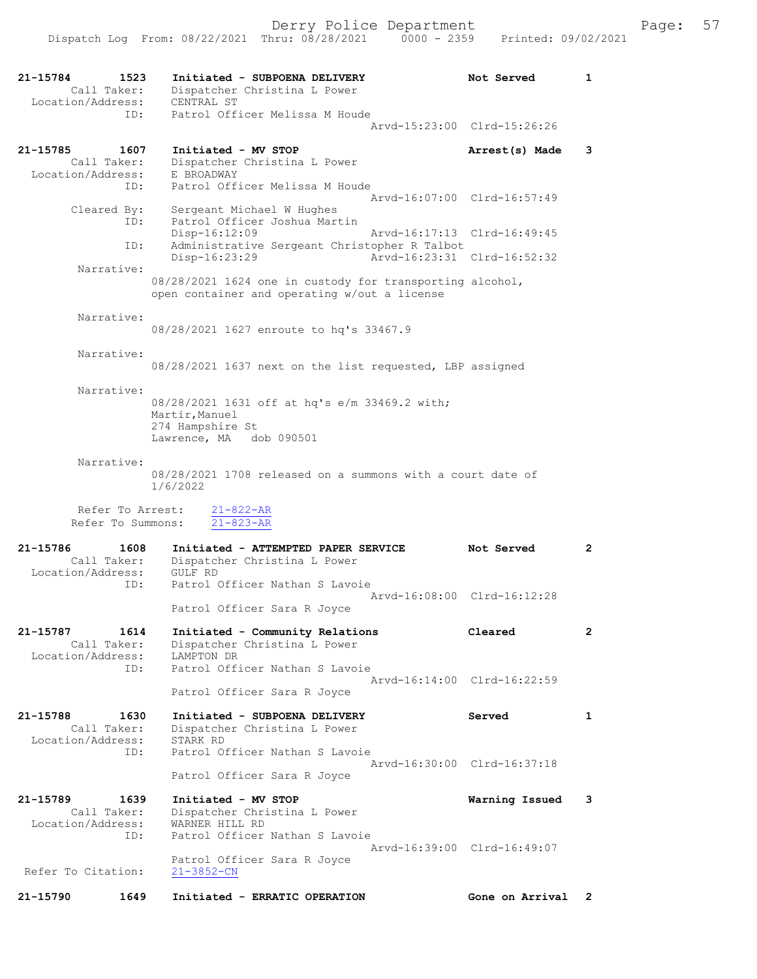| 21-15784<br>1523<br>Call Taker:       | Initiated - SUBPOENA DELIVERY<br>Dispatcher Christina L Power                                            | Not Served                  | 1                    |
|---------------------------------------|----------------------------------------------------------------------------------------------------------|-----------------------------|----------------------|
| Location/Address:<br>ID:              | CENTRAL ST<br>Patrol Officer Melissa M Houde                                                             |                             |                      |
|                                       |                                                                                                          | Arvd-15:23:00 Clrd-15:26:26 |                      |
| 21-15785<br>1607<br>Call Taker:       | Initiated - MV STOP<br>Dispatcher Christina L Power                                                      | Arrest(s) Made              | 3                    |
| Location/Address:                     | E BROADWAY                                                                                               |                             |                      |
| ID:                                   | Patrol Officer Melissa M Houde                                                                           | Arvd-16:07:00 Clrd-16:57:49 |                      |
| Cleared By:                           | Sergeant Michael W Hughes                                                                                |                             |                      |
| ID:                                   | Patrol Officer Joshua Martin<br>Disp-16:12:09                                                            | Arvd-16:17:13 Clrd-16:49:45 |                      |
| ID:                                   | Administrative Sergeant Christopher R Talbot<br>Disp-16:23:29                                            | Arvd-16:23:31 Clrd-16:52:32 |                      |
| Narrative:                            |                                                                                                          |                             |                      |
|                                       | 08/28/2021 1624 one in custody for transporting alcohol,<br>open container and operating w/out a license |                             |                      |
| Narrative:                            |                                                                                                          |                             |                      |
|                                       | 08/28/2021 1627 enroute to hq's 33467.9                                                                  |                             |                      |
| Narrative:                            |                                                                                                          |                             |                      |
|                                       | 08/28/2021 1637 next on the list requested, LBP assigned                                                 |                             |                      |
| Narrative:                            |                                                                                                          |                             |                      |
|                                       | 08/28/2021 1631 off at hq's e/m 33469.2 with;                                                            |                             |                      |
|                                       | Martir, Manuel<br>274 Hampshire St                                                                       |                             |                      |
|                                       | Lawrence, MA dob 090501                                                                                  |                             |                      |
| Narrative:                            |                                                                                                          |                             |                      |
|                                       | 08/28/2021 1708 released on a summons with a court date of                                               |                             |                      |
|                                       | 1/6/2022                                                                                                 |                             |                      |
| Refer To Arrest:<br>Refer To Summons: | $21 - 822 - AR$<br>$21 - 823 - AR$                                                                       |                             |                      |
|                                       |                                                                                                          |                             |                      |
| 21-15786<br>1608                      | Initiated - ATTEMPTED PAPER SERVICE                                                                      | Not Served                  | $\overline{2}$       |
| Call Taker:<br>Location/Address:      | Dispatcher Christina L Power<br>GULF RD                                                                  |                             |                      |
| ID:                                   | Patrol Officer Nathan S Lavoie                                                                           |                             |                      |
|                                       | Patrol Officer Sara R Joyce                                                                              | Arvd-16:08:00 Clrd-16:12:28 |                      |
|                                       |                                                                                                          |                             |                      |
| 21-15787<br>1614<br>Call Taker:       | Initiated - Community Relations<br>Dispatcher Christina L Power                                          | Cleared                     | $\mathbf{2}$         |
| Location/Address:                     | LAMPTON DR                                                                                               |                             |                      |
| ID:                                   | Patrol Officer Nathan S Lavoie                                                                           | Arvd-16:14:00 Clrd-16:22:59 |                      |
|                                       | Patrol Officer Sara R Joyce                                                                              |                             |                      |
| 21-15788<br>1630                      | Initiated - SUBPOENA DELIVERY                                                                            | Served                      | $\mathbf{1}$         |
| Call Taker:                           | Dispatcher Christina L Power                                                                             |                             |                      |
| Location/Address:                     | STARK RD                                                                                                 |                             |                      |
| ID:                                   | Patrol Officer Nathan S Lavoie                                                                           | Arvd-16:30:00 Clrd-16:37:18 |                      |
|                                       | Patrol Officer Sara R Joyce                                                                              |                             |                      |
| 21-15789<br>1639                      | Initiated - MV STOP                                                                                      | Warning Issued              | 3                    |
| Call Taker:                           | Dispatcher Christina L Power                                                                             |                             |                      |
| Location/Address:<br>ID:              | WARNER HILL RD<br>Patrol Officer Nathan S Lavoie                                                         |                             |                      |
|                                       |                                                                                                          | Arvd-16:39:00 Clrd-16:49:07 |                      |
| Refer To Citation:                    | Patrol Officer Sara R Joyce<br>$21 - 3852 - CN$                                                          |                             |                      |
| 21-15790<br>1649                      | Initiated - ERRATIC OPERATION                                                                            | Gone on Arrival             | $\mathbf{2}^{\circ}$ |
|                                       |                                                                                                          |                             |                      |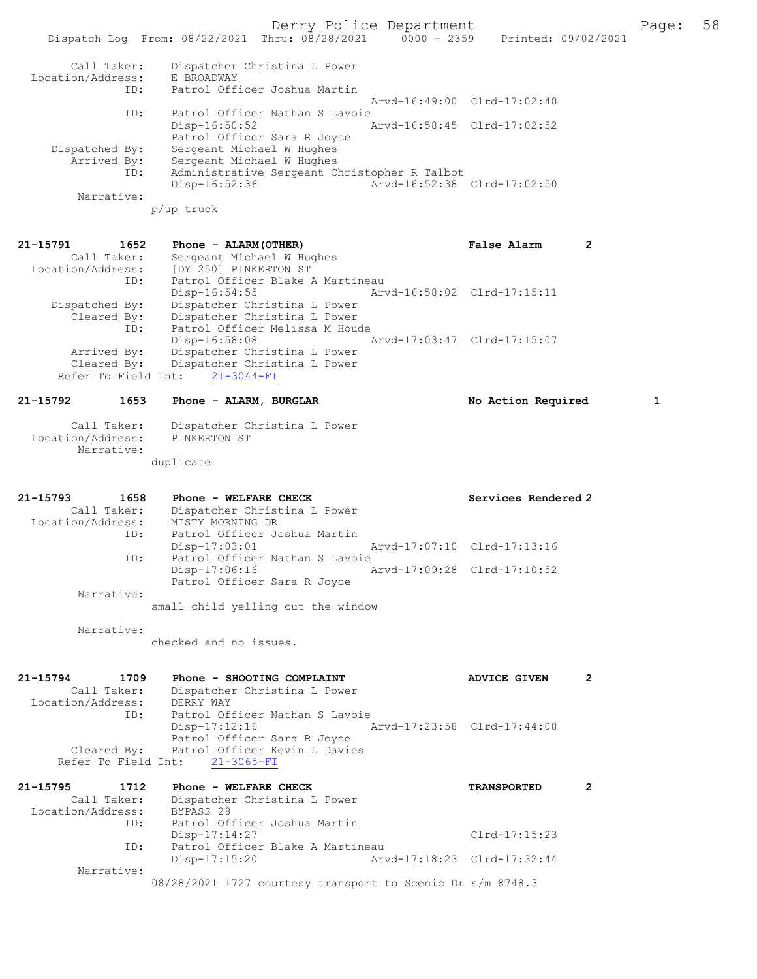Derry Police Department Fage: 58

|                                  | Printed: 09/02/2021<br>Dispatch Log From: 08/22/2021 Thru: 08/28/2021<br>$0000 - 2359$ |  |
|----------------------------------|----------------------------------------------------------------------------------------|--|
| Call Taker:<br>Location/Address: | Dispatcher Christina L Power<br>E BROADWAY                                             |  |
| ID:                              | Patrol Officer Joshua Martin                                                           |  |
|                                  | Arvd-16:49:00 Clrd-17:02:48                                                            |  |
| ID:                              | Patrol Officer Nathan S Lavoie                                                         |  |
|                                  | Arvd-16:58:45 Clrd-17:02:52<br>$Disp-16:50:52$                                         |  |
|                                  | Patrol Officer Sara R Joyce                                                            |  |
| Dispatched By:                   | Sergeant Michael W Hughes                                                              |  |
| Arrived By:                      | Sergeant Michael W Hughes                                                              |  |
| ID:                              | Administrative Sergeant Christopher R Talbot                                           |  |
|                                  | Arvd-16:52:38 Clrd-17:02:50<br>$Disp-16:52:36$                                         |  |
| Narrative:                       |                                                                                        |  |
|                                  |                                                                                        |  |

p/up truck

| 21-15791<br>1652<br>Call Taker:<br>Location/Address:<br>ID: | Phone - ALARM (OTHER)<br>Sergeant Michael W Hughes<br>[DY 250] PINKERTON ST<br>Patrol Officer Blake A Martineau | False Alarm                 |  |
|-------------------------------------------------------------|-----------------------------------------------------------------------------------------------------------------|-----------------------------|--|
|                                                             | $Disp-16:54:55$                                                                                                 | Arvd-16:58:02 Clrd-17:15:11 |  |
| Dispatched By:                                              | Dispatcher Christina L Power                                                                                    |                             |  |
| Cleared By:                                                 | Dispatcher Christina L Power                                                                                    |                             |  |
| ID:                                                         | Patrol Officer Melissa M Houde                                                                                  |                             |  |
|                                                             | Disp-16:58:08                                                                                                   | Arvd-17:03:47 Clrd-17:15:07 |  |
| Arrived By:                                                 | Dispatcher Christina L Power                                                                                    |                             |  |
| Cleared By:                                                 | Dispatcher Christina L Power                                                                                    |                             |  |
|                                                             | Refer To Field Int: 21-3044-FI                                                                                  |                             |  |

21-15792 1653 Phone - ALARM, BURGLAR 1 No Action Required 1

| Call Taker: | Dispatcher Christina L Power |  |  |
|-------------|------------------------------|--|--|

| Location/Address: | PINKERTON ST |  |  |  |
|-------------------|--------------|--|--|--|
| Narrative:        |              |  |  |  |
|                   | duplicate    |  |  |  |

| $21 - 15793$<br>1658<br>Call Taker:<br>Location/Address: | Phone - WELFARE CHECK<br>Dispatcher Christina L Power<br>MISTY MORNING DR | Services Rendered 2         |
|----------------------------------------------------------|---------------------------------------------------------------------------|-----------------------------|
| ID:                                                      | Patrol Officer Joshua Martin                                              |                             |
|                                                          | $Disp-17:03:01$                                                           | Arvd-17:07:10 Clrd-17:13:16 |
| ID:                                                      | Patrol Officer Nathan S Lavoie<br>Disp-17:06:16                           | Arvd-17:09:28 Clrd-17:10:52 |
| Narrative:                                               | Patrol Officer Sara R Joyce                                               |                             |
|                                                          | small child yelling out the window                                        |                             |

Narrative:

checked and no issues.

| 21-15794          | 1709        | Phone - SHOOTING COMPLAINT                |                             | ADVICE GIVEN |  |
|-------------------|-------------|-------------------------------------------|-----------------------------|--------------|--|
|                   | Call Taker: | Dispatcher Christina L Power              |                             |              |  |
| Location/Address: |             | DERRY WAY                                 |                             |              |  |
|                   | ID:         | Patrol Officer Nathan S Lavoie            |                             |              |  |
|                   |             | $Disp-17:12:16$                           | Arvd-17:23:58 Clrd-17:44:08 |              |  |
|                   |             | Patrol Officer Sara R Joyce               |                             |              |  |
|                   |             | Cleared By: Patrol Officer Kevin L Davies |                             |              |  |
|                   |             | Refer To Field Int: 21-3065-FI            |                             |              |  |

| 21-15795<br>1712  | Phone - WELFARE CHECK                                      | <b>TRANSPORTED</b>          |  |
|-------------------|------------------------------------------------------------|-----------------------------|--|
| Call Taker:       | Dispatcher Christina L Power                               |                             |  |
| Location/Address: | BYPASS 28                                                  |                             |  |
| ID:               | Patrol Officer Joshua Martin                               |                             |  |
|                   | $Disp-17:14:27$                                            | $Clrd-17:15:23$             |  |
| ID:               | Patrol Officer Blake A Martineau                           |                             |  |
|                   | $Disp-17:15:20$                                            | Arvd-17:18:23 Clrd-17:32:44 |  |
| Narrative:        |                                                            |                             |  |
|                   | 08/28/2021 1727 courtesy transport to Scenic Dr s/m 8748.3 |                             |  |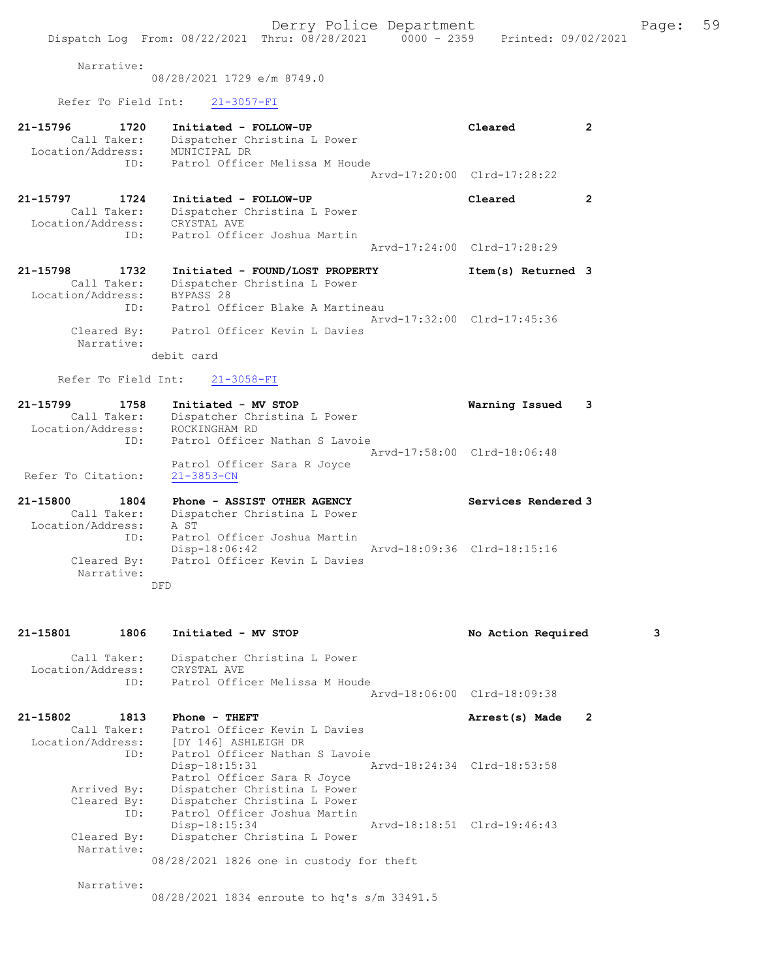Narrative:

08/28/2021 1729 e/m 8749.0

### Refer To Field Int: 21-3057-FI

| 21-15796<br>Call Taker:<br>Location/Address: | 1720<br>ID: | Initiated - FOLLOW-UP<br>Dispatcher Christina L Power<br>MUNICIPAL DR<br>Patrol Officer Melissa M Houde          | Cleared<br>Arvd-17:20:00 Clrd-17:28:22 | 2 |
|----------------------------------------------|-------------|------------------------------------------------------------------------------------------------------------------|----------------------------------------|---|
| 21-15797<br>Call Taker:<br>Location/Address: | 1724<br>ID: | Initiated - FOLLOW-UP<br>Dispatcher Christina L Power<br>CRYSTAL AVE<br>Patrol Officer Joshua Martin             | Cleared                                | 2 |
|                                              |             |                                                                                                                  | Arvd-17:24:00 Clrd-17:28:29            |   |
| 21-15798<br>Call Taker:<br>Location/Address: | 1732<br>ID: | Initiated - FOUND/LOST PROPERTY<br>Dispatcher Christina L Power<br>BYPASS 28<br>Patrol Officer Blake A Martineau | Item(s) Returned 3                     |   |
| Cleared By:<br>Narrative:                    |             | Patrol Officer Kevin L Davies                                                                                    | Arvd-17:32:00 Clrd-17:45:36            |   |

debit card

### Refer To Field Int: 21-3058-FI

| Initiated - MV STOP                             | Warning Issued 3 |                             |
|-------------------------------------------------|------------------|-----------------------------|
| Dispatcher Christina L Power                    |                  |                             |
| ROCKINGHAM RD                                   |                  |                             |
| Patrol Officer Nathan S Lavoie                  |                  |                             |
|                                                 |                  |                             |
| Patrol Officer Sara R Joyce<br>$21 - 3853 - CN$ |                  |                             |
|                                                 |                  | Arvd-17:58:00 Clrd-18:06:48 |

21-15800 1804 Phone - ASSIST OTHER AGENCY Services Rendered 3 Call Taker: Dispatcher Christina L Power Location/Address: A ST ID: Patrol Officer Joshua Martin Disp-18:06:42 Arvd-18:09:36 Clrd-18:15:16<br>Cleared By: Patrol Officer Kevin L Davies Patrol Officer Kevin L Davies Narrative: DFD

21-15801 1806 Initiated - MV STOP No Action Required 3 Call Taker: Dispatcher Christina L Power Location/Address: CRYSTAL AVE ID: Patrol Officer Melissa M Houde Arvd-18:06:00 Clrd-18:09:38 21-15802 1813 Phone - THEFT **Arrest(s)** Made 2 Call Taker: Patrol Officer Kevin L Davies Location/Address: [DY 146] ASHLEIGH DR ID: Patrol Officer Nathan S Lavoie<br>Disp-18:15:31 A Disp-18:15:31 Arvd-18:24:34 Clrd-18:53:58 Patrol Officer Sara R Joyce Arrived By: Dispatcher Christina L Power Cleared By: Dispatcher Christina L Power ID: Patrol Officer Joshua Martin Disp-18:15:34 Arvd-18:18:51 Clrd-19:46:43<br>Cleared By: Dispatcher Christina L Power Dispatcher Christina L Power Narrative: 08/28/2021 1826 one in custody for theft

Narrative:

08/28/2021 1834 enroute to hq's s/m 33491.5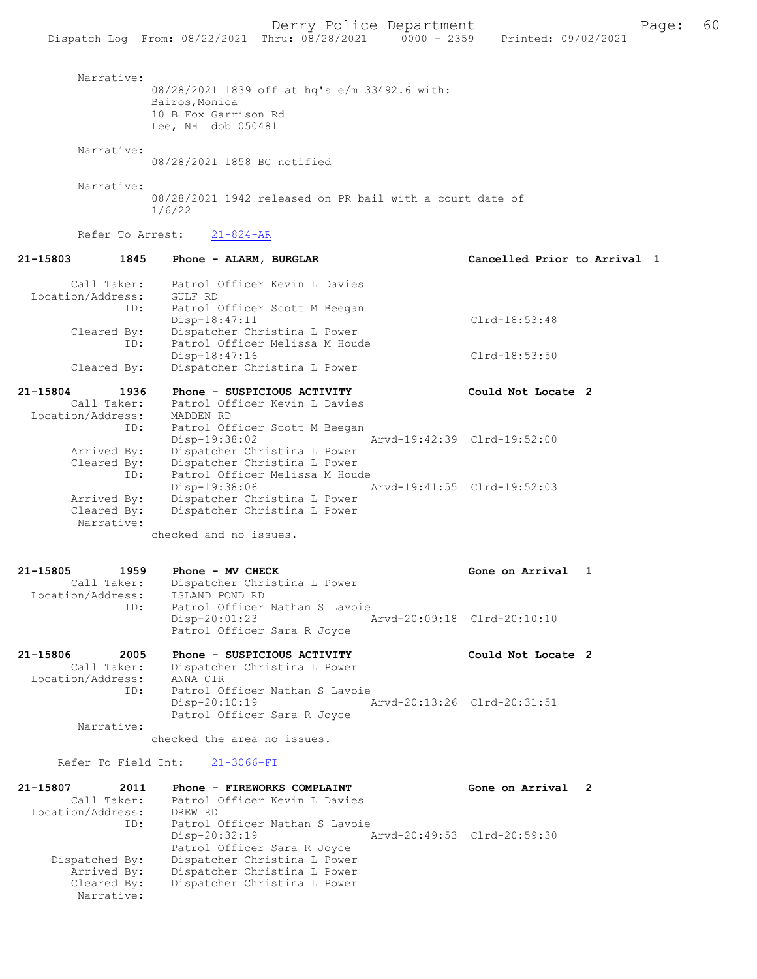| Narrative:                       | 08/28/2021 1839 off at hq's e/m 33492.6 with:<br>Bairos, Monica<br>10 B Fox Garrison Rd<br>Lee, NH dob 050481 |                              |
|----------------------------------|---------------------------------------------------------------------------------------------------------------|------------------------------|
| Narrative:                       | 08/28/2021 1858 BC notified                                                                                   |                              |
| Narrative:                       | 08/28/2021 1942 released on PR bail with a court date of<br>1/6/22                                            |                              |
| Refer To Arrest:                 | $21 - 824 - AR$                                                                                               |                              |
| 21-15803<br>1845                 | Phone - ALARM, BURGLAR                                                                                        | Cancelled Prior to Arrival 1 |
| Call Taker:<br>Location/Address: | Patrol Officer Kevin L Davies<br>GULF RD                                                                      |                              |
| ID:<br>Cleared By:               | Patrol Officer Scott M Beegan<br>Disp-18:47:11<br>Dispatcher Christina L Power                                | $Clrd-18:53:48$              |
| ID:<br>Cleared By:               | Patrol Officer Melissa M Houde<br>Disp-18:47:16<br>Dispatcher Christina L Power                               | Clrd-18:53:50                |
| 21-15804<br>1936                 | Phone - SUSPICIOUS ACTIVITY                                                                                   | Could Not Locate 2           |
| Call Taker:                      | Patrol Officer Kevin L Davies                                                                                 |                              |
| Location/Address:<br>ID:         | MADDEN RD<br>Patrol Officer Scott M Beegan                                                                    |                              |
| Arrived By:                      | Disp-19:38:02<br>Dispatcher Christina L Power                                                                 | Arvd-19:42:39 Clrd-19:52:00  |
| Cleared By:<br>ID:               | Dispatcher Christina L Power<br>Patrol Officer Melissa M Houde<br>Disp-19:38:06                               | Arvd-19:41:55 Clrd-19:52:03  |
| Arrived By:<br>Cleared By:       | Dispatcher Christina L Power<br>Dispatcher Christina L Power                                                  |                              |
| Narrative:                       | checked and no issues.                                                                                        |                              |
| 21-15805<br>1959                 | Phone - MV CHECK                                                                                              | Gone on Arrival<br>1         |
| Call Taker:<br>Location/Address: | Dispatcher Christina L Power<br>ISLAND POND RD                                                                |                              |
| ID:                              | Patrol Officer Nathan S Lavoie<br>$Disp-20:01:23$<br>Patrol Officer Sara R Joyce                              | Arvd-20:09:18 Clrd-20:10:10  |
| 21-15806<br>2005<br>Call Taker:  | Phone - SUSPICIOUS ACTIVITY<br>Dispatcher Christina L Power                                                   | Could Not Locate 2           |
| Location/Address:<br>ID:         | ANNA CIR<br>Patrol Officer Nathan S Lavoie<br>$Disp-20:10:19$                                                 | Arvd-20:13:26 Clrd-20:31:51  |
| Narrative:                       | Patrol Officer Sara R Joyce                                                                                   |                              |
|                                  | checked the area no issues.                                                                                   |                              |
|                                  | Refer To Field Int: 21-3066-FI                                                                                |                              |
| 21-15807<br>2011<br>Call Taker:  | Phone - FIREWORKS COMPLAINT<br>Patrol Officer Kevin L Davies                                                  | Gone on Arrival 2            |
| Location/Address: DREW RD        |                                                                                                               |                              |

| Call Taker:       | Patrol Officer Kevin L Davies  |                             |  |
|-------------------|--------------------------------|-----------------------------|--|
| Location/Address: | DREW RD                        |                             |  |
| ID:               | Patrol Officer Nathan S Lavoie |                             |  |
|                   | $Disp-20:32:19$                | Arvd-20:49:53 Clrd-20:59:30 |  |
|                   | Patrol Officer Sara R Joyce    |                             |  |
| Dispatched By:    | Dispatcher Christina L Power   |                             |  |
| Arrived By:       | Dispatcher Christina L Power   |                             |  |
| Cleared By:       | Dispatcher Christina L Power   |                             |  |
| Narrative:        |                                |                             |  |
|                   |                                |                             |  |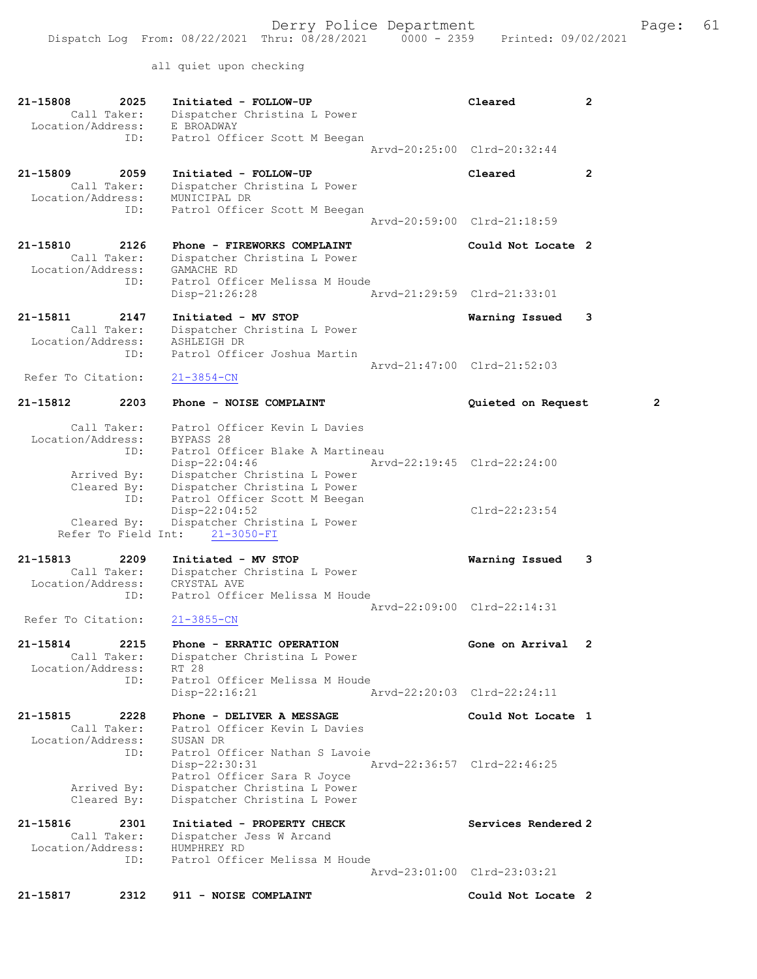all quiet upon checking

| 21-15808<br>2025<br>Call Taker:<br>Location/Address:                  | Initiated - FOLLOW-UP<br>Dispatcher Christina L Power<br>E BROADWAY                                                                                               | Cleared                                | 2                       |
|-----------------------------------------------------------------------|-------------------------------------------------------------------------------------------------------------------------------------------------------------------|----------------------------------------|-------------------------|
| ID:                                                                   | Patrol Officer Scott M Beegan                                                                                                                                     | Arvd-20:25:00 Clrd-20:32:44            |                         |
| 21-15809<br>2059<br>Call Taker:<br>Location/Address:<br>ID:           | Initiated - FOLLOW-UP<br>Dispatcher Christina L Power<br>MUNICIPAL DR<br>Patrol Officer Scott M Beegan                                                            | Cleared<br>Arvd-20:59:00 Clrd-21:18:59 | $\overline{2}$          |
|                                                                       |                                                                                                                                                                   |                                        |                         |
| 21-15810<br>2126<br>Call Taker:<br>Location/Address:<br>ID:           | Phone - FIREWORKS COMPLAINT<br>Dispatcher Christina L Power<br>GAMACHE RD<br>Patrol Officer Melissa M Houde                                                       | Could Not Locate 2                     |                         |
|                                                                       | Disp-21:26:28                                                                                                                                                     | Arvd-21:29:59 Clrd-21:33:01            |                         |
| 21-15811<br>2147<br>Call Taker:<br>Location/Address:<br>ID:           | Initiated - MV STOP<br>Dispatcher Christina L Power<br>ASHLEIGH DR<br>Patrol Officer Joshua Martin                                                                | Warning Issued                         | 3                       |
| Refer To Citation:                                                    | $21 - 3854 - CN$                                                                                                                                                  | Arvd-21:47:00 Clrd-21:52:03            |                         |
| 2203<br>21-15812                                                      | Phone - NOISE COMPLAINT                                                                                                                                           | Quieted on Request                     | $\overline{\mathbf{c}}$ |
| Call Taker:<br>Location/Address:<br>ID:<br>Arrived By:<br>Cleared By: | Patrol Officer Kevin L Davies<br>BYPASS 28<br>Patrol Officer Blake A Martineau<br>$Disp-22:04:46$<br>Dispatcher Christina L Power<br>Dispatcher Christina L Power | Arvd-22:19:45 Clrd-22:24:00            |                         |
| ID:<br>Cleared By:<br>Refer To Field Int:                             | Patrol Officer Scott M Beegan<br>$Disp-22:04:52$<br>Dispatcher Christina L Power<br>$21 - 3050 - FI$                                                              | $Clrd-22:23:54$                        |                         |
| 21-15813<br>2209<br>Call Taker:<br>Location/Address:                  | Initiated - MV STOP<br>Dispatcher Christina L Power<br>CRYSTAL AVE<br>Patrol Officer Melissa M Houde                                                              | Warning Issued                         | 3                       |
| ID:                                                                   |                                                                                                                                                                   | Arvd-22:09:00 Clrd-22:14:31            |                         |
| Refer To Citation:                                                    | $21 - 3855 - CN$                                                                                                                                                  |                                        |                         |
| 21-15814<br>2215<br>Call Taker:<br>Location/Address:<br>ID:           | Phone - ERRATIC OPERATION<br>Dispatcher Christina L Power<br>RT 28<br>Patrol Officer Melissa M Houde                                                              | Gone on Arrival                        | 2                       |
|                                                                       | $Disp-22:16:21$                                                                                                                                                   | Arvd-22:20:03 Clrd-22:24:11            |                         |
| 21-15815<br>2228<br>Call Taker:<br>Location/Address:<br>ID:           | Phone - DELIVER A MESSAGE<br>Patrol Officer Kevin L Davies<br>SUSAN DR<br>Patrol Officer Nathan S Lavoie                                                          | Could Not Locate 1                     |                         |
| Arrived By:<br>Cleared By:                                            | $Disp-22:30:31$<br>Patrol Officer Sara R Joyce<br>Dispatcher Christina L Power<br>Dispatcher Christina L Power                                                    | Arvd-22:36:57 Clrd-22:46:25            |                         |
| 21-15816<br>2301                                                      | Initiated - PROPERTY CHECK                                                                                                                                        | Services Rendered 2                    |                         |
| Call Taker:<br>Location/Address:<br>ID:                               | Dispatcher Jess W Arcand<br>HUMPHREY RD<br>Patrol Officer Melissa M Houde                                                                                         | Arvd-23:01:00 Clrd-23:03:21            |                         |
| 21-15817<br>2312                                                      | 911 - NOISE COMPLAINT                                                                                                                                             | Could Not Locate 2                     |                         |